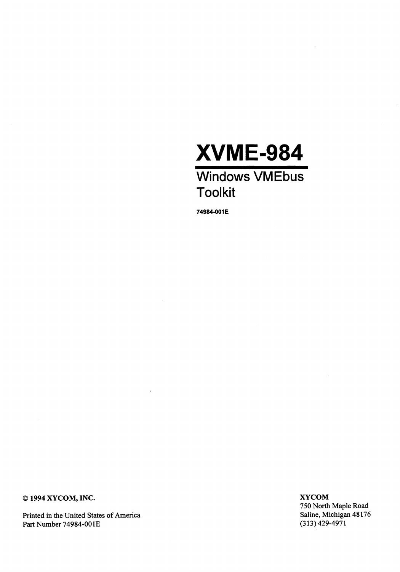

74984-001E

© 1994 XYCOM, INC.

Printed in the United States of America Part Number 74984-001E

**XYCOM** 750 North Maple Road Saline, Michigan 48176  $(313)$  429-4971

 $\sim$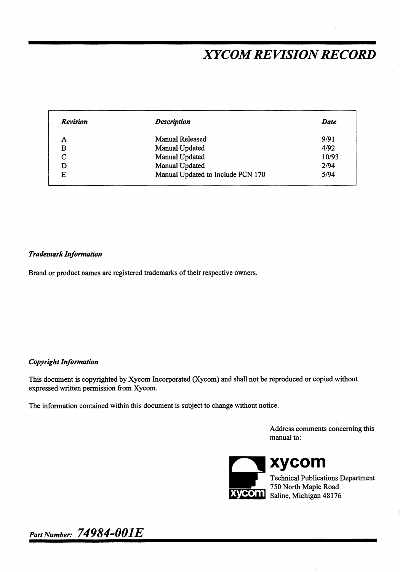# **XYCOM REVISION RECORD**

| <b>Revision</b> | <b>Description</b>                | <b>Date</b> |
|-----------------|-----------------------------------|-------------|
| А               | Manual Released                   | 9/91        |
| в               | Manual Updated                    | 4/92        |
| $\sqrt{ }$      | Manual Updated                    | 10/93       |
|                 | Manual Updated                    | 2/94        |
| E               | Manual Updated to Include PCN 170 | 5/94        |

#### **Trademark Information**

Brand or product names are registered trademarks of their respective owners.

#### **Copyright Information**

This document is copyrighted by Xycom Incorporated (Xycom) and shall not be reproduced or copied without expressed written permission from Xycom.

The information contained within this document is subject to change without notice.

Address comments concerning this manual to:



xycom

**Technical Publications Department** 750 North Maple Road Saline, Michigan 48176

Part Number: 74984-001E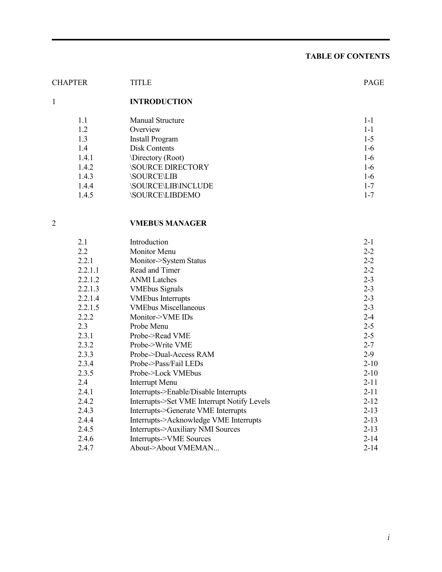# **TABLE OF CONTENTS**

| <b>CHAPTER</b> | TITLE                            | <b>PAGE</b> |  |  |
|----------------|----------------------------------|-------------|--|--|
| 1              | <b>INTRODUCTION</b>              |             |  |  |
| 1.1            | <b>Manual Structure</b>          | $1 - 1$     |  |  |
| 1.2            | Overview                         | $1 - 1$     |  |  |
| 1.3            | <b>Install Program</b>           |             |  |  |
| 1.4            | Disk Contents                    |             |  |  |
| 1.4.1          | Directory (Root)<br>1-6          |             |  |  |
| 1.4.2          | <b>SOURCE DIRECTORY</b>          |             |  |  |
| 1.4.3          | <b>SOURCE\LIB</b>                |             |  |  |
| 1.4.4          | <b><i>SOURCE\LIB\INCLUDE</i></b> |             |  |  |
| 1.4.5          | <b>SOURCE\LIBDEMO</b>            | $1 - 7$     |  |  |

# 2 **VMEBUS MANAGER**

| Introduction                                | $2 - 1$  |
|---------------------------------------------|----------|
| Monitor Menu                                | $2 - 2$  |
| Monitor->System Status                      | $2 - 2$  |
| Read and Timer                              | $2 - 2$  |
| <b>ANMI</b> Latches                         | $2 - 3$  |
| <b>VME</b> bus Signals                      | $2 - 3$  |
| <b>VMEbus Interrupts</b>                    | $2 - 3$  |
| <b>VMEbus Miscellaneous</b>                 | $2 - 3$  |
| Monitor->VME IDs                            | $2 - 4$  |
| Probe Menu                                  | $2 - 5$  |
| Probe->Read VME                             | $2 - 5$  |
| Probe->Write VME                            | $2 - 7$  |
| Probe->Dual-Access RAM                      | $2-9$    |
| Probe->Pass/Fail LEDs                       | $2 - 10$ |
| Probe->Lock VMEbus                          | $2 - 10$ |
| Interrupt Menu                              | $2 - 11$ |
| Interrupts->Enable/Disable Interrupts       | $2 - 11$ |
| Interrupts->Set VME Interrupt Notify Levels | $2 - 12$ |
| Interrupts->Generate VME Interrupts         | $2 - 13$ |
| Interrupts->Acknowledge VME Interrupts      | $2 - 13$ |
| Interrupts->Auxiliary NMI Sources           | $2 - 13$ |
| Interrupts->VME Sources                     | $2 - 14$ |
| About->About VMEMAN                         | $2 - 14$ |
|                                             |          |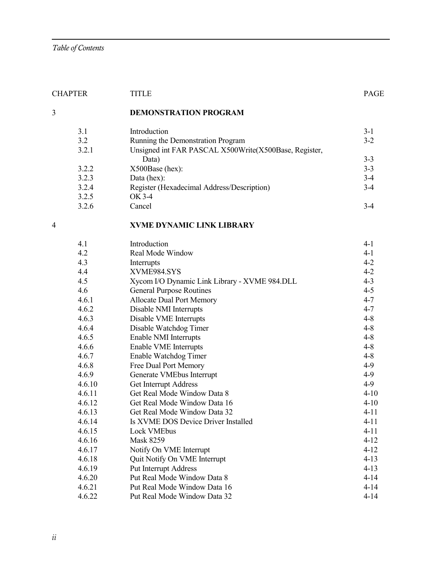|   | <b>CHAPTER</b> | <b>TITLE</b>                                                   | <b>PAGE</b> |
|---|----------------|----------------------------------------------------------------|-------------|
| 3 |                | <b>DEMONSTRATION PROGRAM</b>                                   |             |
|   | 3.1            | Introduction                                                   | $3-1$       |
|   | 3.2            | Running the Demonstration Program                              | $3 - 2$     |
|   | 3.2.1          | Unsigned int FAR PASCAL X500Write(X500Base, Register,<br>Data) | $3 - 3$     |
|   | 3.2.2          | X500Base (hex):                                                | $3 - 3$     |
|   | 3.2.3          | Data (hex):                                                    | $3-4$       |
|   | 3.2.4          | Register (Hexadecimal Address/Description)                     | $3-4$       |
|   | 3.2.5          | OK 3-4                                                         |             |
|   | 3.2.6          | Cancel                                                         | $3-4$       |
| 4 |                | <b>XVME DYNAMIC LINK LIBRARY</b>                               |             |
|   | 4.1            | Introduction                                                   | $4 - 1$     |
|   | 4.2            | Real Mode Window                                               | $4-1$       |
|   | 4.3            | Interrupts                                                     | $4 - 2$     |
|   | 4.4            | XVME984.SYS                                                    | $4 - 2$     |
|   | 4.5            | Xycom I/O Dynamic Link Library - XVME 984.DLL                  | $4 - 3$     |
|   | 4.6            | <b>General Purpose Routines</b>                                | $4 - 5$     |
|   | 4.6.1          | <b>Allocate Dual Port Memory</b>                               | $4 - 7$     |
|   | 4.6.2          | Disable NMI Interrupts                                         | $4 - 7$     |
|   | 4.6.3          | Disable VME Interrupts                                         | $4 - 8$     |
|   | 4.6.4          | Disable Watchdog Timer                                         | $4 - 8$     |
|   | 4.6.5          | Enable NMI Interrupts                                          | $4 - 8$     |
|   | 4.6.6          | Enable VME Interrupts                                          | $4 - 8$     |
|   | 4.6.7          | Enable Watchdog Timer                                          | $4 - 8$     |
|   | 4.6.8          | Free Dual Port Memory                                          | $4-9$       |
|   | 4.6.9          | Generate VMEbus Interrupt                                      | $4-9$       |
|   | 4.6.10         | Get Interrupt Address                                          | $4-9$       |
|   | 4.6.11         | Get Real Mode Window Data 8                                    | $4 - 10$    |
|   | 4.6.12         | Get Real Mode Window Data 16                                   | $4 - 10$    |
|   | 4.6.13         | Get Real Mode Window Data 32                                   | $4 - 11$    |
|   | 4.6.14         | Is XVME DOS Device Driver Installed                            | $4 - 11$    |
|   | 4.6.15         | Lock VMEbus                                                    | $4 - 11$    |
|   | 4.6.16         | <b>Mask 8259</b>                                               | $4 - 12$    |
|   | 4.6.17         | Notify On VME Interrupt                                        | $4 - 12$    |
|   | 4.6.18         | Quit Notify On VME Interrupt                                   | $4 - 13$    |
|   | 4.6.19         | <b>Put Interrupt Address</b>                                   | $4 - 13$    |
|   | 4.6.20         | Put Real Mode Window Data 8                                    | $4 - 14$    |
|   | 4.6.21         | Put Real Mode Window Data 16                                   | $4 - 14$    |
|   | 4.6.22         | Put Real Mode Window Data 32                                   | $4 - 14$    |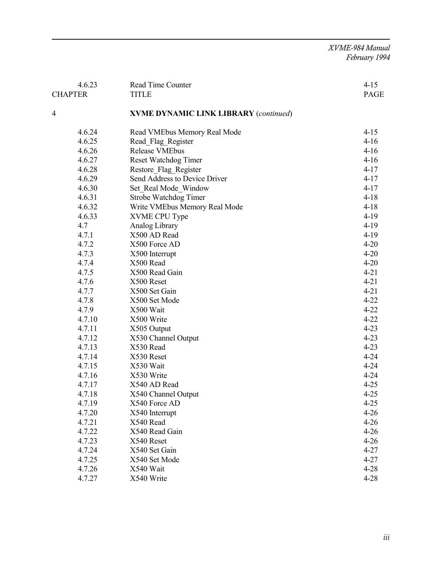*XVME-984 Manual February 1994*

| 4.6.23<br><b>CHAPTER</b> | $4 - 15$<br><b>PAGE</b>                      |          |
|--------------------------|----------------------------------------------|----------|
|                          | <b>TITLE</b>                                 |          |
| 4                        | <b>XVME DYNAMIC LINK LIBRARY (continued)</b> |          |
| 4.6.24                   | Read VMEbus Memory Real Mode                 | $4 - 15$ |
| 4.6.25                   | Read Flag Register                           | $4-16$   |
| 4.6.26                   | <b>Release VMEbus</b>                        | $4-16$   |
| 4.6.27                   | Reset Watchdog Timer                         | $4-16$   |
| 4.6.28                   | Restore Flag Register                        | $4 - 17$ |
| 4.6.29                   | Send Address to Device Driver                | $4 - 17$ |
| 4.6.30                   | Set Real Mode Window                         | $4 - 17$ |
| 4.6.31                   | Strobe Watchdog Timer                        | $4 - 18$ |
| 4.6.32                   | Write VMEbus Memory Real Mode                | $4 - 18$ |
| 4.6.33                   | XVME CPU Type                                | $4-19$   |
| 4.7                      | Analog Library                               | $4-19$   |
| 4.7.1                    | X500 AD Read                                 | $4-19$   |
| 4.7.2                    | X500 Force AD                                | $4 - 20$ |
| 4.7.3                    | X500 Interrupt                               | $4 - 20$ |
| 4.7.4                    | X500 Read                                    | $4 - 20$ |
| 4.7.5                    | X500 Read Gain                               | $4 - 21$ |
| 4.7.6                    | X500 Reset                                   | $4 - 21$ |
| 4.7.7                    | X500 Set Gain                                | $4 - 21$ |
| 4.7.8                    | X500 Set Mode                                | $4 - 22$ |
| 4.7.9                    | X500 Wait                                    | $4 - 22$ |
| 4.7.10                   | X500 Write                                   | $4 - 22$ |
| 4.7.11                   | X505 Output                                  | $4 - 23$ |
| 4.7.12                   | X530 Channel Output                          | $4 - 23$ |
| 4.7.13                   | X530 Read                                    | $4 - 23$ |
| 4.7.14                   | X530 Reset                                   | $4 - 24$ |
| 4.7.15                   | X530 Wait                                    | $4 - 24$ |
| 4.7.16                   | X530 Write                                   | $4 - 24$ |
| 4.7.17                   | X540 AD Read                                 | $4 - 25$ |
| 4.7.18                   | X540 Channel Output                          | $4 - 25$ |
| 4.7.19                   | X540 Force AD                                | $4 - 25$ |
| 4.7.20                   | X540 Interrupt                               | $4 - 26$ |
| 4.7.21                   | X540 Read                                    | $4 - 26$ |
| 4.7.22                   | X540 Read Gain                               | $4 - 26$ |
| 4.7.23                   | X540 Reset                                   | $4 - 26$ |
| 4.7.24                   | X540 Set Gain                                | $4 - 27$ |
| 4.7.25                   | X540 Set Mode                                | $4 - 27$ |
| 4.7.26                   | X540 Wait                                    | $4 - 28$ |
| 4.7.27                   | X540 Write                                   | $4 - 28$ |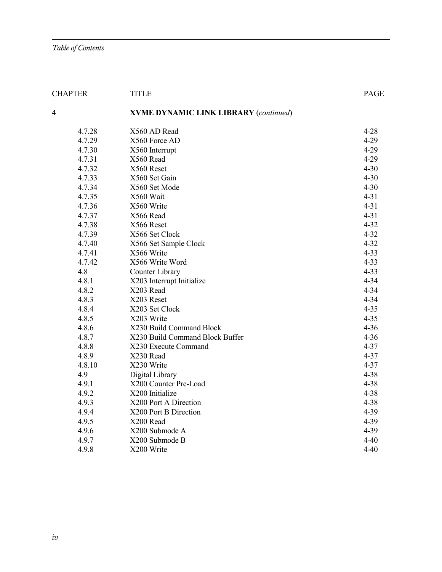| <b>CHAPTER</b><br><b>TITLE</b> |                                              | <b>PAGE</b> |
|--------------------------------|----------------------------------------------|-------------|
| 4                              | <b>XVME DYNAMIC LINK LIBRARY (continued)</b> |             |
| 4.7.28                         | X560 AD Read                                 | $4 - 28$    |
| 4.7.29                         | X560 Force AD                                | $4 - 29$    |
| 4.7.30                         | X560 Interrupt                               | $4 - 29$    |
| 4.7.31                         | X560 Read                                    | $4 - 29$    |
| 4.7.32                         | X560 Reset                                   | $4 - 30$    |
| 4.7.33                         | X560 Set Gain                                | $4 - 30$    |
| 4.7.34                         | X560 Set Mode                                | $4 - 30$    |
| 4.7.35                         | X560 Wait                                    | $4 - 31$    |
| 4.7.36                         | X560 Write                                   | $4 - 31$    |
| 4.7.37                         | X566 Read                                    | $4 - 31$    |
| 4.7.38                         | X566 Reset                                   | $4 - 32$    |
| 4.7.39                         | X566 Set Clock                               | $4 - 32$    |
| 4.7.40                         | X566 Set Sample Clock                        | $4 - 32$    |
| 4.7.41                         | X566 Write                                   | $4 - 33$    |
| 4.7.42                         | X566 Write Word                              | $4 - 33$    |
| 4.8                            | Counter Library                              | $4 - 33$    |
| 4.8.1                          | X203 Interrupt Initialize                    | $4 - 34$    |
| 4.8.2                          | X203 Read                                    | $4 - 34$    |
| 4.8.3                          | X203 Reset                                   | $4 - 34$    |
| 4.8.4                          | X203 Set Clock                               | $4 - 35$    |
| 4.8.5                          | X203 Write                                   | $4 - 35$    |
| 4.8.6                          | X230 Build Command Block                     | $4 - 36$    |
| 4.8.7                          | X230 Build Command Block Buffer              | $4 - 36$    |
| 4.8.8                          | X230 Execute Command                         | $4 - 37$    |
| 4.8.9                          | X230 Read                                    | $4 - 37$    |
| 4.8.10                         | X230 Write                                   | $4 - 37$    |
| 4.9                            | Digital Library                              | $4 - 38$    |
| 4.9.1                          | X200 Counter Pre-Load                        | $4 - 38$    |
| 4.9.2                          | X200 Initialize                              | $4 - 38$    |
| 4.9.3                          | X200 Port A Direction                        | $4 - 38$    |
| 4.9.4                          | X200 Port B Direction                        | $4 - 39$    |
| 4.9.5                          | X200 Read                                    | $4 - 39$    |
| 4.9.6                          | X200 Submode A                               | $4 - 39$    |
| 4.9.7                          | X200 Submode B                               | $4 - 40$    |
| 4.9.8                          | X200 Write                                   | $4 - 40$    |
|                                |                                              |             |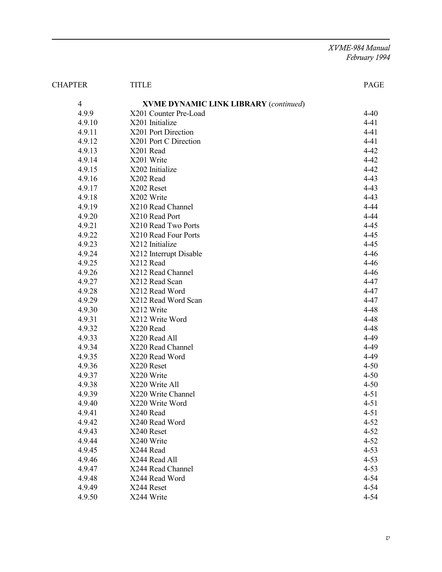*XVME-984 Manual February 1994*

| <b>CHAPTER</b><br><b>TITLE</b> |                                              | PAGE     |  |
|--------------------------------|----------------------------------------------|----------|--|
| $\overline{4}$                 | <b>XVME DYNAMIC LINK LIBRARY (continued)</b> |          |  |
| 4.9.9                          | X201 Counter Pre-Load                        | $4 - 40$ |  |
| 4.9.10                         | X201 Initialize                              | $4 - 41$ |  |
| 4.9.11                         | X201 Port Direction                          | $4 - 41$ |  |
| 4.9.12                         | X201 Port C Direction                        | $4 - 41$ |  |
| 4.9.13                         | X201 Read                                    | $4 - 42$ |  |
| 4.9.14                         | X201 Write                                   | $4 - 42$ |  |
| 4.9.15                         | X202 Initialize                              | $4 - 42$ |  |
| 4.9.16                         | X202 Read                                    | $4 - 43$ |  |
| 4.9.17                         | X202 Reset                                   | $4 - 43$ |  |
| 4.9.18                         | X202 Write                                   | $4 - 43$ |  |
| 4.9.19                         | X210 Read Channel                            | $4 - 44$ |  |
| 4.9.20                         | X210 Read Port                               | $4 - 44$ |  |
| 4.9.21                         | X210 Read Two Ports                          | $4 - 45$ |  |
| 4.9.22                         | X210 Read Four Ports                         | $4 - 45$ |  |
| 4.9.23                         | X212 Initialize                              | $4 - 45$ |  |
| 4.9.24                         | X212 Interrupt Disable                       | $4 - 46$ |  |
| 4.9.25                         | X212 Read                                    | $4 - 46$ |  |
| 4.9.26                         | X212 Read Channel                            | $4 - 46$ |  |
| 4.9.27                         | X212 Read Scan                               | $4 - 47$ |  |
| 4.9.28                         | X212 Read Word                               | $4 - 47$ |  |
| 4.9.29                         | X212 Read Word Scan                          | 4-47     |  |
| 4.9.30                         | X212 Write                                   | 4-48     |  |
| 4.9.31                         | X212 Write Word                              | 4-48     |  |
| 4.9.32                         | X220 Read                                    | 4-48     |  |
| 4.9.33                         | X220 Read All                                | 4-49     |  |
| 4.9.34                         | X220 Read Channel                            | 4-49     |  |
| 4.9.35                         | X220 Read Word                               | 4-49     |  |
| 4.9.36                         | X220 Reset                                   | $4 - 50$ |  |
| 4.9.37                         | X220 Write                                   | $4 - 50$ |  |
| 4.9.38                         | X220 Write All                               | $4 - 50$ |  |
| 4.9.39                         | X220 Write Channel                           | $4 - 51$ |  |
| 4.9.40                         | X220 Write Word                              | $4 - 51$ |  |
| 4.9.41                         | X240 Read                                    | $4 - 51$ |  |
| 4.9.42                         | X240 Read Word                               | $4 - 52$ |  |
| 4.9.43                         | X240 Reset                                   | $4 - 52$ |  |
| 4.9.44                         | X240 Write                                   | $4 - 52$ |  |
| 4.9.45                         | X244 Read                                    | $4 - 53$ |  |
| 4.9.46                         | X244 Read All                                | $4 - 53$ |  |
| 4.9.47                         | X244 Read Channel                            | $4 - 53$ |  |
| 4.9.48                         | X244 Read Word                               | $4 - 54$ |  |
| 4.9.49                         | X244 Reset                                   | 4-54     |  |
| 4.9.50                         | X244 Write                                   | 4-54     |  |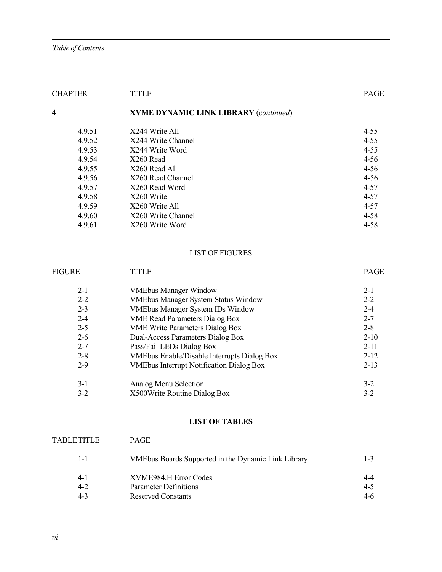| <b>CHAPTER</b> | <b>TITLE</b>                                 |          |  |
|----------------|----------------------------------------------|----------|--|
| 4              | <b>XVME DYNAMIC LINK LIBRARY (continued)</b> |          |  |
| 4.9.51         | X244 Write All                               | $4 - 55$ |  |
| 4.9.52         | X244 Write Channel                           | $4 - 55$ |  |
| 4.9.53         | X244 Write Word                              | $4 - 55$ |  |
| 4.9.54         | X260 Read                                    | $4 - 56$ |  |
| 4.9.55         | X260 Read All                                | $4 - 56$ |  |
| 4.9.56         | X260 Read Channel                            | $4 - 56$ |  |
| 4.9.57         | X260 Read Word                               | $4 - 57$ |  |
| 4.9.58         | X260 Write                                   |          |  |
| 4.9.59         | X260 Write All                               | $4 - 57$ |  |
| 4.9.60         | X260 Write Channel                           | $4 - 58$ |  |
| 4.9.61         | X260 Write Word                              | $4 - 58$ |  |

#### LIST OF FIGURES

| <b>FIGURE</b><br>TITLE                             |          |  |  |
|----------------------------------------------------|----------|--|--|
| <b>VMEbus Manager Window</b>                       | $2 - 1$  |  |  |
| <b>VMEbus Manager System Status Window</b>         | $2 - 2$  |  |  |
| <b>VMEbus Manager System IDs Window</b>            | $2 - 4$  |  |  |
| <b>VME Read Parameters Dialog Box</b>              | $2 - 7$  |  |  |
| <b>VME Write Parameters Dialog Box</b>             | $2 - 8$  |  |  |
| Dual-Access Parameters Dialog Box                  | $2 - 10$ |  |  |
| Pass/Fail LEDs Dialog Box                          |          |  |  |
| <b>VMEbus Enable/Disable Interrupts Dialog Box</b> | $2 - 12$ |  |  |
| <b>VMEbus Interrupt Notification Dialog Box</b>    | $2-13$   |  |  |
| Analog Menu Selection                              | $3 - 2$  |  |  |
| X500 Write Routine Dialog Box                      |          |  |  |
|                                                    |          |  |  |

#### **LIST OF TABLES**

# TABLETITLE PAGE 1-1 VMEbus Boards Supported in the Dynamic Link Library 1-3 4-1 XVME984.H Error Codes 4-4 4-2 Parameter Definitions 4-5 Asserved Constants 4-6 Asserved Constants 4-6 Reserved Constants 4-6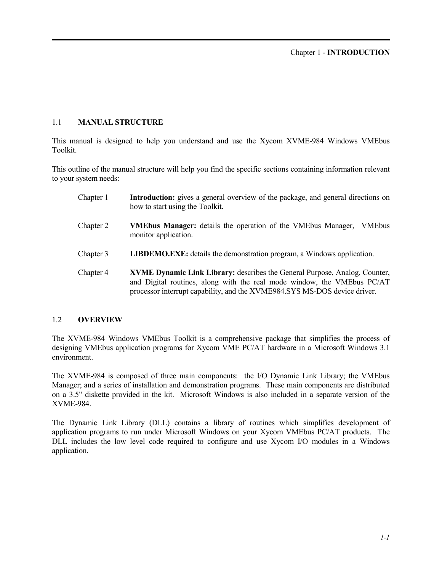#### 1.1 **MANUAL STRUCTURE**

This manual is designed to help you understand and use the Xycom XVME-984 Windows VMEbus Toolkit.

This outline of the manual structure will help you find the specific sections containing information relevant to your system needs:

| Chapter 1 | <b>Introduction:</b> gives a general overview of the package, and general directions on<br>how to start using the Toolkit.                                                                                                         |
|-----------|------------------------------------------------------------------------------------------------------------------------------------------------------------------------------------------------------------------------------------|
| Chapter 2 | <b>VMEbus Manager:</b> details the operation of the VMEbus Manager,<br><b>VMEbus</b><br>monitor application.                                                                                                                       |
| Chapter 3 | <b>LIBDEMO.EXE:</b> details the demonstration program, a Windows application.                                                                                                                                                      |
| Chapter 4 | XVME Dynamic Link Library: describes the General Purpose, Analog, Counter,<br>and Digital routines, along with the real mode window, the VMEbus PC/AT<br>processor interrupt capability, and the XVME984.SYS MS-DOS device driver. |

#### 1.2 **OVERVIEW**

The XVME-984 Windows VMEbus Toolkit is a comprehensive package that simplifies the process of designing VMEbus application programs for Xycom VME PC/AT hardware in a Microsoft Windows 3.1 environment.

The XVME-984 is composed of three main components: the I/O Dynamic Link Library; the VMEbus Manager; and a series of installation and demonstration programs. These main components are distributed on a 3.5" diskette provided in the kit. Microsoft Windows is also included in a separate version of the XVME-984.

The Dynamic Link Library (DLL) contains a library of routines which simplifies development of application programs to run under Microsoft Windows on your Xycom VMEbus PC/AT products. The DLL includes the low level code required to configure and use Xycom I/O modules in a Windows application.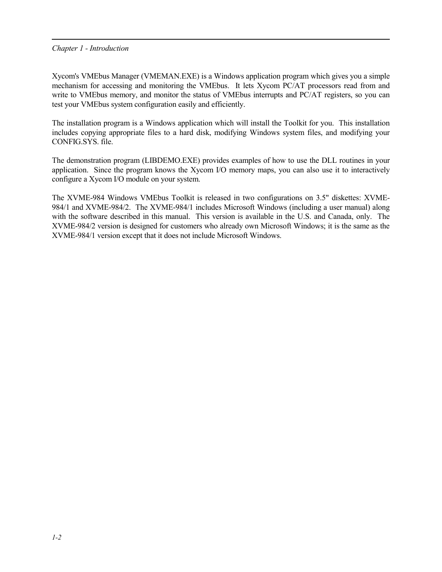#### *Chapter 1 - Introduction*

Xycom's VMEbus Manager (VMEMAN.EXE) is a Windows application program which gives you a simple mechanism for accessing and monitoring the VMEbus. It lets Xycom PC/AT processors read from and write to VMEbus memory, and monitor the status of VMEbus interrupts and PC/AT registers, so you can test your VMEbus system configuration easily and efficiently.

The installation program is a Windows application which will install the Toolkit for you. This installation includes copying appropriate files to a hard disk, modifying Windows system files, and modifying your CONFIG.SYS. file.

The demonstration program (LIBDEMO.EXE) provides examples of how to use the DLL routines in your application. Since the program knows the Xycom I/O memory maps, you can also use it to interactively configure a Xycom I/O module on your system.

The XVME-984 Windows VMEbus Toolkit is released in two configurations on 3.5" diskettes: XVME-984/1 and XVME-984/2. The XVME-984/1 includes Microsoft Windows (including a user manual) along with the software described in this manual. This version is available in the U.S. and Canada, only. The XVME-984/2 version is designed for customers who already own Microsoft Windows; it is the same as the XVME-984/1 version except that it does not include Microsoft Windows.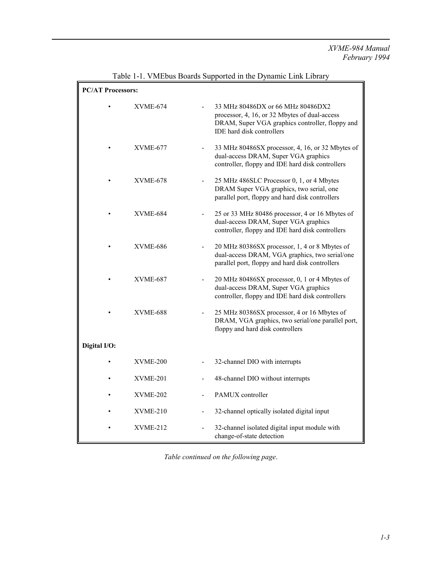## *XVME-984 Manual February 1994*

| <b>PC/AT Processors:</b> |                 |                              |                                                                                                                                                                           |  |
|--------------------------|-----------------|------------------------------|---------------------------------------------------------------------------------------------------------------------------------------------------------------------------|--|
|                          | <b>XVME-674</b> |                              | 33 MHz 80486DX or 66 MHz 80486DX2<br>processor, 4, 16, or 32 Mbytes of dual-access<br>DRAM, Super VGA graphics controller, floppy and<br><b>IDE</b> hard disk controllers |  |
|                          | <b>XVME-677</b> |                              | 33 MHz 80486SX processor, 4, 16, or 32 Mbytes of<br>dual-access DRAM, Super VGA graphics<br>controller, floppy and IDE hard disk controllers                              |  |
|                          | <b>XVME-678</b> |                              | 25 MHz 486SLC Processor 0, 1, or 4 Mbytes<br>DRAM Super VGA graphics, two serial, one<br>parallel port, floppy and hard disk controllers                                  |  |
|                          | <b>XVME-684</b> |                              | 25 or 33 MHz 80486 processor, 4 or 16 Mbytes of<br>dual-access DRAM, Super VGA graphics<br>controller, floppy and IDE hard disk controllers                               |  |
|                          | XVME-686        |                              | 20 MHz 80386SX processor, 1, 4 or 8 Mbytes of<br>dual-access DRAM, VGA graphics, two serial/one<br>parallel port, floppy and hard disk controllers                        |  |
|                          | <b>XVME-687</b> |                              | 20 MHz 80486SX processor, 0, 1 or 4 Mbytes of<br>dual-access DRAM, Super VGA graphics<br>controller, floppy and IDE hard disk controllers                                 |  |
|                          | XVME-688        |                              | 25 MHz 80386SX processor, 4 or 16 Mbytes of<br>DRAM, VGA graphics, two serial/one parallel port,<br>floppy and hard disk controllers                                      |  |
| Digital I/O:             |                 |                              |                                                                                                                                                                           |  |
|                          | XVME-200        |                              | 32-channel DIO with interrupts                                                                                                                                            |  |
|                          | $XVME-201$      |                              | 48-channel DIO without interrupts                                                                                                                                         |  |
|                          | XVME-202        |                              | PAMUX controller                                                                                                                                                          |  |
|                          | XVME-210        | $\qquad \qquad \blacksquare$ | 32-channel optically isolated digital input                                                                                                                               |  |
|                          | $XVME-212$      |                              | 32-channel isolated digital input module with<br>change-of-state detection                                                                                                |  |

Table 1-1. VMEbus Boards Supported in the Dynamic Link Library

*Table continued on the following page*.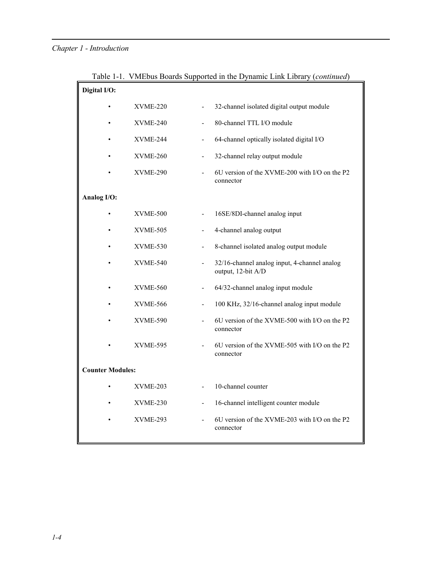# *Chapter 1 - Introduction*

| Digital I/O:            |                 |                              |                                                                    |
|-------------------------|-----------------|------------------------------|--------------------------------------------------------------------|
|                         | XVME-220        |                              | 32-channel isolated digital output module                          |
|                         | <b>XVME-240</b> |                              | 80-channel TTL I/O module                                          |
|                         | XVME-244        |                              | 64-channel optically isolated digital I/O                          |
|                         | $XVME-260$      | $\qquad \qquad \blacksquare$ | 32-channel relay output module                                     |
|                         | <b>XVME-290</b> |                              | 6U version of the XVME-200 with I/O on the P2<br>connector         |
| Analog I/O:             |                 |                              |                                                                    |
|                         | <b>XVME-500</b> |                              | 16SE/8DI-channel analog input                                      |
|                         | XVME-505        | $\blacksquare$               | 4-channel analog output                                            |
|                         | <b>XVME-530</b> |                              | 8-channel isolated analog output module                            |
|                         | <b>XVME-540</b> |                              | 32/16-channel analog input, 4-channel analog<br>output, 12-bit A/D |
|                         | <b>XVME-560</b> | $\overline{\phantom{a}}$     | 64/32-channel analog input module                                  |
|                         | <b>XVME-566</b> | $\overline{a}$               | 100 KHz, 32/16-channel analog input module                         |
|                         | <b>XVME-590</b> |                              | 6U version of the XVME-500 with I/O on the P2<br>connector         |
|                         | <b>XVME-595</b> |                              | 6U version of the XVME-505 with I/O on the P2<br>connector         |
| <b>Counter Modules:</b> |                 |                              |                                                                    |
|                         | $XVME-203$      |                              | 10-channel counter                                                 |
|                         | <b>XVME-230</b> | $\overline{\phantom{a}}$     | 16-channel intelligent counter module                              |
|                         | $XVME-293$      |                              | 6U version of the XVME-203 with I/O on the P2<br>connector         |

Table 1-1. VMEbus Boards Supported in the Dynamic Link Library (*continued*)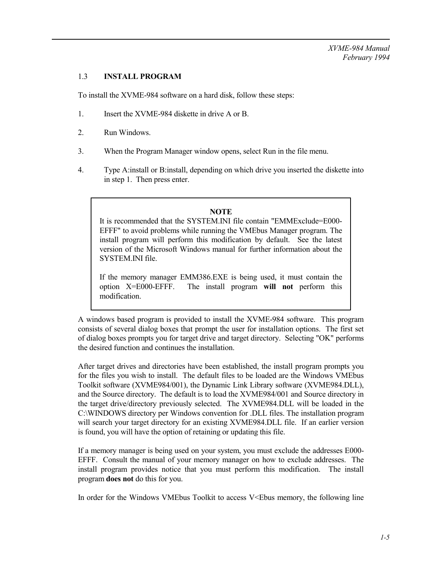#### 1.3 **INSTALL PROGRAM**

To install the XVME-984 software on a hard disk, follow these steps:

- 1. Insert the XVME-984 diskette in drive A or B.
- 2. Run Windows.
- 3. When the Program Manager window opens, select Run in the file menu.
- 4. Type A:install or B:install, depending on which drive you inserted the diskette into in step 1. Then press enter.

#### **NOTE**

It is recommended that the SYSTEM.INI file contain "EMMExclude=E000- EFFF" to avoid problems while running the VMEbus Manager program. The install program will perform this modification by default. See the latest version of the Microsoft Windows manual for further information about the SYSTEM.INI file.

If the memory manager EMM386.EXE is being used, it must contain the option X=E000-EFFF. The install program **will not** perform this modification.

A windows based program is provided to install the XVME-984 software. This program consists of several dialog boxes that prompt the user for installation options. The first set of dialog boxes prompts you for target drive and target directory. Selecting "OK" performs the desired function and continues the installation.

After target drives and directories have been established, the install program prompts you for the files you wish to install. The default files to be loaded are the Windows VMEbus Toolkit software (XVME984/001), the Dynamic Link Library software (XVME984.DLL), and the Source directory. The default is to load the XVME984/001 and Source directory in the target drive/directory previously selected. The XVME984.DLL will be loaded in the C:\WINDOWS directory per Windows convention for .DLL files. The installation program will search your target directory for an existing XVME984.DLL file. If an earlier version is found, you will have the option of retaining or updating this file.

If a memory manager is being used on your system, you must exclude the addresses E000- EFFF. Consult the manual of your memory manager on how to exclude addresses. The install program provides notice that you must perform this modification. The install program **does not** do this for you.

In order for the Windows VME bus Toolkit to access  $V \leq$  Ebus memory, the following line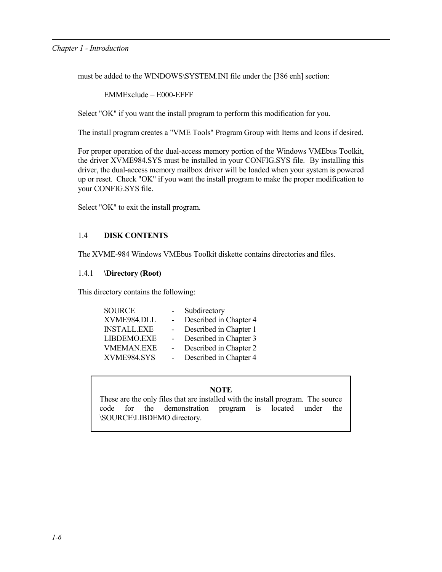#### *Chapter 1 - Introduction*

must be added to the WINDOWS\SYSTEM.INI file under the [386 enh] section:

EMMExclude = E000-EFFF

Select "OK" if you want the install program to perform this modification for you.

The install program creates a "VME Tools" Program Group with Items and Icons if desired.

For proper operation of the dual-access memory portion of the Windows VMEbus Toolkit, the driver XVME984.SYS must be installed in your CONFIG.SYS file. By installing this driver, the dual-access memory mailbox driver will be loaded when your system is powered up or reset. Check "OK" if you want the install program to make the proper modification to your CONFIG.SYS file.

Select "OK" to exit the install program.

#### 1.4 **DISK CONTENTS**

The XVME-984 Windows VMEbus Toolkit diskette contains directories and files.

#### 1.4.1 **\Directory (Root)**

This directory contains the following:

| Subdirectory           |
|------------------------|
| Described in Chapter 4 |
| Described in Chapter 1 |
| Described in Chapter 3 |
| Described in Chapter 2 |
| Described in Chapter 4 |
|                        |

#### **NOTE**

These are the only files that are installed with the install program. The source code for the demonstration program is located under the \SOURCE\LIBDEMO directory.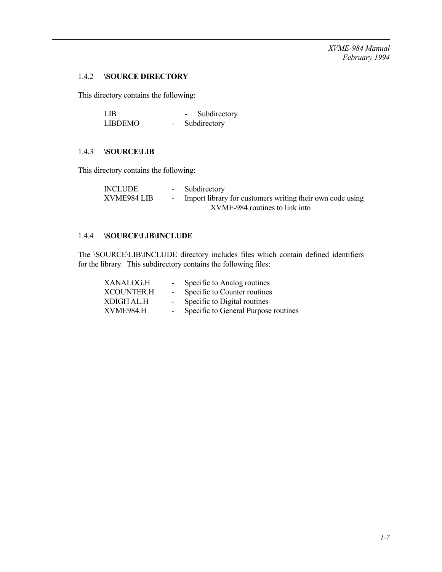*XVME-984 Manual February 1994*

## 1.4.2 **\SOURCE DIRECTORY**

This directory contains the following:

| LIB.           | Subdirectory |
|----------------|--------------|
| <b>LIBDEMO</b> | Subdirectory |

#### 1.4.3 **\SOURCE\LIB**

This directory contains the following:

| <b>INCLUDE</b> | - Subdirectory                                            |
|----------------|-----------------------------------------------------------|
| XVME984 LIB    | Import library for customers writing their own code using |
|                | XVME-984 routines to link into                            |

#### 1.4.4 **\SOURCE\LIB\INCLUDE**

The \SOURCE\LIB\INCLUDE directory includes files which contain defined identifiers for the library. This subdirectory contains the following files:

| XANALOG.H         |                | Specific to Analog routines          |
|-------------------|----------------|--------------------------------------|
| <b>XCOUNTER.H</b> | $\sim$ 10 $\,$ | Specific to Counter routines         |
| XDIGITAL.H        |                | Specific to Digital routines         |
| XVME984.H         |                | Specific to General Purpose routines |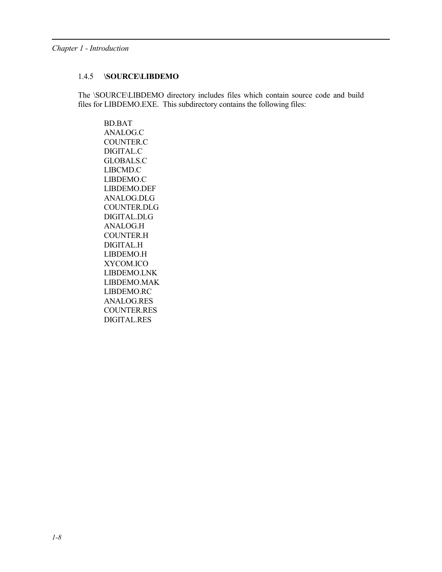#### 1.4.5 **\SOURCE\LIBDEMO**

The \SOURCE\LIBDEMO directory includes files which contain source code and build files for LIBDEMO.EXE. This subdirectory contains the following files:

BD.BAT ANALOG.C COUNTER.C DIGITAL.C GLOBALS.C LIBCMD.C LIBDEMO.C LIBDEMO.DEF ANALOG.DLG COUNTER.DLG DIGITAL.DLG ANALOG.H COUNTER.H DIGITAL.H LIBDEMO.H XYCOM.ICO LIBDEMO.LNK LIBDEMO.MAK LIBDEMO.RC ANALOG.RES COUNTER.RES DIGITAL.RES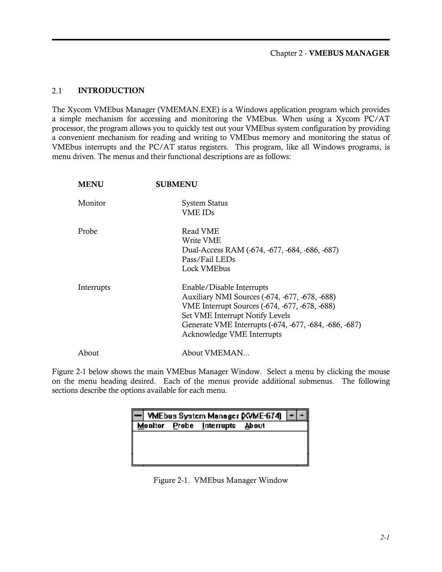#### 2.1 INTRODUCTION

The Xycom VMEbus Manager (VMEMAN.EXE) is a Windows application program which provides a simple mechanism for accessing and monitoring the VMEbus. When using a Xycom PC/AT processor, the program allows you to quickly test out your VMEbus system configuration by providing a convenient mechanism for reading and writing to VMEbus memory and monitoring the status of VMEbus interrupts and the PC/AT status registers. This program, like all Windows programs, is menu driven. The menus and their functional descriptions are as follows:

| <b>MENU</b> | <b>SUBMENU</b>                                                                                                                                                                                                                                           |
|-------------|----------------------------------------------------------------------------------------------------------------------------------------------------------------------------------------------------------------------------------------------------------|
| Monitor     | <b>System Status</b><br><b>VME IDs</b>                                                                                                                                                                                                                   |
| Probe       | Read VME<br>Write VME<br>Dual-Access RAM (-674, -677, -684, -686, -687)<br>Pass/Fail LEDs<br>Lock VMEbus                                                                                                                                                 |
| Interrupts  | Enable/Disable Interrupts<br>Auxiliary NMI Sources (-674, -677, -678, -688)<br>VME Interrupt Sources (-674, -677, -678, -688)<br>Set VME Interrupt Notify Levels<br>Generate VME Interrupts (-674, -677, -684, -686, -687)<br>Acknowledge VME Interrupts |
| About       | About VMEMAN                                                                                                                                                                                                                                             |

Figure 2-1 below shows the main VMEbus Manager Window. Select a menu by clicking the mouse on the menu heading desired. Each of the menus provide additional submenus. The following sections describe the options available for each menu.

|  |                                | VMEbus System Manager (XVME-674) |  |
|--|--------------------------------|----------------------------------|--|
|  | Monitor Probe Interrupts About |                                  |  |
|  |                                |                                  |  |
|  |                                |                                  |  |
|  |                                |                                  |  |
|  |                                |                                  |  |

Figure 2-1. VMEbus Manager Window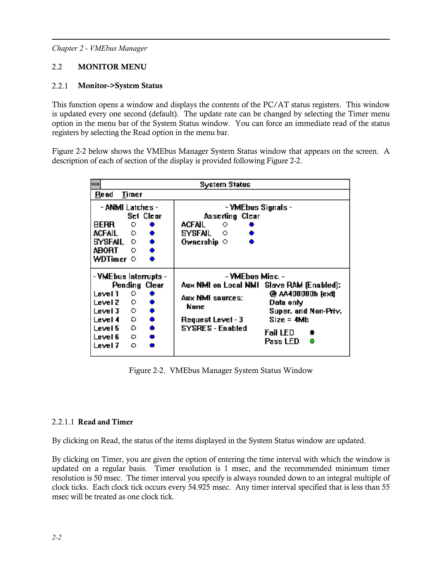## 2.2 MONITOR MENU

#### 2.2.1 Monitor->System Status

This function opens a window and displays the contents of the PC/AT status registers. This window is updated every one second (default). The update rate can be changed by selecting the Timer menu option in the menu bar of the System Status window. You can force an immediate read of the status registers by selecting the Read option in the menu bar.

Figure 2-2 below shows the VMEbus Manager System Status window that appears on the screen. A description of each of section of the display is provided following Figure 2-2.

| System Status                                                                        |                                                                                                             |                                                                                                                                                                                                                                           |
|--------------------------------------------------------------------------------------|-------------------------------------------------------------------------------------------------------------|-------------------------------------------------------------------------------------------------------------------------------------------------------------------------------------------------------------------------------------------|
| Re ad                                                                                | Timer                                                                                                       |                                                                                                                                                                                                                                           |
| <b>BERR</b><br>ACFAIL O ●<br>SYSFAIL O ●<br>ABORT<br>WDTimer O                       | - ANMI Latches -<br>Sci Clear<br>O.<br>$\bullet$<br>$\circ$                                                 | - VMEbus Signals -<br>Asserting Clear<br>ACFAIL<br>$\circ$<br>SYSFAIL ⊙<br>Ownership $\,\circ\,$                                                                                                                                          |
| Level 1<br>Level $2 \circ$<br>$Level3$ 0<br>Level 4<br>Level 5<br>Level 6<br>Level 7 | - YMEbus Interrupts -<br>Pending Clear<br>O.<br>O.<br>$\bullet$<br>O.<br>- 0<br>o<br><b>CONTRACTOR</b><br>ο | - VMEbus Misc. -<br>Aux NMI on Local NMI Slave RAM (Enabled):<br>@ AA400000h [ext]<br>Aux NMI sources:<br>Data only<br>None<br>Super. and Non-Priv.<br>$Size = 4Mb$<br>Request Level - 3<br>SYSRES - Enabled<br>Fail LED<br>Pass LED<br>o |

Figure 2-2. VMEbus Manager System Status Window

#### 2.2.1.1 Read and Timer

By clicking on Read, the status of the items displayed in the System Status window are updated.

By clicking on Timer, you are given the option of entering the time interval with which the window is updated on a regular basis. Timer resolution is 1 msec, and the recommended minimum timer resolution is 50 msec. The timer interval you specify is always rounded down to an integral multiple of clock ticks. Each clock tick occurs every 54.925 msec. Any timer interval specified that is less than 55 msec will be treated as one clock tick.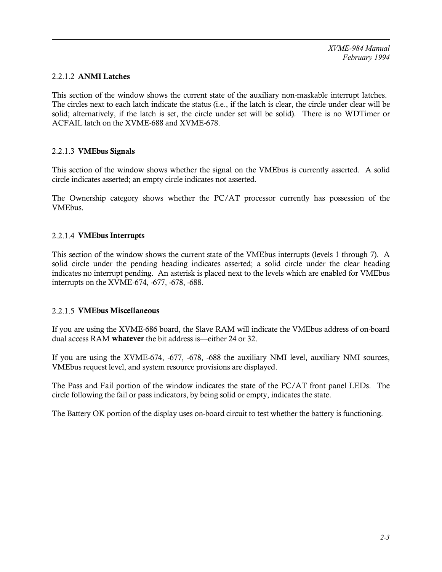#### 2.2.1.2 ANMI Latches

This section of the window shows the current state of the auxiliary non-maskable interrupt latches. The circles next to each latch indicate the status (i.e., if the latch is clear, the circle under clear will be solid; alternatively, if the latch is set, the circle under set will be solid). There is no WDTimer or ACFAIL latch on the XVME-688 and XVME-678.

## 2.2.1.3 VMEbus Signals

This section of the window shows whether the signal on the VMEbus is currently asserted. A solid circle indicates asserted; an empty circle indicates not asserted.

The Ownership category shows whether the PC/AT processor currently has possession of the VMEbus.

#### 2.2.1.4 VMEbus Interrupts

This section of the window shows the current state of the VMEbus interrupts (levels 1 through 7). A solid circle under the pending heading indicates asserted; a solid circle under the clear heading indicates no interrupt pending. An asterisk is placed next to the levels which are enabled for VMEbus interrupts on the XVME-674, -677, -678, -688.

#### 2.2.1.5 VMEbus Miscellaneous

If you are using the XVME-686 board, the Slave RAM will indicate the VMEbus address of on-board dual access RAM whatever the bit address is—either 24 or 32.

If you are using the XVME-674, -677, -678, -688 the auxiliary NMI level, auxiliary NMI sources, VMEbus request level, and system resource provisions are displayed.

The Pass and Fail portion of the window indicates the state of the PC/AT front panel LEDs. The circle following the fail or pass indicators, by being solid or empty, indicates the state.

The Battery OK portion of the display uses on-board circuit to test whether the battery is functioning.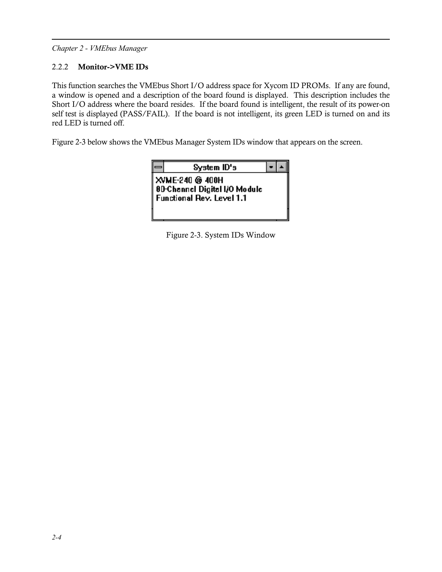# 2.2.2 Monitor->VME IDs

This function searches the VMEbus Short I/O address space for Xycom ID PROMs. If any are found, a window is opened and a description of the board found is displayed. This description includes the Short I/O address where the board resides. If the board found is intelligent, the result of its power-on self test is displayed (PASS/FAIL). If the board is not intelligent, its green LED is turned on and its red LED is turned off.

Figure 2-3 below shows the VMEbus Manager System IDs window that appears on the screen.

| ∠stem ID's |  |
|------------|--|

XVME-240 @ 400H 8D-Channel Digital I/O Module **Functional Rev. Level 1.1** 

Figure 2-3. System IDs Window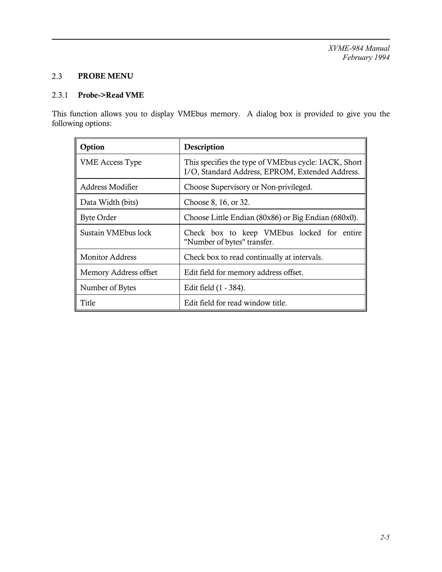# 2.3 PROBE MENU

#### 2.3.1 Probe->Read VME

This function allows you to display VMEbus memory. A dialog box is provided to give you the following options:

| Option                 | Description                                                                                             |
|------------------------|---------------------------------------------------------------------------------------------------------|
| <b>VME Access Type</b> | This specifies the type of VMEbus cycle: IACK, Short<br>I/O, Standard Address, EPROM, Extended Address. |
| Address Modifier       | Choose Supervisory or Non-privileged.                                                                   |
| Data Width (bits)      | Choose 8, 16, or 32.                                                                                    |
| <b>Byte Order</b>      | Choose Little Endian (80x86) or Big Endian (680x0).                                                     |
| Sustain VMEbus lock    | Check box to keep VMEbus locked for entire<br>"Number of bytes" transfer.                               |
| <b>Monitor Address</b> | Check box to read continually at intervals.                                                             |
| Memory Address offset  | Edit field for memory address offset.                                                                   |
| Number of Bytes        | Edit field (1 - 384).                                                                                   |
| Title                  | Edit field for read window title.                                                                       |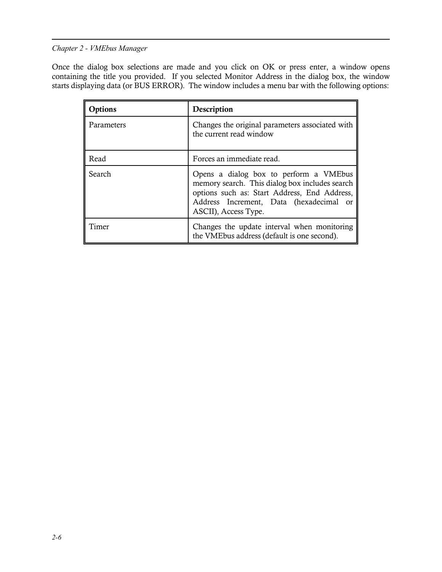Once the dialog box selections are made and you click on OK or press enter, a window opens containing the title you provided. If you selected Monitor Address in the dialog box, the window starts displaying data (or BUS ERROR). The window includes a menu bar with the following options:

| Options    | Description                                                                                                                                                                                                 |
|------------|-------------------------------------------------------------------------------------------------------------------------------------------------------------------------------------------------------------|
| Parameters | Changes the original parameters associated with<br>the current read window                                                                                                                                  |
| Read       | Forces an immediate read.                                                                                                                                                                                   |
| Search     | Opens a dialog box to perform a VMEbus<br>memory search. This dialog box includes search<br>options such as: Start Address, End Address,<br>Address Increment, Data (hexadecimal or<br>ASCII), Access Type. |
| Timer      | Changes the update interval when monitoring<br>the VMEbus address (default is one second).                                                                                                                  |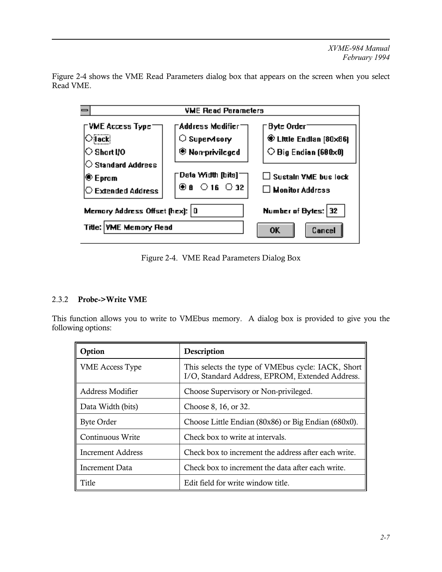

Figure 2-4 shows the VME Read Parameters dialog box that appears on the screen when you select Read VME.

Figure 2-4. VME Read Parameters Dialog Box

# 2.3.2 Probe->Write VME

This function allows you to write to VMEbus memory. A dialog box is provided to give you the following options:

| Option                   | Description                                                                                           |
|--------------------------|-------------------------------------------------------------------------------------------------------|
| <b>VME</b> Access Type   | This selects the type of VMEbus cycle: IACK, Short<br>I/O, Standard Address, EPROM, Extended Address. |
| Address Modifier         | Choose Supervisory or Non-privileged.                                                                 |
| Data Width (bits)        | Choose 8, 16, or 32.                                                                                  |
| <b>Byte Order</b>        | Choose Little Endian (80x86) or Big Endian (680x0).                                                   |
| Continuous Write         | Check box to write at intervals.                                                                      |
| <b>Increment Address</b> | Check box to increment the address after each write.                                                  |
| Increment Data           | Check box to increment the data after each write.                                                     |
| Title                    | Edit field for write window title.                                                                    |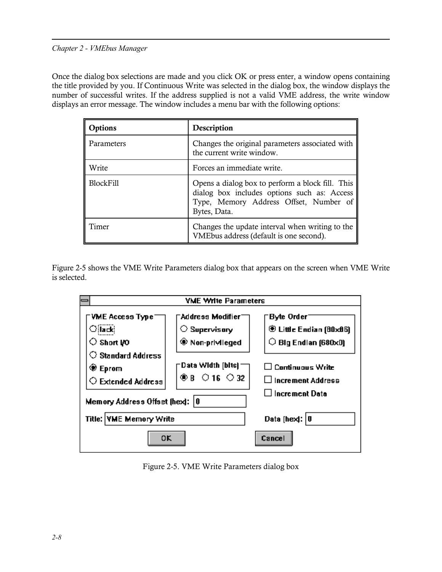Once the dialog box selections are made and you click OK or press enter, a window opens containing the title provided by you. If Continuous Write was selected in the dialog box, the window displays the number of successful writes. If the address supplied is not a valid VME address, the write window displays an error message. The window includes a menu bar with the following options:

| Options          | Description                                                                                                                                               |
|------------------|-----------------------------------------------------------------------------------------------------------------------------------------------------------|
| Parameters       | Changes the original parameters associated with<br>the current write window.                                                                              |
| Write            | Forces an immediate write.                                                                                                                                |
| <b>BlockFill</b> | Opens a dialog box to perform a block fill. This<br>dialog box includes options such as: Access<br>Type, Memory Address Offset, Number of<br>Bytes, Data. |
| Timer            | Changes the update interval when writing to the<br>VMEbus address (default is one second).                                                                |

Figure 2-5 shows the VME Write Parameters dialog box that appears on the screen when VME Write is selected.



Figure 2-5. VME Write Parameters dialog box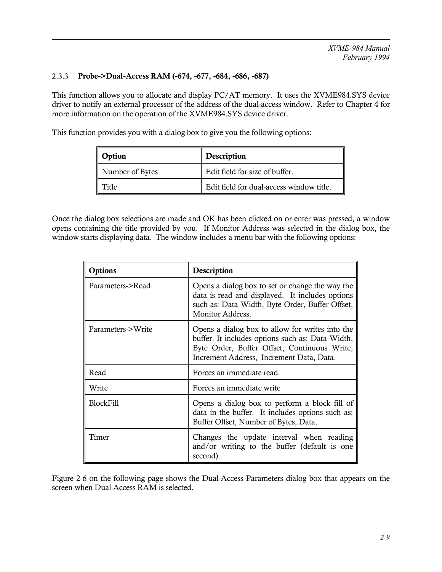## 2.3.3 Probe->Dual-Access RAM (-674, -677, -684, -686, -687)

This function allows you to allocate and display PC/AT memory. It uses the XVME984.SYS device driver to notify an external processor of the address of the dual-access window. Refer to Chapter 4 for more information on the operation of the XVME984.SYS device driver.

This function provides you with a dialog box to give you the following options:

| Option          | Description                              |
|-----------------|------------------------------------------|
| Number of Bytes | Edit field for size of buffer.           |
| Title           | Edit field for dual-access window title. |

Once the dialog box selections are made and OK has been clicked on or enter was pressed, a window opens containing the title provided by you. If Monitor Address was selected in the dialog box, the window starts displaying data. The window includes a menu bar with the following options:

| Options           | Description                                                                                                                                                                                     |
|-------------------|-------------------------------------------------------------------------------------------------------------------------------------------------------------------------------------------------|
| Parameters->Read  | Opens a dialog box to set or change the way the<br>data is read and displayed. It includes options<br>such as: Data Width, Byte Order, Buffer Offset,<br>Monitor Address.                       |
| Parameters->Write | Opens a dialog box to allow for writes into the<br>buffer. It includes options such as: Data Width,<br>Byte Order, Buffer Offset, Continuous Write,<br>Increment Address, Increment Data, Data. |
| Read              | Forces an immediate read.                                                                                                                                                                       |
| Write             | Forces an immediate write                                                                                                                                                                       |
| <b>BlockFill</b>  | Opens a dialog box to perform a block fill of<br>data in the buffer. It includes options such as:<br>Buffer Offset, Number of Bytes, Data.                                                      |
| Timer             | Changes the update interval when reading<br>and/or writing to the buffer (default is one<br>second).                                                                                            |

Figure 2-6 on the following page shows the Dual-Access Parameters dialog box that appears on the screen when Dual Access RAM is selected.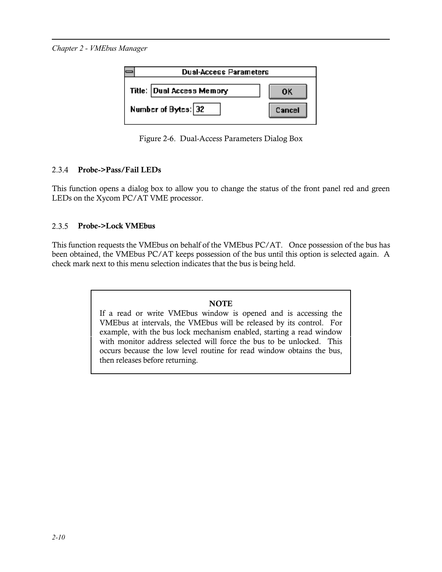| <b>Dual-Access Parameters</b> |
|-------------------------------|
| ΩK                            |
| Cancel                        |
|                               |

Figure 2-6. Dual-Access Parameters Dialog Box

## 2.3.4 Probe->Pass/Fail LEDs

This function opens a dialog box to allow you to change the status of the front panel red and green LEDs on the Xycom PC/AT VME processor.

## 2.3.5 Probe->Lock VMEbus

This function requests the VMEbus on behalf of the VMEbus PC/AT. Once possession of the bus has been obtained, the VMEbus PC/AT keeps possession of the bus until this option is selected again. A check mark next to this menu selection indicates that the bus is being held.

## **NOTE**

If a read or write VMEbus window is opened and is accessing the VMEbus at intervals, the VMEbus will be released by its control. For example, with the bus lock mechanism enabled, starting a read window with monitor address selected will force the bus to be unlocked. This occurs because the low level routine for read window obtains the bus, then releases before returning.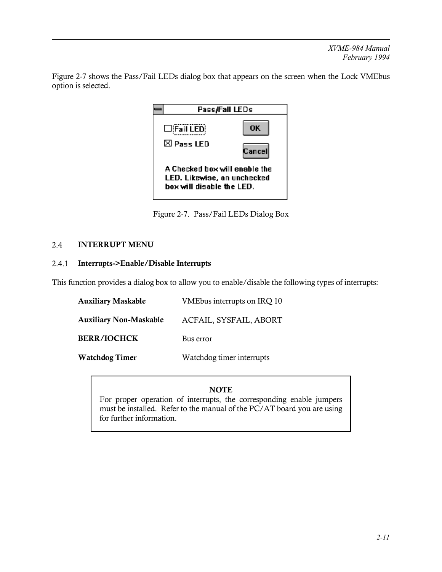Figure 2-7 shows the Pass/Fail LEDs dialog box that appears on the screen when the Lock VMEbus option is selected.



Figure 2-7. Pass/Fail LEDs Dialog Box

## 2.4 INTERRUPT MENU

## 2.4.1 Interrupts->Enable/Disable Interrupts

This function provides a dialog box to allow you to enable/disable the following types of interrupts:

| <b>Auxiliary Maskable</b>     | VMEbus interrupts on IRQ 10 |
|-------------------------------|-----------------------------|
| <b>Auxiliary Non-Maskable</b> | ACFAIL, SYSFAIL, ABORT      |
| <b>BERR/IOCHCK</b>            | Bus error                   |
| <b>Watchdog Timer</b>         | Watchdog timer interrupts   |

# **NOTE**

For proper operation of interrupts, the corresponding enable jumpers must be installed. Refer to the manual of the PC/AT board you are using for further information.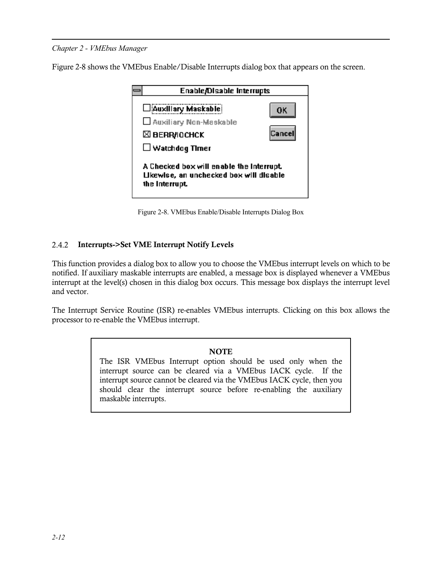Figure 2-8 shows the VMEbus Enable/Disable Interrupts dialog box that appears on the screen.



Figure 2-8. VMEbus Enable/Disable Interrupts Dialog Box

## 2.4.2 Interrupts->Set VME Interrupt Notify Levels

This function provides a dialog box to allow you to choose the VMEbus interrupt levels on which to be notified. If auxiliary maskable interrupts are enabled, a message box is displayed whenever a VMEbus interrupt at the level(s) chosen in this dialog box occurs. This message box displays the interrupt level and vector.

The Interrupt Service Routine (ISR) re-enables VMEbus interrupts. Clicking on this box allows the processor to re-enable the VMEbus interrupt.

#### **NOTE**

The ISR VMEbus Interrupt option should be used only when the interrupt source can be cleared via a VMEbus IACK cycle. If the interrupt source cannot be cleared via the VMEbus IACK cycle, then you should clear the interrupt source before re-enabling the auxiliary maskable interrupts.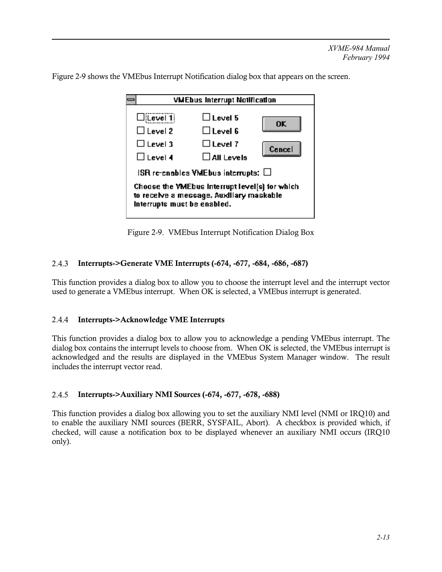Figure 2-9 shows the VMEbus Interrupt Notification dialog box that appears on the screen.

| <b>VMEbus Interrupt Notification</b>                                                                                      |                                                                               |              |
|---------------------------------------------------------------------------------------------------------------------------|-------------------------------------------------------------------------------|--------------|
| $\Box$ [Level 1]<br>$\Box$ Level 2<br>$\Box$ Level 3<br>$\Box$ Level 4                                                    | $\square$ Level 5<br>$\Box$ Level 6<br>$\Box$ Level 7<br>$\square$ All Levels | ok<br>Cancel |
| $\sf IBR$ re-enables VMEbus interrupts: $\Box$                                                                            |                                                                               |              |
| Choose the VMEbus Interrupt level[s] for which<br>to receive a message. Auxiliary maskable<br>Interrupts must be enabled. |                                                                               |              |

Figure 2-9. VMEbus Interrupt Notification Dialog Box

## 2.4.3 Interrupts->Generate VME Interrupts (-674, -677, -684, -686, -687)

This function provides a dialog box to allow you to choose the interrupt level and the interrupt vector used to generate a VMEbus interrupt. When OK is selected, a VMEbus interrupt is generated.

## 2.4.4 Interrupts->Acknowledge VME Interrupts

This function provides a dialog box to allow you to acknowledge a pending VMEbus interrupt. The dialog box contains the interrupt levels to choose from. When OK is selected, the VMEbus interrupt is acknowledged and the results are displayed in the VMEbus System Manager window. The result includes the interrupt vector read.

## 2.4.5 Interrupts->Auxiliary NMI Sources (-674, -677, -678, -688)

This function provides a dialog box allowing you to set the auxiliary NMI level (NMI or IRQ10) and to enable the auxiliary NMI sources (BERR, SYSFAIL, Abort). A checkbox is provided which, if checked, will cause a notification box to be displayed whenever an auxiliary NMI occurs (IRQ10 only).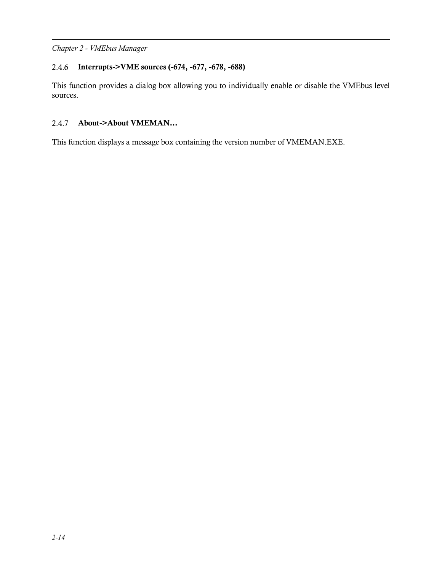## 2.4.6 Interrupts->VME sources (-674, -677, -678, -688)

This function provides a dialog box allowing you to individually enable or disable the VMEbus level sources.

# 2.4.7 About->About VMEMAN...

This function displays a message box containing the version number of VMEMAN.EXE.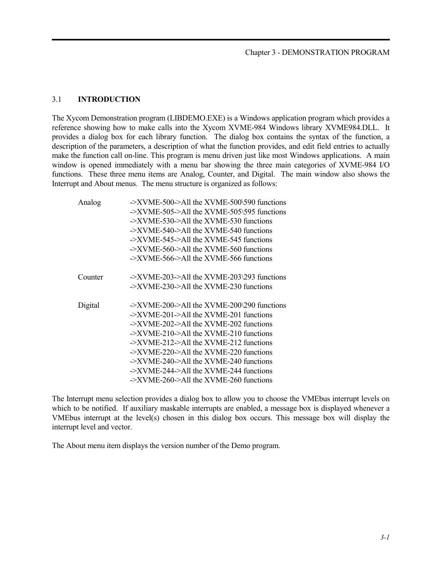#### 3.1 **INTRODUCTION**

The Xycom Demonstration program (LIBDEMO.EXE) is a Windows application program which provides a reference showing how to make calls into the Xycom XVME-984 Windows library XVME984.DLL. It provides a dialog box for each library function. The dialog box contains the syntax of the function, a description of the parameters, a description of what the function provides, and edit field entries to actually make the function call on-line. This program is menu driven just like most Windows applications. A main window is opened immediately with a menu bar showing the three main categories of XVME-984 I/O functions. These three menu items are Analog, Counter, and Digital. The main window also shows the Interrupt and About menus. The menu structure is organized as follows:

| Analog  | $\rightarrow$ XVME-500->All the XVME-500\590 functions<br>$\rightarrow$ XVME-505 $\rightarrow$ All the XVME-505\595 functions<br>$\rightarrow$ XVME-530- $>$ All the XVME-530 functions<br>$\rightarrow$ XVME-540- $\rightarrow$ All the XVME-540 functions<br>$\rightarrow$ XVME-545 $\rightarrow$ All the XVME-545 functions<br>$\rightarrow$ XVME-560- $>$ All the XVME-560 functions<br>$\rightarrow$ XVME-566->All the XVME-566 functions                                                                                                                                                                |
|---------|---------------------------------------------------------------------------------------------------------------------------------------------------------------------------------------------------------------------------------------------------------------------------------------------------------------------------------------------------------------------------------------------------------------------------------------------------------------------------------------------------------------------------------------------------------------------------------------------------------------|
| Counter | $\rightarrow$ XVME-203->All the XVME-203\293 functions<br>$\rightarrow$ XVME-230- $>$ All the XVME-230 functions                                                                                                                                                                                                                                                                                                                                                                                                                                                                                              |
| Digital | $\rightarrow$ XVME-200- $\rightarrow$ All the XVME-200\290 functions<br>$\rightarrow$ XVME-201 $\rightarrow$ All the XVME-201 functions<br>$\rightarrow$ XVME-202 $\rightarrow$ All the XVME-202 functions<br>$\rightarrow$ XVME-210- $\rightarrow$ All the XVME-210 functions<br>$\rightarrow$ XVME-212 $\rightarrow$ All the XVME-212 functions<br>$\rightarrow$ XVME-220- $\rightarrow$ All the XVME-220 functions<br>$\rightarrow$ XVME-240- $\rightarrow$ All the XVME-240 functions<br>$\rightarrow$ XVME-244- $>$ All the XVME-244 functions<br>$\rightarrow$ XVME-260- $>$ All the XVME-260 functions |

The Interrupt menu selection provides a dialog box to allow you to choose the VMEbus interrupt levels on which to be notified. If auxiliary maskable interrupts are enabled, a message box is displayed whenever a VMEbus interrupt at the level(s) chosen in this dialog box occurs. This message box will display the interrupt level and vector.

The About menu item displays the version number of the Demo program.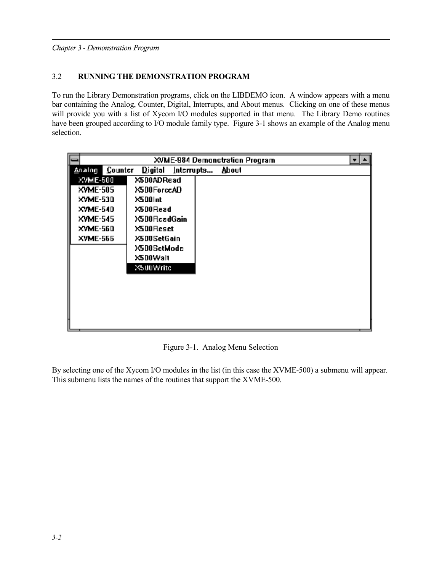*Chapter 3 - Demonstration Program*

## 3.2 **RUNNING THE DEMONSTRATION PROGRAM**

To run the Library Demonstration programs, click on the LIBDEMO icon. A window appears with a menu bar containing the Analog, Counter, Digital, Interrupts, and About menus. Clicking on one of these menus will provide you with a list of Xycom I/O modules supported in that menu. The Library Demo routines have been grouped according to I/O module family type. Figure 3-1 shows an example of the Analog menu selection.

|                          |                                   | <b>XVME-984 Demonstration Program</b> |  |
|--------------------------|-----------------------------------|---------------------------------------|--|
| <b>Counter</b><br>Analog | $\mathbf{D}$ igital<br>Interrupts | About                                 |  |
| XVME-500                 | X500ADRead                        |                                       |  |
| <b>XVME-505</b>          | X500ForceAD                       |                                       |  |
| <b>XVME-530</b>          | X500 int                          |                                       |  |
| <b>XVME-540</b>          | X5D0Read                          |                                       |  |
| <b>XVME-545</b>          | X500 ReadGain                     |                                       |  |
| XVME-560                 | X500 Reset                        |                                       |  |
| <b>XVME-565</b>          | X500SetGain                       |                                       |  |
|                          | X500SctModc                       |                                       |  |
|                          | X5D0Walt                          |                                       |  |
|                          | X500Write                         |                                       |  |
|                          |                                   |                                       |  |
|                          |                                   |                                       |  |
|                          |                                   |                                       |  |
|                          |                                   |                                       |  |
|                          |                                   |                                       |  |
|                          |                                   |                                       |  |

Figure 3-1. Analog Menu Selection

By selecting one of the Xycom I/O modules in the list (in this case the XVME-500) a submenu will appear. This submenu lists the names of the routines that support the XVME-500.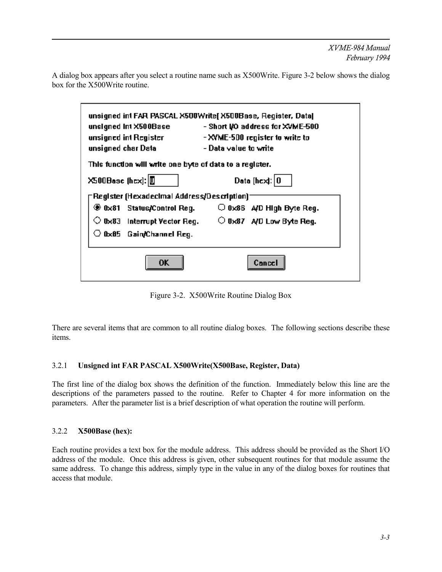A dialog box appears after you select a routine name such as X500Write. Figure 3-2 below shows the dialog box for the X500Write routine.

| unsigned int X500Base<br>unsigned int Register<br>unsigned char Data | unsigned int FAR PASCAL X500Write[ X500Base, Register, Data]<br>- Short I/O address for XVME-500<br>- XVME-500 register to write to<br>- Data ∨alue to write |
|----------------------------------------------------------------------|--------------------------------------------------------------------------------------------------------------------------------------------------------------|
| This function will write one byte of data to a register.             |                                                                                                                                                              |
| X500Basc (hcx): 0                                                    | Data [hcx]: $ 0 $                                                                                                                                            |
| [Register (Hexadecimal Address/Description)                          |                                                                                                                                                              |
| ⊛ 0x81   Status/Control Reg.                                         | $\bigcirc$ 0x86 A/D High Byte Reg.                                                                                                                           |
|                                                                      | $\circlearrowright$ 0x83 $\,$ interrupt Vector Reg. $\,$ $\,$ $\,$ $\,$ 0x87 $\,$ A/D Low Byte Reg.                                                          |
| $\circ$ 0x85 $\,$ Gain/Channel Reg.                                  |                                                                                                                                                              |
| 0K                                                                   |                                                                                                                                                              |

Figure 3-2. X500Write Routine Dialog Box

There are several items that are common to all routine dialog boxes. The following sections describe these items.

## 3.2.1 **Unsigned int FAR PASCAL X500Write(X500Base, Register, Data)**

The first line of the dialog box shows the definition of the function. Immediately below this line are the descriptions of the parameters passed to the routine. Refer to Chapter 4 for more information on the parameters. After the parameter list is a brief description of what operation the routine will perform.

#### 3.2.2 **X500Base (hex):**

Each routine provides a text box for the module address. This address should be provided as the Short I/O address of the module. Once this address is given, other subsequent routines for that module assume the same address. To change this address, simply type in the value in any of the dialog boxes for routines that access that module.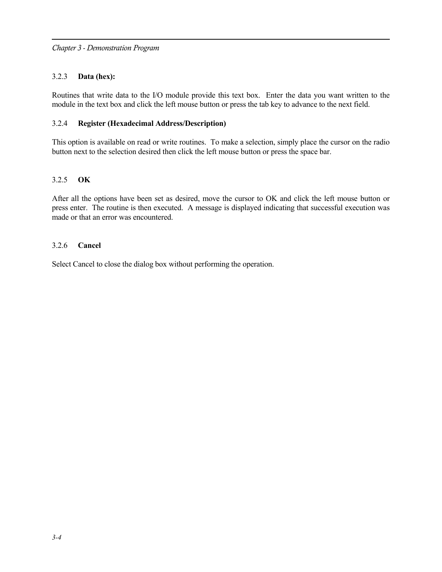#### 3.2.3 **Data (hex):**

Routines that write data to the I/O module provide this text box. Enter the data you want written to the module in the text box and click the left mouse button or press the tab key to advance to the next field.

#### 3.2.4 **Register (Hexadecimal Address/Description)**

This option is available on read or write routines. To make a selection, simply place the cursor on the radio button next to the selection desired then click the left mouse button or press the space bar.

#### 3.2.5 **OK**

After all the options have been set as desired, move the cursor to OK and click the left mouse button or press enter. The routine is then executed. A message is displayed indicating that successful execution was made or that an error was encountered.

#### 3.2.6 **Cancel**

Select Cancel to close the dialog box without performing the operation.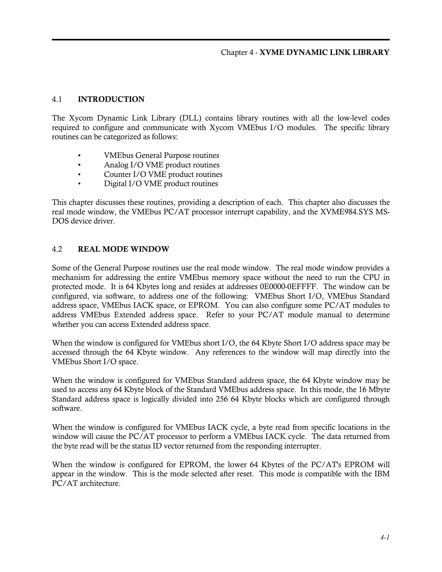## 4.1 INTRODUCTION

The Xycom Dynamic Link Library (DLL) contains library routines with all the low-level codes required to configure and communicate with Xycom VMEbus I/O modules. The specific library routines can be categorized as follows:

- VMEbus General Purpose routines
- Analog I/O VME product routines
- Counter I/O VME product routines
- Digital I/O VME product routines

This chapter discusses these routines, providing a description of each. This chapter also discusses the real mode window, the VMEbus PC/AT processor interrupt capability, and the XVME984.SYS MS-DOS device driver.

## 4.2 REAL MODE WINDOW

Some of the General Purpose routines use the real mode window. The real mode window provides a mechanism for addressing the entire VMEbus memory space without the need to run the CPU in protected mode. It is 64 Kbytes long and resides at addresses 0E0000-0EFFFF. The window can be configured, via software, to address one of the following: VMEbus Short I/O, VMEbus Standard address space, VMEbus IACK space, or EPROM. You can also configure some PC/AT modules to address VMEbus Extended address space. Refer to your PC/AT module manual to determine whether you can access Extended address space.

When the window is configured for VMEbus short I/O, the 64 Kbyte Short I/O address space may be accessed through the 64 Kbyte window. Any references to the window will map directly into the VMEbus Short I/O space.

When the window is configured for VMEbus Standard address space, the 64 Kbyte window may be used to access any 64 Kbyte block of the Standard VMEbus address space. In this mode, the 16 Mbyte Standard address space is logically divided into 256 64 Kbyte blocks which are configured through software.

When the window is configured for VMEbus IACK cycle, a byte read from specific locations in the window will cause the PC/AT processor to perform a VMEbus IACK cycle. The data returned from the byte read will be the status ID vector returned from the responding interrupter.

When the window is configured for EPROM, the lower 64 Kbytes of the PC/AT's EPROM will appear in the window. This is the mode selected after reset. This mode is compatible with the IBM PC/AT architecture.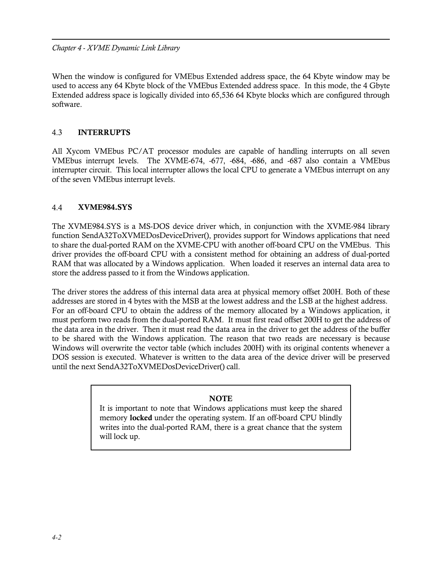*Chapter 4 - XVME Dynamic Link Library*

When the window is configured for VMEbus Extended address space, the 64 Kbyte window may be used to access any 64 Kbyte block of the VMEbus Extended address space. In this mode, the 4 Gbyte Extended address space is logically divided into 65,536 64 Kbyte blocks which are configured through software.

## 4.3 INTERRUPTS

All Xycom VMEbus PC/AT processor modules are capable of handling interrupts on all seven VMEbus interrupt levels. The XVME-674, -677, -684, -686, and -687 also contain a VMEbus interrupter circuit. This local interrupter allows the local CPU to generate a VMEbus interrupt on any of the seven VMEbus interrupt levels.

## 4.4 XVME984.SYS

The XVME984.SYS is a MS-DOS device driver which, in conjunction with the XVME-984 library function SendA32ToXVMEDosDeviceDriver(), provides support for Windows applications that need to share the dual-ported RAM on the XVME-CPU with another off-board CPU on the VMEbus. This driver provides the off-board CPU with a consistent method for obtaining an address of dual-ported RAM that was allocated by a Windows application. When loaded it reserves an internal data area to store the address passed to it from the Windows application.

The driver stores the address of this internal data area at physical memory offset 200H. Both of these addresses are stored in 4 bytes with the MSB at the lowest address and the LSB at the highest address. For an off-board CPU to obtain the address of the memory allocated by a Windows application, it must perform two reads from the dual-ported RAM. It must first read offset 200H to get the address of the data area in the driver. Then it must read the data area in the driver to get the address of the buffer to be shared with the Windows application. The reason that two reads are necessary is because Windows will overwrite the vector table (which includes 200H) with its original contents whenever a DOS session is executed. Whatever is written to the data area of the device driver will be preserved until the next SendA32ToXVMEDosDeviceDriver() call.

## **NOTE**

It is important to note that Windows applications must keep the shared memory locked under the operating system. If an off-board CPU blindly writes into the dual-ported RAM, there is a great chance that the system will lock up.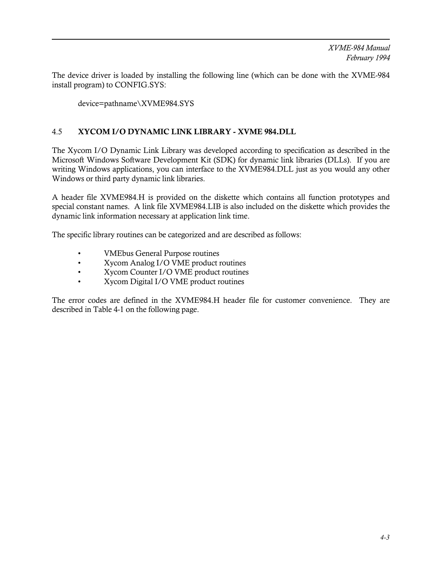The device driver is loaded by installing the following line (which can be done with the XVME-984 install program) to CONFIG.SYS:

device=pathname\XVME984.SYS

# 4.5 XYCOM I/O DYNAMIC LINK LIBRARY - XVME 984.DLL

The Xycom I/O Dynamic Link Library was developed according to specification as described in the Microsoft Windows Software Development Kit (SDK) for dynamic link libraries (DLLs). If you are writing Windows applications, you can interface to the XVME984.DLL just as you would any other Windows or third party dynamic link libraries.

A header file XVME984.H is provided on the diskette which contains all function prototypes and special constant names. A link file XVME984.LIB is also included on the diskette which provides the dynamic link information necessary at application link time.

The specific library routines can be categorized and are described as follows:

- VMEbus General Purpose routines
- Xycom Analog I/O VME product routines
- Xycom Counter I/O VME product routines
- Xycom Digital I/O VME product routines

The error codes are defined in the XVME984.H header file for customer convenience. They are described in Table 4-1 on the following page.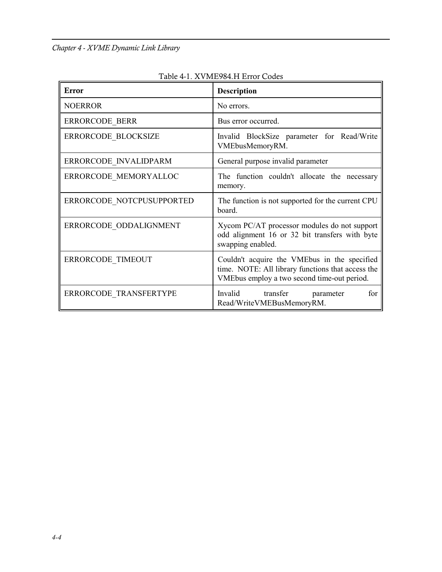| <b>Error</b>              | <b>Description</b>                                                                                                                               |
|---------------------------|--------------------------------------------------------------------------------------------------------------------------------------------------|
| <b>NOERROR</b>            | No errors.                                                                                                                                       |
| <b>ERRORCODE BERR</b>     | Bus error occurred.                                                                                                                              |
| ERRORCODE BLOCKSIZE       | Invalid BlockSize parameter for Read/Write<br>VMEbusMemoryRM.                                                                                    |
| ERRORCODE INVALIDPARM     | General purpose invalid parameter                                                                                                                |
| ERRORCODE MEMORYALLOC     | The function couldn't allocate the necessary<br>memory.                                                                                          |
| ERRORCODE NOTCPUSUPPORTED | The function is not supported for the current CPU<br>board.                                                                                      |
| ERRORCODE ODDALIGNMENT    | Xycom PC/AT processor modules do not support<br>odd alignment 16 or 32 bit transfers with byte<br>swapping enabled.                              |
| ERRORCODE TIMEOUT         | Couldn't acquire the VMEbus in the specified<br>time. NOTE: All library functions that access the<br>VMEbus employ a two second time-out period. |
| ERRORCODE TRANSFERTYPE    | Invalid transfer<br>for<br>parameter<br>Read/WriteVMEBusMemoryRM.                                                                                |

Table 4-1. XVME984.H Error Codes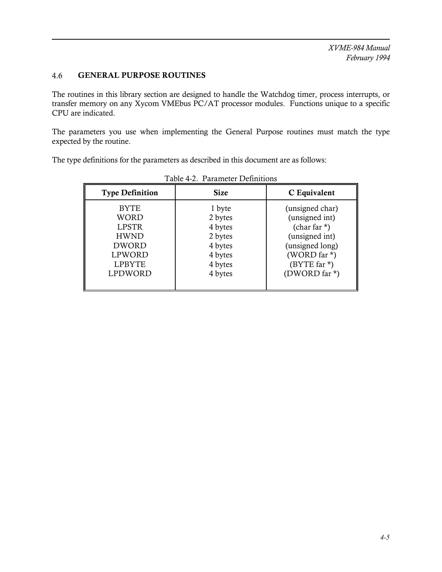# 4.6 GENERAL PURPOSE ROUTINES

The routines in this library section are designed to handle the Watchdog timer, process interrupts, or transfer memory on any Xycom VMEbus PC/AT processor modules. Functions unique to a specific CPU are indicated.

The parameters you use when implementing the General Purpose routines must match the type expected by the routine.

The type definitions for the parameters as described in this document are as follows:

| <b>Type Definition</b>                                                                                                        | <b>Size</b>                                                                         | C Equivalent                                                                                                                               |  |  |
|-------------------------------------------------------------------------------------------------------------------------------|-------------------------------------------------------------------------------------|--------------------------------------------------------------------------------------------------------------------------------------------|--|--|
| <b>BYTE</b><br><b>WORD</b><br><b>LPSTR</b><br><b>HWND</b><br><b>DWORD</b><br><b>LPWORD</b><br><b>LPBYTE</b><br><b>LPDWORD</b> | 1 byte<br>2 bytes<br>4 bytes<br>2 bytes<br>4 bytes<br>4 bytes<br>4 bytes<br>4 bytes | (unsigned char)<br>(unsigned int)<br>(char far $*$ )<br>(unsigned int)<br>(unsigned long)<br>(WORD far *)<br>(BYTE far *)<br>(DWORD far *) |  |  |

Table 4-2. Parameter Definitions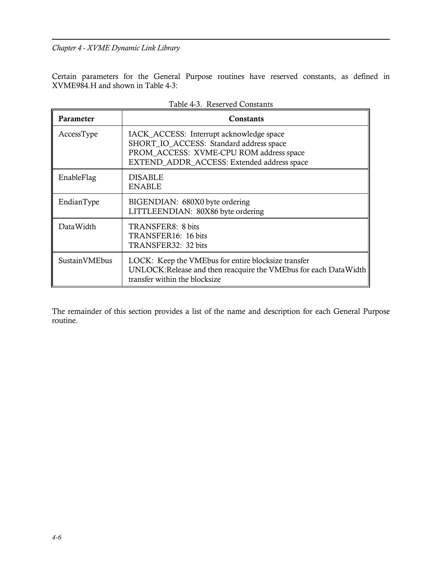Certain parameters for the General Purpose routines have reserved constants, as defined in XVME984.H and shown in Table 4-3:

| <b>Parameter</b> | <b>Constants</b>                                                                                                                                                             |
|------------------|------------------------------------------------------------------------------------------------------------------------------------------------------------------------------|
| AccessType       | IACK_ACCESS: Interrupt acknowledge space<br>SHORT_IO_ACCESS: Standard address space<br>PROM_ACCESS: XVME-CPU ROM address space<br>EXTEND ADDR ACCESS: Extended address space |
| EnableFlag       | <b>DISABLE</b><br><b>ENABLE</b>                                                                                                                                              |
| EndianType       | BIGENDIAN: 680X0 byte ordering<br>LITTLEENDIAN: 80X86 byte ordering                                                                                                          |
| DataWidth        | TRANSFER8: 8 bits<br>TRANSFER16: 16 bits<br>TRANSFER32: 32 bits                                                                                                              |
| SustainVMEbus    | LOCK: Keep the VMEbus for entire blocksize transfer<br>UNLOCK: Release and then reacquire the VMEbus for each Data Width<br>transfer within the blocksize                    |

The remainder of this section provides a list of the name and description for each General Purpose routine.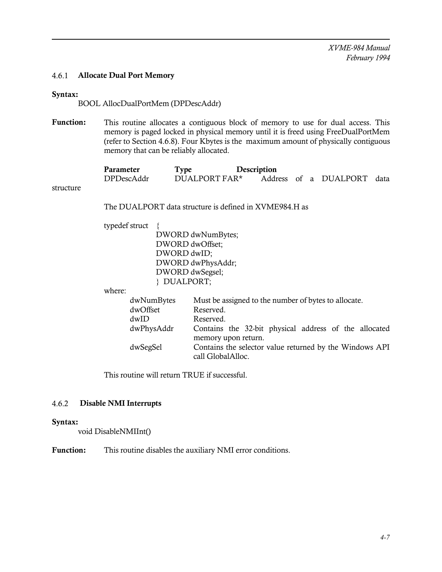#### 4.6.1 Allocate Dual Port Memory

#### Syntax:

BOOL AllocDualPortMem (DPDescAddr)

Function: This routine allocates a contiguous block of memory to use for dual access. This memory is paged locked in physical memory until it is freed using FreeDualPortMem (refer to Section 4.6.8). Four Kbytes is the maximum amount of physically contiguous memory that can be reliably allocated.

| Parameter  | Type          | Description |  |                            |  |
|------------|---------------|-------------|--|----------------------------|--|
| DPDescAddr | DUALPORT FAR* |             |  | Address of a DUALPORT data |  |

structure

The DUALPORT data structure is defined in XVME984.H as

typedef struct {

DWORD dwNumBytes; DWORD dwOffset; DWORD dwID; DWORD dwPhysAddr; DWORD dwSegsel; } DUALPORT;

where:

| dwNumBytes | Must be assigned to the number of bytes to allocate.    |
|------------|---------------------------------------------------------|
| dwOffset   | Reserved.                                               |
| dwID       | Reserved.                                               |
| dwPhysAddr | Contains the 32-bit physical address of the allocated   |
|            | memory upon return.                                     |
| dwSegSel   | Contains the selector value returned by the Windows API |
|            | call GlobalAlloc.                                       |

This routine will return TRUE if successful.

#### 4.6.2 Disable NMI Interrupts

#### Syntax:

void DisableNMIInt()

Function: This routine disables the auxiliary NMI error conditions.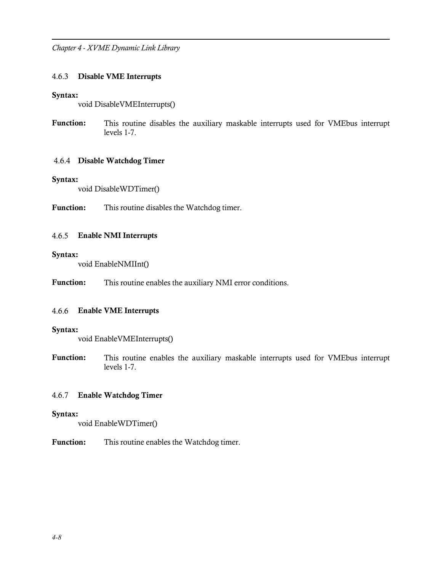#### 4.6.3 Disable VME Interrupts

#### Syntax:

void DisableVMEInterrupts()

Function: This routine disables the auxiliary maskable interrupts used for VMEbus interrupt levels 1-7.

#### 4.6.4 Disable Watchdog Timer

#### Syntax:

void DisableWDTimer()

Function: This routine disables the Watchdog timer.

#### 4.6.5 Enable NMI Interrupts

#### Syntax:

void EnableNMIInt()

Function: This routine enables the auxiliary NMI error conditions.

#### 4.6.6 Enable VME Interrupts

#### Syntax:

void EnableVMEInterrupts()

Function: This routine enables the auxiliary maskable interrupts used for VMEbus interrupt levels 1-7.

## 4.6.7 Enable Watchdog Timer

#### Syntax:

void EnableWDTimer()

Function: This routine enables the Watchdog timer.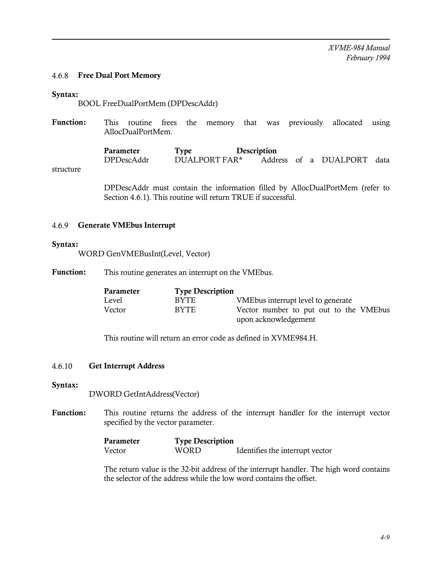#### 4.6.8 Free Dual Port Memory

#### Syntax:

BOOL FreeDualPortMem (DPDescAddr)

Function: This routine frees the memory that was previously allocated using AllocDualPortMem.

> **Parameter Type Description**<br>DPDescAddr DUALPORT FAR\* Addr Address of a DUALPORT data

structure

DPDescAddr must contain the information filled by AllocDualPortMem (refer to Section 4.6.1). This routine will return TRUE if successful.

#### 4.6.9 Generate VMEbus Interrupt

#### Syntax:

WORD GenVMEBusInt(Level, Vector)

Function: This routine generates an interrupt on the VMEbus.

| Parameter | <b>Type Description</b> |                                        |
|-----------|-------------------------|----------------------------------------|
| Level     | BYTE.                   | VME bus interrupt level to generate    |
| Vector    | <b>BYTE</b>             | Vector number to put out to the VMEbus |
|           |                         | upon acknowledgement                   |

This routine will return an error code as defined in XVME984.H.

#### 4.6.10 Get Interrupt Address

Syntax:

DWORD GetIntAddress(Vector)

Function: This routine returns the address of the interrupt handler for the interrupt vector specified by the vector parameter.

| Parameter | <b>Type Description</b> |                                 |  |
|-----------|-------------------------|---------------------------------|--|
| Vector    | WORD                    | Identifies the interrupt vector |  |

The return value is the 32-bit address of the interrupt handler. The high word contains the selector of the address while the low word contains the offset.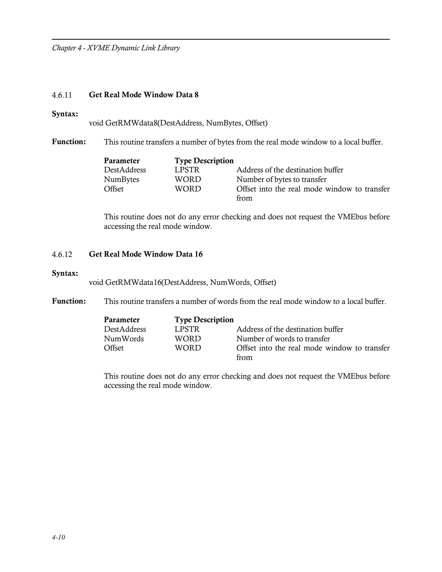# 4.6.11 Get Real Mode Window Data 8

#### Syntax:

void GetRMWdata8(DestAddress, NumBytes, Offset)

Function: This routine transfers a number of bytes from the real mode window to a local buffer.

| Parameter   | <b>Type Description</b> |                                              |
|-------------|-------------------------|----------------------------------------------|
| DestAddress | LPSTR                   | Address of the destination buffer            |
| NumBytes    | WORD                    | Number of bytes to transfer                  |
| Offset      | WORD                    | Offset into the real mode window to transfer |
|             |                         | from                                         |

This routine does not do any error checking and does not request the VMEbus before accessing the real mode window.

### 4.6.12 Get Real Mode Window Data 16

### Syntax:

void GetRMWdata16(DestAddress, NumWords, Offset)

Function: This routine transfers a number of words from the real mode window to a local buffer.

| <b>Parameter</b>   | <b>Type Description</b> |                                              |
|--------------------|-------------------------|----------------------------------------------|
| <b>DestAddress</b> | LPSTR.                  | Address of the destination buffer            |
| NumWords           | <b>WORD</b>             | Number of words to transfer                  |
| Offset             | <b>WORD</b>             | Offset into the real mode window to transfer |
|                    |                         | from                                         |

This routine does not do any error checking and does not request the VMEbus before accessing the real mode window.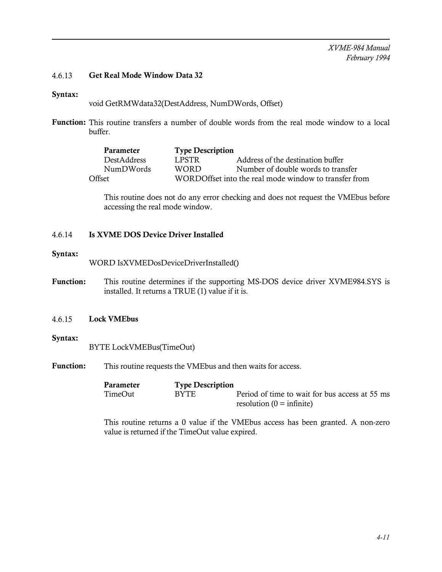# 4.6.13 Get Real Mode Window Data 32

#### Syntax:

void GetRMWdata32(DestAddress, NumDWords, Offset)

Function: This routine transfers a number of double words from the real mode window to a local buffer.

| Parameter          | <b>Type Description</b> |                                                       |
|--------------------|-------------------------|-------------------------------------------------------|
| <b>DestAddress</b> | LPSTR.                  | Address of the destination buffer                     |
| NumDWords          | <b>WORD</b>             | Number of double words to transfer                    |
| Offset             |                         | WORDOffset into the real mode window to transfer from |

This routine does not do any error checking and does not request the VMEbus before accessing the real mode window.

### 4.6.14 Is XVME DOS Device Driver Installed

#### Syntax:

WORD IsXVMEDosDeviceDriverInstalled()

Function: This routine determines if the supporting MS-DOS device driver XVME984.SYS is installed. It returns a TRUE (1) value if it is.

### 4.6.15 Lock VMEbus

#### Syntax:

BYTE LockVMEBus(TimeOut)

Function: This routine requests the VMEbus and then waits for access.

| Parameter | <b>Type Description</b> |                                                |
|-----------|-------------------------|------------------------------------------------|
| TimeOut   | <b>BYTE</b>             | Period of time to wait for bus access at 55 ms |
|           |                         | resolution $(0 = \text{infinite})$             |

This routine returns a 0 value if the VMEbus access has been granted. A non-zero value is returned if the TimeOut value expired.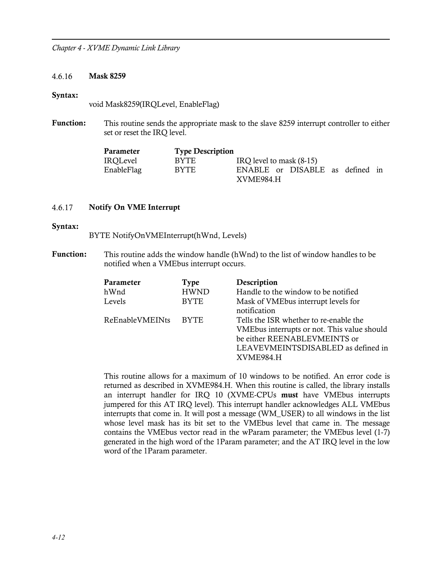#### 4.6.16 Mask 8259

#### Syntax:

void Mask8259(IRQLevel, EnableFlag)

Function: This routine sends the appropriate mask to the slave 8259 interrupt controller to either set or reset the IRQ level.

| Parameter  | <b>Type Description</b> |                                 |
|------------|-------------------------|---------------------------------|
| IROLevel   | BYTE.                   | IRQ level to mask (8-15)        |
| EnableFlag | <b>BYTE</b>             | ENABLE or DISABLE as defined in |
|            |                         | XVME984.H                       |

### 4.6.17 Notify On VME Interrupt

#### Syntax:

- BYTE NotifyOnVMEInterrupt(hWnd, Levels)
- Function: This routine adds the window handle (hWnd) to the list of window handles to be notified when a VMEbus interrupt occurs.

| Parameter<br>hWnd<br>Levels | Type<br><b>HWND</b><br><b>BYTE</b> | Description<br>Handle to the window to be notified<br>Mask of VMEbus interrupt levels for<br>notification                                                                       |
|-----------------------------|------------------------------------|---------------------------------------------------------------------------------------------------------------------------------------------------------------------------------|
| ReEnableVMEINts             | <b>BYTE</b>                        | Tells the ISR whether to re-enable the<br>VMEbus interrupts or not. This value should<br>be either REENABLEVMEINTS or<br>LEAVEVMEINTSDISABLED as defined in<br><b>XVME984 H</b> |

This routine allows for a maximum of 10 windows to be notified. An error code is returned as described in XVME984.H. When this routine is called, the library installs an interrupt handler for IRQ 10 (XVME-CPUs must have VMEbus interrupts jumpered for this AT IRQ level). This interrupt handler acknowledges ALL VMEbus interrupts that come in. It will post a message (WM\_USER) to all windows in the list whose level mask has its bit set to the VMEbus level that came in. The message contains the VMEbus vector read in the wParam parameter; the VMEbus level (1-7) generated in the high word of the 1Param parameter; and the AT IRQ level in the low word of the 1Param parameter.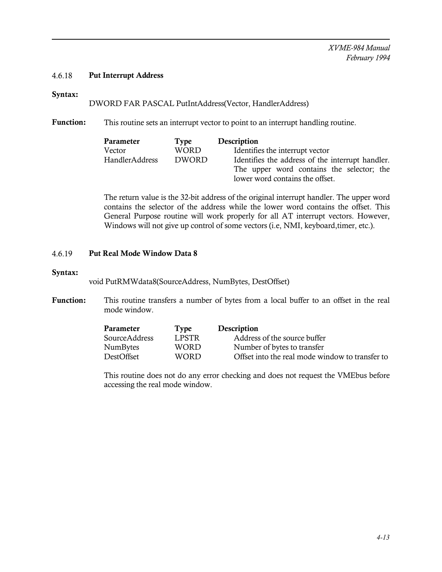### 4.6.18 Put Interrupt Address

# Syntax:

### DWORD FAR PASCAL PutIntAddress(Vector, HandlerAddress)

Function: This routine sets an interrupt vector to point to an interrupt handling routine.

| Parameter             | Type         | Description                                      |  |  |  |
|-----------------------|--------------|--------------------------------------------------|--|--|--|
| Vector                | <b>WORD</b>  | Identifies the interrupt vector                  |  |  |  |
| <b>HandlerAddress</b> | <b>DWORD</b> | Identifies the address of the interrupt handler. |  |  |  |
|                       |              | The upper word contains the selector; the        |  |  |  |
|                       |              | lower word contains the offset.                  |  |  |  |

The return value is the 32-bit address of the original interrupt handler. The upper word contains the selector of the address while the lower word contains the offset. This General Purpose routine will work properly for all AT interrupt vectors. However, Windows will not give up control of some vectors (i.e, NMI, keyboard,timer, etc.).

### 4.6.19 Put Real Mode Window Data 8

#### Syntax:

void PutRMWdata8(SourceAddress, NumBytes, DestOffset)

Function: This routine transfers a number of bytes from a local buffer to an offset in the real mode window.

| Parameter         | Type   | Description                                     |
|-------------------|--------|-------------------------------------------------|
| SourceAddress     | LPSTR. | Address of the source buffer                    |
| NumBytes          | WORD.  | Number of bytes to transfer                     |
| <b>DestOffset</b> | WORD   | Offset into the real mode window to transfer to |

This routine does not do any error checking and does not request the VMEbus before accessing the real mode window.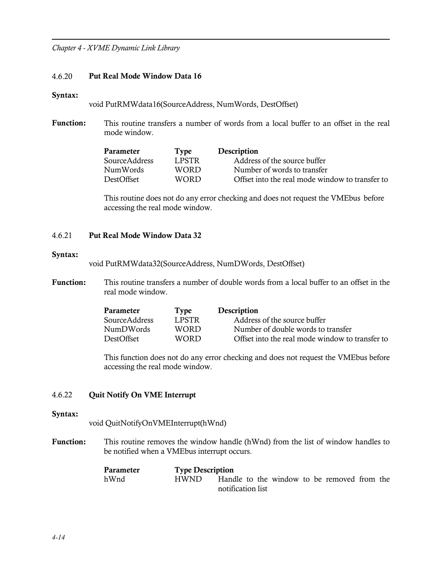#### 4.6.20 Put Real Mode Window Data 16

#### Syntax:

void PutRMWdata16(SourceAddress, NumWords, DestOffset)

Function: This routine transfers a number of words from a local buffer to an offset in the real mode window.

| Parameter     | Type        | Description                                     |
|---------------|-------------|-------------------------------------------------|
| SourceAddress | LPSTR       | Address of the source buffer                    |
| NumWords      | WORD.       | Number of words to transfer                     |
| DestOffset    | <b>WORD</b> | Offset into the real mode window to transfer to |

This routine does not do any error checking and does not request the VMEbus before accessing the real mode window.

## 4.6.21 Put Real Mode Window Data 32

#### Syntax:

void PutRMWdata32(SourceAddress, NumDWords, DestOffset)

Function: This routine transfers a number of double words from a local buffer to an offset in the real mode window.

| Parameter      | Type  | Description                                     |
|----------------|-------|-------------------------------------------------|
| Source Address | LPSTR | Address of the source buffer                    |
| NumDWords      | WORD. | Number of double words to transfer              |
| DestOffset     | WORD. | Offset into the real mode window to transfer to |

This function does not do any error checking and does not request the VMEbus before accessing the real mode window.

# 4.6.22 Quit Notify On VME Interrupt

# Syntax:

void QuitNotifyOnVMEInterrupt(hWnd)

Function: This routine removes the window handle (hWnd) from the list of window handles to be notified when a VMEbus interrupt occurs.

| Parameter | <b>Type Description</b> |                   |  |  |                                             |  |
|-----------|-------------------------|-------------------|--|--|---------------------------------------------|--|
| hWnd      | HWND –                  |                   |  |  | Handle to the window to be removed from the |  |
|           |                         | notification list |  |  |                                             |  |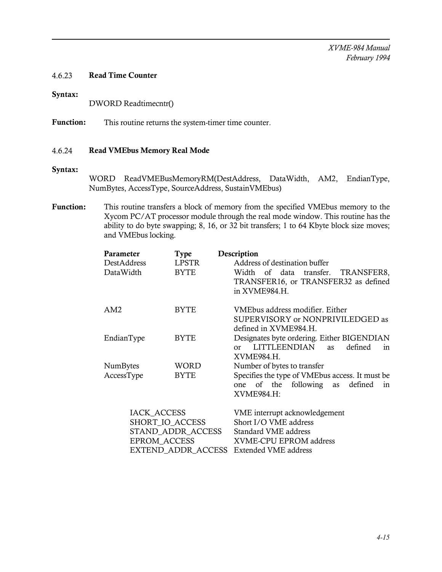*XVME-984 Manual February 1994*

### 4.6.23 Read Time Counter

### Syntax:

DWORD Readtimecntr()

Function: This routine returns the system-timer time counter.

#### 4.6.24 Read VMEbus Memory Real Mode

#### Syntax:

WORD ReadVMEBusMemoryRM(DestAddress, DataWidth, AM2, EndianType, NumBytes, AccessType, SourceAddress, SustainVMEbus)

Function: This routine transfers a block of memory from the specified VMEbus memory to the Xycom PC/AT processor module through the real mode window. This routine has the ability to do byte swapping; 8, 16, or 32 bit transfers; 1 to 64 Kbyte block size moves; and VMEbus locking.

| Parameter           | <b>Type</b> | Description                                                                                 |
|---------------------|-------------|---------------------------------------------------------------------------------------------|
| DestAddress         | LPSTR       | Address of destination buffer                                                               |
| DataWidth           | <b>BYTE</b> | Width of data transfer. TRANSFER8,<br>TRANSFER16, or TRANSFER32 as defined<br>in XVME984.H. |
| AM2                 | <b>BYTE</b> | VMEbus address modifier. Either<br>SUPERVISORY or NONPRIVILEDGED as                         |
|                     |             | defined in XVME984.H.                                                                       |
| EndianType          | <b>BYTE</b> | Designates byte ordering. Either BIGENDIAN                                                  |
|                     |             | LITTLEENDIAN<br>defined<br>as<br>$\alpha$ r<br>1n                                           |
|                     |             | XVME984.H.                                                                                  |
| <b>NumBytes</b>     | WORD        | Number of bytes to transfer                                                                 |
| AccessType          | <b>BYTE</b> | Specifies the type of VME bus access. It must be                                            |
|                     |             | one of the following as defined<br>in                                                       |
|                     |             | XVME984.H:                                                                                  |
| <b>IACK_ACCESS</b>  |             | VME interrupt acknowledgement                                                               |
| SHORT_IO_ACCESS     |             | Short I/O VME address                                                                       |
| STAND_ADDR_ACCESS   |             | Standard VME address                                                                        |
| <b>EPROM ACCESS</b> |             | XVME-CPU EPROM address                                                                      |

EXTEND\_ADDR\_ACCESS Extended VME address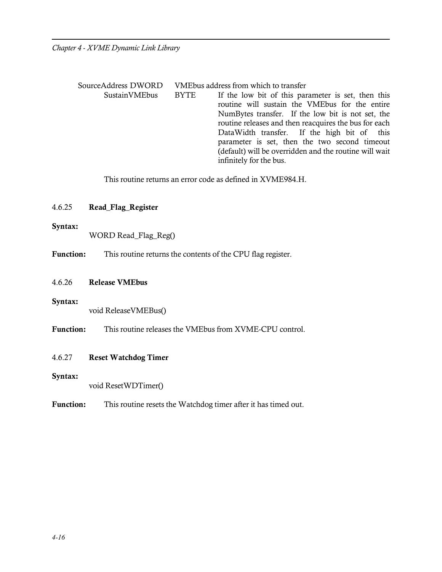| SourceAddress DWORD |             | VMEbus address from which to transfer                                                                                                                                                                              |
|---------------------|-------------|--------------------------------------------------------------------------------------------------------------------------------------------------------------------------------------------------------------------|
| SustainVMEbus       | <b>BYTE</b> | If the low bit of this parameter is set, then this<br>routine will sustain the VMEbus for the entire<br>NumBytes transfer. If the low bit is not set, the<br>routine releases and then reacquires the bus for each |
|                     |             | DataWidth transfer. If the high bit of this<br>parameter is set, then the two second timeout<br>(default) will be overridden and the routine will wait<br>infinitely for the bus.                                  |

This routine returns an error code as defined in XVME984.H.

# 4.6.25 Read\_Flag\_Register

#### Syntax:

WORD Read\_Flag\_Reg()

Function: This routine returns the contents of the CPU flag register.

4.6.26 Release VMEbus

### Syntax:

void ReleaseVMEBus()

Function: This routine releases the VMEbus from XVME-CPU control.

### 4.6.27 Reset Watchdog Timer

#### Syntax:

void ResetWDTimer()

Function: This routine resets the Watchdog timer after it has timed out.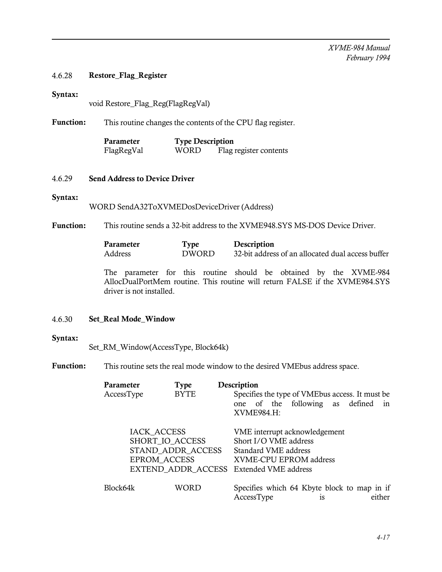### 4.6.28 Restore\_Flag\_Register

#### Syntax:

void Restore\_Flag\_Reg(FlagRegVal)

Function: This routine changes the contents of the CPU flag register.

| Parameter  | <b>Type Description</b> |                        |
|------------|-------------------------|------------------------|
| FlagRegVal | WORD                    | Flag register contents |

# 4.6.29 Send Address to Device Driver

### Syntax:

WORD SendA32ToXVMEDosDeviceDriver (Address)

Function: This routine sends a 32-bit address to the XVME948.SYS MS-DOS Device Driver.

| Parameter | <b>Type</b>  | Description                                       |
|-----------|--------------|---------------------------------------------------|
| Address   | <b>DWORD</b> | 32-bit address of an allocated dual access buffer |

The parameter for this routine should be obtained by the XVME-984 AllocDualPortMem routine. This routine will return FALSE if the XVME984.SYS driver is not installed.

# 4.6.30 Set\_Real Mode\_Window

### Syntax:

Set\_RM\_Window(AccessType, Block64k)

Function: This routine sets the real mode window to the desired VMEbus address space.

| <b>Parameter</b><br>AccessType                                                                                               | Type<br><b>BYTE</b> | Description<br>Specifies the type of VMEbus access. It must be                                           |
|------------------------------------------------------------------------------------------------------------------------------|---------------------|----------------------------------------------------------------------------------------------------------|
|                                                                                                                              |                     | one of the following as defined<br>1n<br>XVME984.H:                                                      |
| <b>IACK ACCESS</b><br>SHORT IO ACCESS<br>STAND ADDR ACCESS<br><b>EPROM ACCESS</b><br>EXTEND ADDR ACCESS Extended VME address |                     | VME interrupt acknowledgement<br>Short I/O VME address<br>Standard VME address<br>XVME-CPU EPROM address |
| Block64k                                                                                                                     | WORD                | Specifies which 64 Kbyte block to map in if<br>either<br>AccessType<br>1S                                |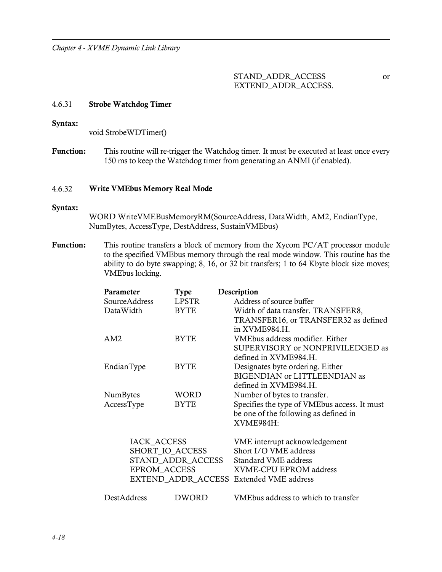STAND\_ADDR\_ACCESS or EXTEND\_ADDR\_ACCESS.

#### 4.6.31 Strobe Watchdog Timer

#### Syntax:

void StrobeWDTimer()

Function: This routine will re-trigger the Watchdog timer. It must be executed at least once every 150 ms to keep the Watchdog timer from generating an ANMI (if enabled).

#### 4.6.32 Write VMEbus Memory Real Mode

#### Syntax:

WORD WriteVMEBusMemoryRM(SourceAddress, DataWidth, AM2, EndianType, NumBytes, AccessType, DestAddress, SustainVMEbus)

Function: This routine transfers a block of memory from the Xycom PC/AT processor module to the specified VMEbus memory through the real mode window. This routine has the ability to do byte swapping; 8, 16, or 32 bit transfers; 1 to 64 Kbyte block size moves; VMEbus locking.

| Parameter           | <b>Type</b>       | Description                                  |
|---------------------|-------------------|----------------------------------------------|
| SourceAddress       | <b>LPSTR</b>      | Address of source buffer                     |
| DataWidth           | <b>BYTE</b>       | Width of data transfer. TRANSFER8,           |
|                     |                   | TRANSFER16, or TRANSFER32 as defined         |
|                     |                   | in XVME984.H.                                |
| AM2                 | <b>BYTE</b>       | VMEbus address modifier. Either              |
|                     |                   | SUPERVISORY or NONPRIVILEDGED as             |
|                     |                   | defined in XVME984.H.                        |
| EndianType          | BYTE              | Designates byte ordering. Either             |
|                     |                   | BIGENDIAN or LITTLEENDIAN as                 |
|                     |                   | defined in XVME984.H.                        |
| NumBytes            | WORD              | Number of bytes to transfer.                 |
| AccessType          | BYTE              | Specifies the type of VMEbus access. It must |
|                     |                   | be one of the following as defined in        |
|                     |                   | XVME984H:                                    |
| IACK_ACCESS         |                   | VME interrupt acknowledgement                |
| SHORT IO ACCESS     |                   | Short I/O VME address                        |
|                     | STAND ADDR ACCESS | Standard VME address                         |
| <b>EPROM ACCESS</b> |                   | XVME-CPU EPROM address                       |
|                     |                   | EXTEND_ADDR_ACCESS Extended VME address      |
| DestAddress         | DWORD             | VMEbus address to which to transfer          |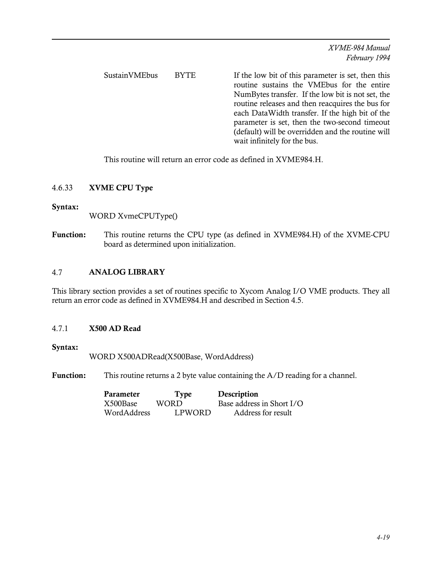SustainVMEbus BYTE If the low bit of this parameter is set, then this routine sustains the VMEbus for the entire NumBytes transfer. If the low bit is not set, the routine releases and then reacquires the bus for each DataWidth transfer. If the high bit of the parameter is set, then the two-second timeout (default) will be overridden and the routine will wait infinitely for the bus.

This routine will return an error code as defined in XVME984.H.

# 4.6.33 XVME CPU Type

### Syntax:

WORD XvmeCPUType()

Function: This routine returns the CPU type (as defined in XVME984.H) of the XVME-CPU board as determined upon initialization.

# 4.7 ANALOG LIBRARY

This library section provides a set of routines specific to Xycom Analog I/O VME products. They all return an error code as defined in XVME984.H and described in Section 4.5.

### 4.7.1 X500 AD Read

### Syntax:

WORD X500ADRead(X500Base, WordAddress)

Function: This routine returns a 2 byte value containing the A/D reading for a channel.

| Parameter   | Type   | Description               |
|-------------|--------|---------------------------|
| X500Base    | WORD   | Base address in Short I/O |
| WordAddress | LPWORD | Address for result        |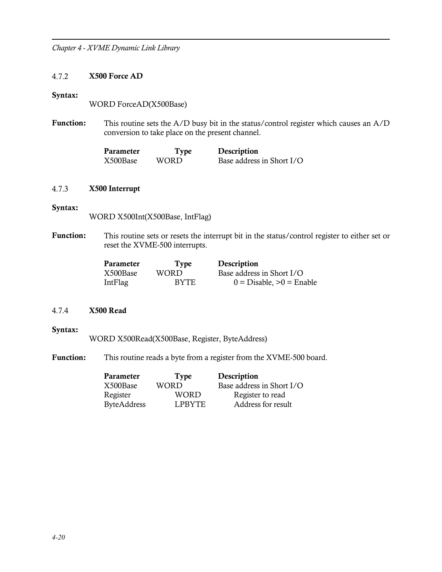### 4.7.2 X500 Force AD

#### Syntax:

WORD ForceAD(X500Base)

Function: This routine sets the A/D busy bit in the status/control register which causes an A/D conversion to take place on the present channel.

| Parameter | <b>Type</b> | Description               |
|-----------|-------------|---------------------------|
| X500Base  | WORD.       | Base address in Short I/O |

#### 4.7.3 X500 Interrupt

#### Syntax:

WORD X500Int(X500Base, IntFlag)

Function: This routine sets or resets the interrupt bit in the status/control register to either set or reset the XVME-500 interrupts.

| Parameter | Type        | Description                |
|-----------|-------------|----------------------------|
| X500Base  | WORD.       | Base address in Short I/O  |
| IntFlag   | <b>BYTE</b> | $0 = Disable, >0 = Enable$ |

# 4.7.4 X500 Read

### Syntax:

WORD X500Read(X500Base, Register, ByteAddress)

Function: This routine reads a byte from a register from the XVME-500 board.

| Parameter          | <b>Type</b>   | Description               |
|--------------------|---------------|---------------------------|
| X500Base           | <b>WORD</b>   | Base address in Short I/O |
| Register           | WORD          | Register to read          |
| <b>ByteAddress</b> | <b>LPBYTE</b> | Address for result        |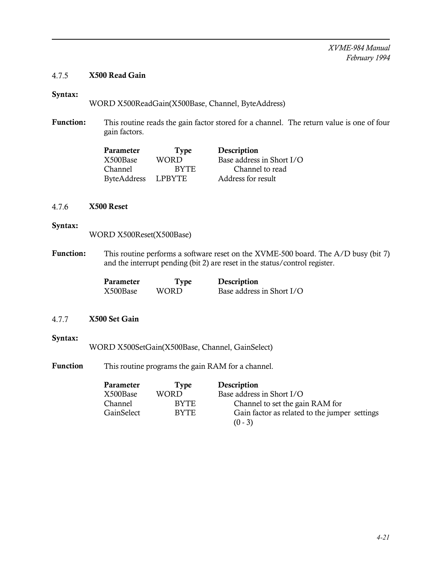# 4.7.5 X500 Read Gain

# Syntax:

WORD X500ReadGain(X500Base, Channel, ByteAddress)

Function: This routine reads the gain factor stored for a channel. The return value is one of four gain factors.

| Parameter   | Type        | Description               |
|-------------|-------------|---------------------------|
| X500Base    | <b>WORD</b> | Base address in Short I/O |
| Channel     | <b>BYTE</b> | Channel to read           |
| ByteAddress | LPBYTE      | Address for result        |

### 4.7.6 X500 Reset

### Syntax:

WORD X500Reset(X500Base)

Function: This routine performs a software reset on the XVME-500 board. The A/D busy (bit 7) and the interrupt pending (bit 2) are reset in the status/control register.

| Parameter | Type  | Description               |
|-----------|-------|---------------------------|
| X500Base  | WORD. | Base address in Short I/O |

# 4.7.7 X500 Set Gain

### Syntax:

WORD X500SetGain(X500Base, Channel, GainSelect)

Function This routine programs the gain RAM for a channel.

| Parameter      | Tvpe        | Description                                   |
|----------------|-------------|-----------------------------------------------|
| X500Base       | WORD        | Base address in Short I/O                     |
| <b>Channel</b> | <b>BYTE</b> | Channel to set the gain RAM for               |
| GainSelect     | <b>BYTE</b> | Gain factor as related to the jumper settings |
|                |             | $(0 - 3)$                                     |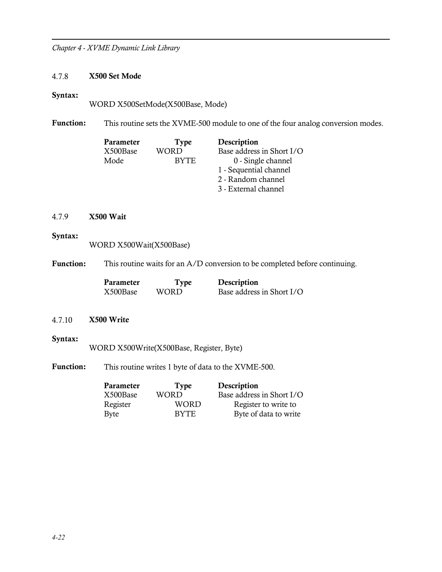# 4.7.8 X500 Set Mode

### Syntax:

WORD X500SetMode(X500Base, Mode)

Function: This routine sets the XVME-500 module to one of the four analog conversion modes.

| Parameter | <b>Type</b> | Description               |
|-----------|-------------|---------------------------|
| X500Base  | WORD        | Base address in Short I/O |
| Mode      | <b>BYTE</b> | 0 - Single channel        |
|           |             | 1 - Sequential channel    |
|           |             | 2 - Random channel        |
|           |             | 3 - External channel      |

# 4.7.9 X500 Wait

# Syntax:

WORD X500Wait(X500Base)

Function: This routine waits for an A/D conversion to be completed before continuing.

| Parameter | Type  | Description               |
|-----------|-------|---------------------------|
| X500Base  | WORD. | Base address in Short I/O |

# 4.7.10 X500 Write

# Syntax:

WORD X500Write(X500Base, Register, Byte)

Function: This routine writes 1 byte of data to the XVME-500.

| Type        | Description               |
|-------------|---------------------------|
| WORD        | Base address in Short I/O |
| <b>WORD</b> | Register to write to      |
| <b>BYTE</b> | Byte of data to write     |
|             |                           |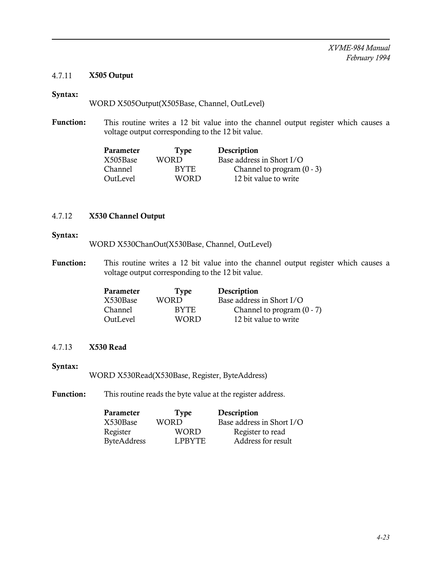# 4.7.11 X505 Output

# Syntax:

WORD X505Output(X505Base, Channel, OutLevel)

Function: This routine writes a 12 bit value into the channel output register which causes a voltage output corresponding to the 12 bit value.

| Parameter | Type        | Description                  |
|-----------|-------------|------------------------------|
| X505Base  | WORD        | Base address in Short I/O    |
| Channel   | BYTE.       | Channel to program $(0 - 3)$ |
| OutLevel  | <b>WORD</b> | 12 bit value to write        |

### 4.7.12 X530 Channel Output

#### Syntax:

WORD X530ChanOut(X530Base, Channel, OutLevel)

Function: This routine writes a 12 bit value into the channel output register which causes a voltage output corresponding to the 12 bit value.

| Parameter      | Type        | Description                  |
|----------------|-------------|------------------------------|
| X530Base       | WORD        | Base address in Short I/O    |
| <b>Channel</b> | <b>BYTE</b> | Channel to program $(0 - 7)$ |
| OutLevel       | WORD        | 12 bit value to write        |

### 4.7.13 X530 Read

### Syntax:

WORD X530Read(X530Base, Register, ByteAddress)

Function: This routine reads the byte value at the register address.

| Parameter   | <b>Type</b>   | Description               |
|-------------|---------------|---------------------------|
| X530Base    | <b>WORD</b>   | Base address in Short I/O |
| Register    | WORD          | Register to read          |
| ByteAddress | <b>LPBYTE</b> | Address for result        |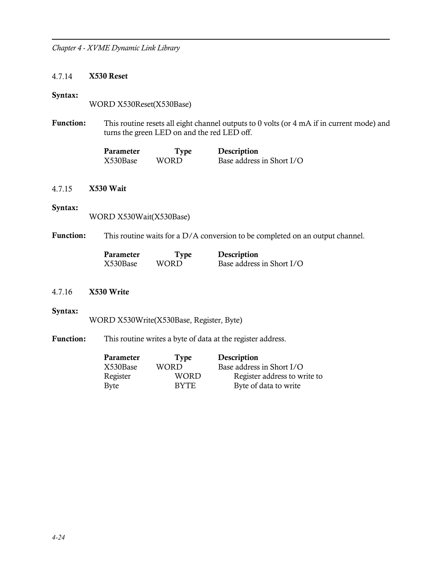### 4.7.14 X530 Reset

#### Syntax:

WORD X530Reset(X530Base)

Function: This routine resets all eight channel outputs to 0 volts (or 4 mA if in current mode) and turns the green LED on and the red LED off.

| Parameter | Type  | Description               |
|-----------|-------|---------------------------|
| X530Base  | WORD. | Base address in Short I/O |

# 4.7.15 X530 Wait

#### Syntax:

WORD X530Wait(X530Base)

Function: This routine waits for a D/A conversion to be completed on an output channel.

| Parameter | Type  | Description               |
|-----------|-------|---------------------------|
| X530Base  | WORD. | Base address in Short I/O |

### 4.7.16 X530 Write

#### Syntax:

WORD X530Write(X530Base, Register, Byte)

Function: This routine writes a byte of data at the register address.

| Parameter | Type        | Description                  |
|-----------|-------------|------------------------------|
| X530Base  | WORD        | Base address in Short I/O    |
| Register  | WORD        | Register address to write to |
| Byte      | <b>BYTE</b> | Byte of data to write        |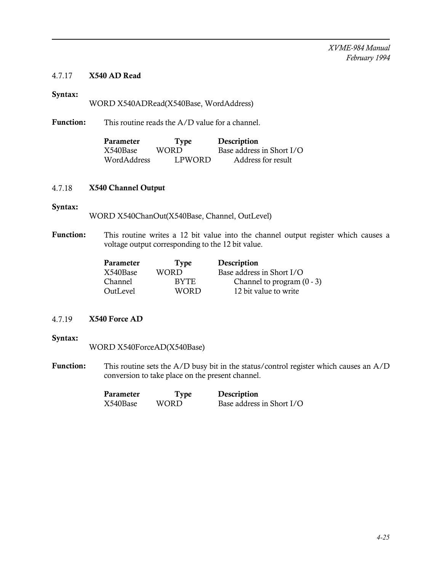# 4.7.17 X540 AD Read

# Syntax:

WORD X540ADRead(X540Base, WordAddress)

Function: This routine reads the A/D value for a channel.

| Parameter   | Type   | Description               |
|-------------|--------|---------------------------|
| X540Base    | WORD   | Base address in Short I/O |
| WordAddress | LPWORD | Address for result        |

### 4.7.18 X540 Channel Output

#### Syntax:

WORD X540ChanOut(X540Base, Channel, OutLevel)

Function: This routine writes a 12 bit value into the channel output register which causes a voltage output corresponding to the 12 bit value.

| Parameter | Type        | Description                  |
|-----------|-------------|------------------------------|
| X540Base  | WORD        | Base address in Short I/O    |
| Channel   | BYTE.       | Channel to program $(0 - 3)$ |
| OutLevel  | <b>WORD</b> | 12 bit value to write        |

# 4.7.19 X540 Force AD

### Syntax:

WORD X540ForceAD(X540Base)

Function: This routine sets the A/D busy bit in the status/control register which causes an A/D conversion to take place on the present channel.

| Parameter | Type  | Description               |
|-----------|-------|---------------------------|
| X540Base  | WORD. | Base address in Short I/O |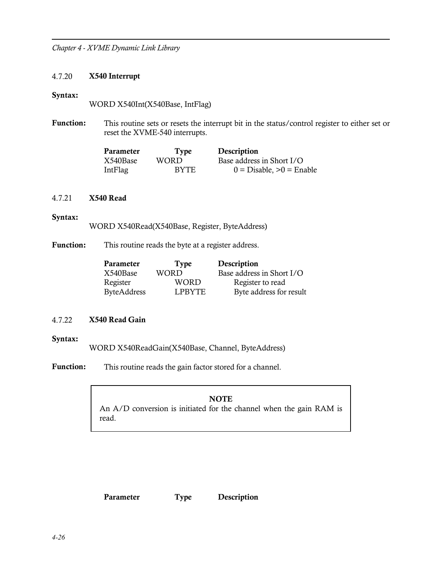# 4.7.20 X540 Interrupt

### Syntax:

WORD X540Int(X540Base, IntFlag)

Function: This routine sets or resets the interrupt bit in the status/control register to either set or reset the XVME-540 interrupts.

| Parameter | <b>Type</b> | Description                |
|-----------|-------------|----------------------------|
| X540Base  | WORD.       | Base address in Short I/O  |
| IntFlag   | <b>BYTE</b> | $0 = Disable, >0 = Enable$ |

# 4.7.21 X540 Read

# Syntax:

WORD X540Read(X540Base, Register, ByteAddress)

Function: This routine reads the byte at a register address.

| Parameter   | Type        | Description               |
|-------------|-------------|---------------------------|
| X540Base    | <b>WORD</b> | Base address in Short I/O |
| Register    | <b>WORD</b> | Register to read          |
| ByteAddress | LPBYTE      | Byte address for result   |

# 4.7.22 X540 Read Gain

### Syntax:

WORD X540ReadGain(X540Base, Channel, ByteAddress)

Function: This routine reads the gain factor stored for a channel.

### **NOTE**

An A/D conversion is initiated for the channel when the gain RAM is read.

Parameter Type Description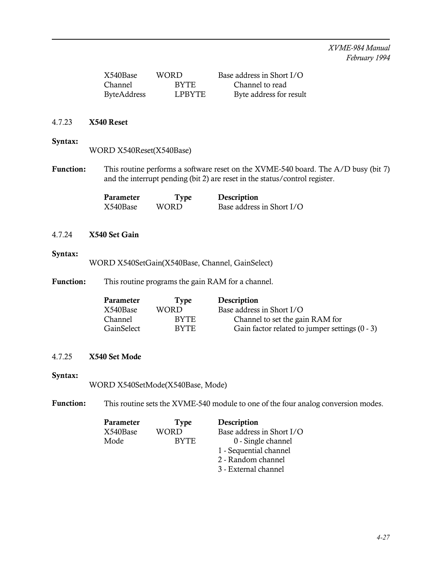| X540Base           | WORD.  | Base address in Short I/O |
|--------------------|--------|---------------------------|
| Channel            | BYTE.  | Channel to read           |
| <b>ByteAddress</b> | LPBYTE | Byte address for result   |

### 4.7.23 X540 Reset

## Syntax:

WORD X540Reset(X540Base)

Function: This routine performs a software reset on the XVME-540 board. The A/D busy (bit 7) and the interrupt pending (bit 2) are reset in the status/control register.

| Parameter | Type  | Description               |
|-----------|-------|---------------------------|
| X540Base  | WORD. | Base address in Short I/O |

# 4.7.24 X540 Set Gain

### Syntax:

WORD X540SetGain(X540Base, Channel, GainSelect)

Function: This routine programs the gain RAM for a channel.

| Parameter      | Type        | Description                                    |
|----------------|-------------|------------------------------------------------|
| X540Base       | WORD        | Base address in Short I/O                      |
| <b>Channel</b> | <b>BYTE</b> | Channel to set the gain RAM for                |
| GainSelect     | <b>BYTE</b> | Gain factor related to jumper settings (0 - 3) |

# 4.7.25 X540 Set Mode

# Syntax:

WORD X540SetMode(X540Base, Mode)

Function: This routine sets the XVME-540 module to one of the four analog conversion modes.

| Parameter | <b>Type</b> | Description               |
|-----------|-------------|---------------------------|
| X540Base  | WORD        | Base address in Short I/O |
| Mode      | <b>BYTE</b> | 0 - Single channel        |
|           |             | 1 - Sequential channel    |
|           |             | 2 - Random channel        |
|           |             | 3 - External channel      |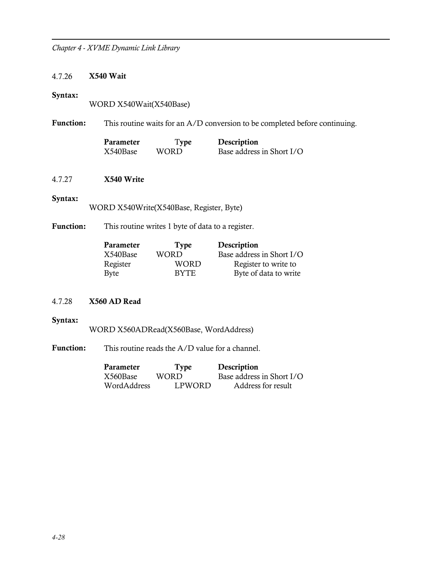### 4.7.26 X540 Wait

#### Syntax:

WORD X540Wait(X540Base)

Function: This routine waits for an A/D conversion to be completed before continuing.

| <b>Parameter</b> | Type  | Description               |
|------------------|-------|---------------------------|
| X540Base         | WORD. | Base address in Short I/O |

# 4.7.27 X540 Write

#### Syntax:

WORD X540Write(X540Base, Register, Byte)

Function: This routine writes 1 byte of data to a register.

| Parameter | Type        | Description               |
|-----------|-------------|---------------------------|
| X540Base  | WORD        | Base address in Short I/O |
| Register  | WORD        | Register to write to      |
| Byte      | <b>BYTE</b> | Byte of data to write     |

# 4.7.28 X560 AD Read

### Syntax:

WORD X560ADRead(X560Base, WordAddress)

Function: This routine reads the A/D value for a channel.

| Parameter   | <b>Type</b> | Description               |
|-------------|-------------|---------------------------|
| X560Base    | WORD.       | Base address in Short I/O |
| WordAddress | LPWORD      | Address for result        |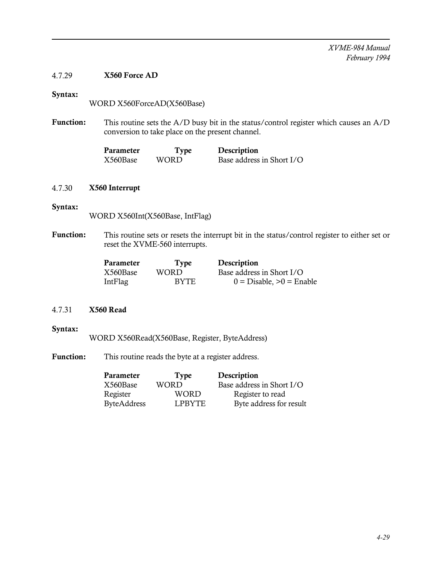# 4.7.29 X560 Force AD

# Syntax:

WORD X560ForceAD(X560Base)

Function: This routine sets the A/D busy bit in the status/control register which causes an A/D conversion to take place on the present channel.

| Parameter | <b>Type</b> | Description               |
|-----------|-------------|---------------------------|
| X560Base  | WORD.       | Base address in Short I/O |

### 4.7.30 X560 Interrupt

### Syntax:

WORD X560Int(X560Base, IntFlag)

Function: This routine sets or resets the interrupt bit in the status/control register to either set or reset the XVME-560 interrupts.

| Parameter | Type        | Description                |
|-----------|-------------|----------------------------|
| X560Base  | WORD.       | Base address in Short I/O  |
| IntFlag   | <b>BYTE</b> | $0 = Disable, >0 = Enable$ |

# 4.7.31 X560 Read

### Syntax:

WORD X560Read(X560Base, Register, ByteAddress)

Function: This routine reads the byte at a register address.

| <b>Parameter</b>   | <b>Type</b> | Description               |
|--------------------|-------------|---------------------------|
| X560Base           | WORD        | Base address in Short I/O |
| Register           | WORD        | Register to read          |
| <b>ByteAddress</b> | LPBYTE      | Byte address for result   |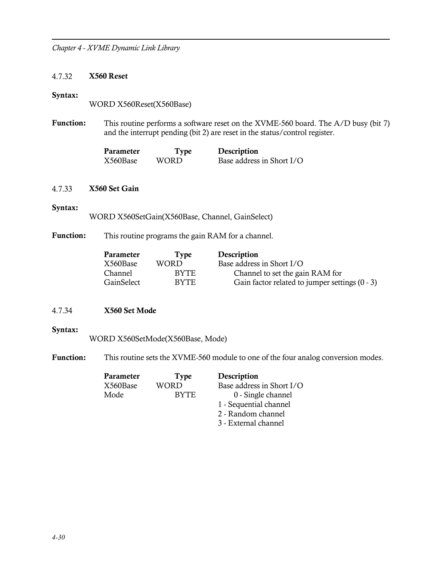### 4.7.32 X560 Reset

#### Syntax:

WORD X560Reset(X560Base)

Function: This routine performs a software reset on the XVME-560 board. The A/D busy (bit 7) and the interrupt pending (bit 2) are reset in the status/control register.

| Parameter | Type  | Description               |
|-----------|-------|---------------------------|
| X560Base  | WORD. | Base address in Short I/O |

### 4.7.33 X560 Set Gain

#### Syntax:

WORD X560SetGain(X560Base, Channel, GainSelect)

# Function: This routine programs the gain RAM for a channel.

| Parameter  | Type  | Description                                    |
|------------|-------|------------------------------------------------|
| X560Base   | WORD  | Base address in Short I/O                      |
| Channel    | BYTE. | Channel to set the gain RAM for                |
| GainSelect | BYTE. | Gain factor related to jumper settings (0 - 3) |

# 4.7.34 X560 Set Mode

### Syntax:

WORD X560SetMode(X560Base, Mode)

Function: This routine sets the XVME-560 module to one of the four analog conversion modes.

| Parameter | <b>Type</b> | Description               |
|-----------|-------------|---------------------------|
| X560Base  | <b>WORD</b> | Base address in Short I/O |
| Mode      | <b>BYTE</b> | 0 - Single channel        |
|           |             | 1 - Sequential channel    |
|           |             | 2 - Random channel        |
|           |             | 3 - External channel      |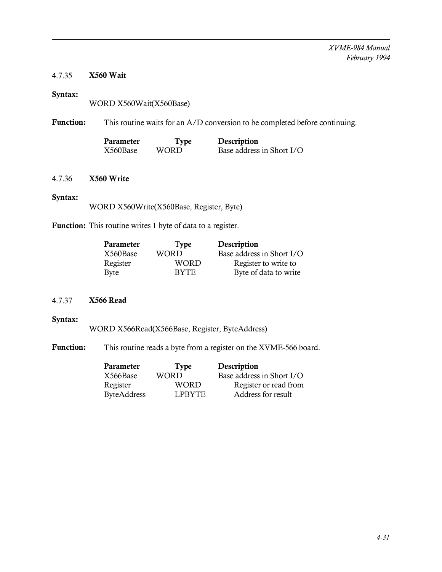# 4.7.35 X560 Wait

# Syntax:

WORD X560Wait(X560Base)

Function: This routine waits for an A/D conversion to be completed before continuing.

| Parameter | Type  | Description               |
|-----------|-------|---------------------------|
| X560Base  | WORD. | Base address in Short I/O |

# 4.7.36 X560 Write

### Syntax:

WORD X560Write(X560Base, Register, Byte)

Function: This routine writes 1 byte of data to a register.

| Parameter | Type        | Description               |
|-----------|-------------|---------------------------|
| X560Base  | <b>WORD</b> | Base address in Short I/O |
| Register  | WORD        | Register to write to      |
| Byte      | <b>BYTE</b> | Byte of data to write     |

# 4.7.37 X566 Read

## Syntax:

WORD X566Read(X566Base, Register, ByteAddress)

Function: This routine reads a byte from a register on the XVME-566 board.

| Parameter   | Type          | Description               |
|-------------|---------------|---------------------------|
| X566Base    | <b>WORD</b>   | Base address in Short I/O |
| Register    | WORD          | Register or read from     |
| ByteAddress | <b>LPBYTE</b> | Address for result        |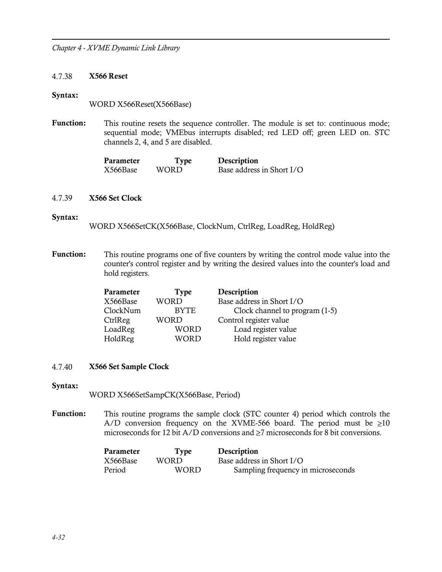#### 4.7.38 X566 Reset

### Syntax:

WORD X566Reset(X566Base)

Function: This routine resets the sequence controller. The module is set to: continuous mode; sequential mode; VMEbus interrupts disabled; red LED off; green LED on. STC channels 2, 4, and 5 are disabled.

| Parameter | <b>Type</b> | Description               |
|-----------|-------------|---------------------------|
| X566Base  | WORD.       | Base address in Short I/O |

#### 4.7.39 X566 Set Clock

#### Syntax:

WORD X566SetCK(X566Base, ClockNum, CtrlReg, LoadReg, HoldReg)

Function: This routine programs one of five counters by writing the control mode value into the counter's control register and by writing the desired values into the counter's load and hold registers.

| Parameter | Type        | Description                      |
|-----------|-------------|----------------------------------|
| X566Base  | <b>WORD</b> | Base address in Short I/O        |
| ClockNum  | <b>BYTE</b> | Clock channel to program $(1-5)$ |
| CtrlReg   | WORD        | Control register value           |
| LoadReg   | <b>WORD</b> | Load register value              |
| HoldReg   | WORD        | Hold register value              |

#### 4.7.40 X566 Set Sample Clock

Syntax:

WORD X566SetSampCK(X566Base, Period)

Function: This routine programs the sample clock (STC counter 4) period which controls the A/D conversion frequency on the XVME-566 board. The period must be  $\geq 10$ microseconds for 12 bit A/D conversions and  $\geq$ 7 microseconds for 8 bit conversions.

| Parameter | Type        | Description                        |
|-----------|-------------|------------------------------------|
| X566Base  | WORD.       | Base address in Short I/O          |
| Period    | <b>WORD</b> | Sampling frequency in microseconds |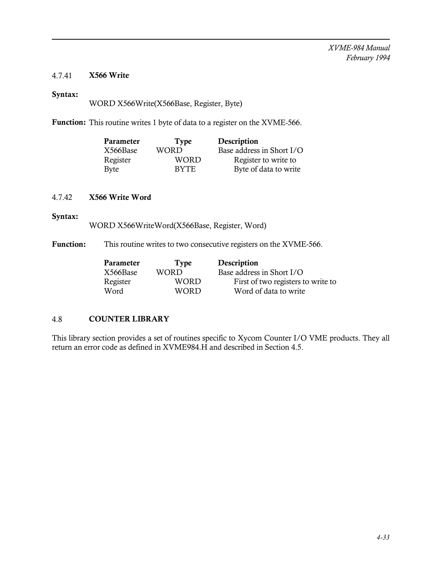# 4.7.41 X566 Write

# Syntax:

WORD X566Write(X566Base, Register, Byte)

Function: This routine writes 1 byte of data to a register on the XVME-566.

| Parameter | <b>Type</b> | Description               |
|-----------|-------------|---------------------------|
| X566Base  | WORD        | Base address in Short I/O |
| Register  | WORD        | Register to write to      |
| Byte      | <b>BYTE</b> | Byte of data to write     |

# 4.7.42 X566 Write Word

# Syntax:

WORD X566WriteWord(X566Base, Register, Word)

Function: This routine writes to two consecutive registers on the XVME-566.

| Type  | Description                        |
|-------|------------------------------------|
| WORD  | Base address in Short I/O          |
| WORD  | First of two registers to write to |
| WORD. | Word of data to write              |
|       |                                    |

# 4.8 COUNTER LIBRARY

This library section provides a set of routines specific to Xycom Counter I/O VME products. They all return an error code as defined in XVME984.H and described in Section 4.5.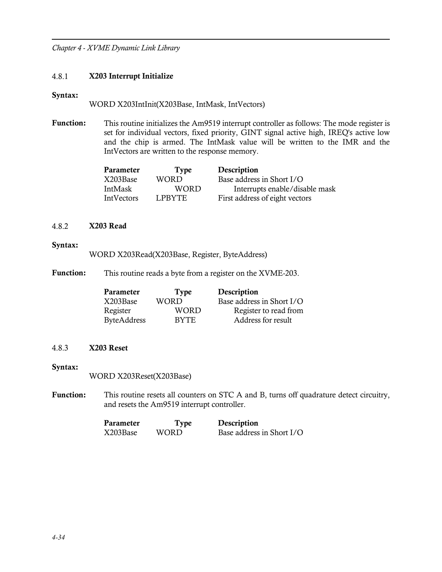# 4.8.1 X203 Interrupt Initialize

#### Syntax:

WORD X203IntInit(X203Base, IntMask, IntVectors)

Function: This routine initializes the Am9519 interrupt controller as follows: The mode register is set for individual vectors, fixed priority, GINT signal active high, IREQ's active low and the chip is armed. The IntMask value will be written to the IMR and the IntVectors are written to the response memory.

| Type          | Description                    |
|---------------|--------------------------------|
| WORD          | Base address in Short I/O      |
| WORD          | Interrupts enable/disable mask |
| <b>LPBYTE</b> | First address of eight vectors |
|               |                                |

## 4.8.2 X203 Read

### Syntax:

WORD X203Read(X203Base, Register, ByteAddress)

Function: This routine reads a byte from a register on the XVME-203.

| <b>Parameter</b>   | Type        | Description               |
|--------------------|-------------|---------------------------|
| X203Base           | WORD        | Base address in Short I/O |
| Register           | WORD        | Register to read from     |
| <b>ByteAddress</b> | <b>BYTE</b> | Address for result        |

### 4.8.3 X203 Reset

### Syntax:

WORD X203Reset(X203Base)

Function: This routine resets all counters on STC A and B, turns off quadrature detect circuitry, and resets the Am9519 interrupt controller.

| Parameter | Type  | Description               |
|-----------|-------|---------------------------|
| X203Base  | WORD. | Base address in Short I/O |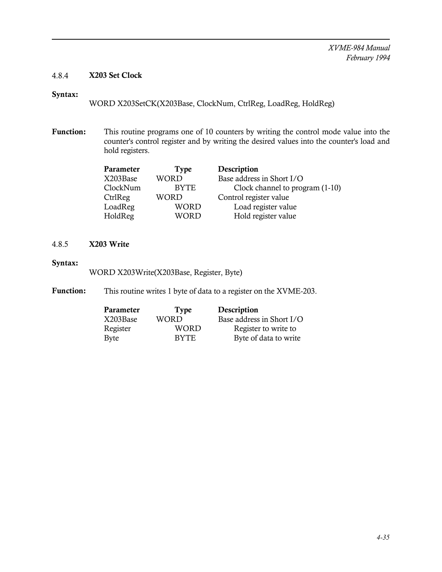# 4.8.4 X203 Set Clock

# Syntax:

WORD X203SetCK(X203Base, ClockNum, CtrlReg, LoadReg, HoldReg)

Function: This routine programs one of 10 counters by writing the control mode value into the counter's control register and by writing the desired values into the counter's load and hold registers.

| <b>WORD</b><br>X203Base | Base address in Short I/O       |
|-------------------------|---------------------------------|
| ClockNum<br><b>BYTE</b> | Clock channel to program (1-10) |
| <b>WORD</b>             | Control register value          |
| <b>WORD</b>             | Load register value             |
| <b>WORD</b>             | Hold register value             |
|                         |                                 |

# 4.8.5 X203 Write

### Syntax:

WORD X203Write(X203Base, Register, Byte)

Function: This routine writes 1 byte of data to a register on the XVME-203.

| Parameter | Type        | Description               |
|-----------|-------------|---------------------------|
| X203Base  | WORD        | Base address in Short I/O |
| Register  | <b>WORD</b> | Register to write to      |
| Byte      | <b>BYTE</b> | Byte of data to write     |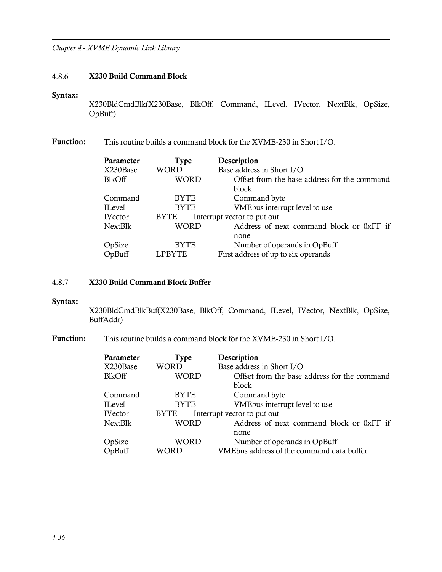### 4.8.6 X230 Build Command Block

#### Syntax:

X230BldCmdBlk(X230Base, BlkOff, Command, ILevel, IVector, NextBlk, OpSize, OpBuff)

Function: This routine builds a command block for the XVME-230 in Short I/O.

| Parameter     | Type          | Description                                  |
|---------------|---------------|----------------------------------------------|
| X230Base      | WORD          | Base address in Short I/O                    |
| <b>BlkOff</b> | WORD          | Offset from the base address for the command |
|               |               | block                                        |
| Command       | <b>BYTE</b>   | Command byte                                 |
| ILevel        | <b>BYTE</b>   | VMEbus interrupt level to use                |
| IVector       | <b>BYTE</b>   | Interrupt vector to put out                  |
| NextBlk       | WORD          | Address of next command block or 0xFF if     |
|               |               | none                                         |
| OpSize        | <b>BYTE</b>   | Number of operands in OpBuff                 |
| OpBuff        | <b>LPBYTE</b> | First address of up to six operands          |
|               |               |                                              |

### 4.8.7 X230 Build Command Block Buffer

#### Syntax:

X230BldCmdBlkBuf(X230Base, BlkOff, Command, ILevel, IVector, NextBlk, OpSize, BuffAddr)

Function: This routine builds a command block for the XVME-230 in Short I/O.

| <b>Type</b> | Description                                  |
|-------------|----------------------------------------------|
| WORD        | Base address in Short I/O                    |
| WORD        | Offset from the base address for the command |
|             | block                                        |
| <b>BYTE</b> | Command byte                                 |
| <b>BYTE</b> | VMEbus interrupt level to use                |
| <b>BYTE</b> | Interrupt vector to put out                  |
| WORD        | Address of next command block or 0xFF if     |
|             | none                                         |
| WORD        | Number of operands in OpBuff                 |
| WORD        | VMEbus address of the command data buffer    |
|             |                                              |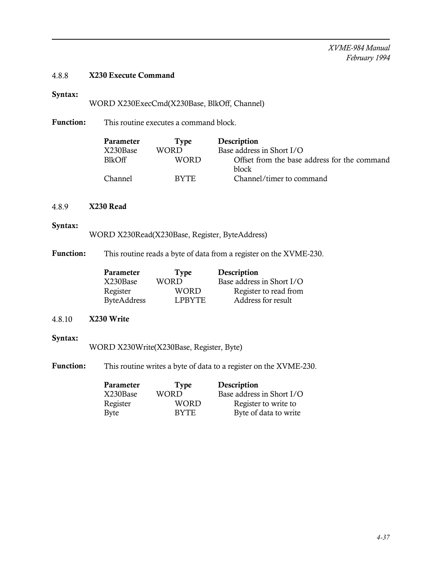# 4.8.8 X230 Execute Command

# Syntax:

WORD X230ExecCmd(X230Base, BlkOff, Channel)

Function: This routine executes a command block.

| Parameter      | Type        | Description                                  |
|----------------|-------------|----------------------------------------------|
| X230Base       | WORD        | Base address in Short I/O                    |
| <b>BlkOff</b>  | <b>WORD</b> | Offset from the base address for the command |
|                |             | block                                        |
| <b>Channel</b> | RYTE.       | Channel/timer to command                     |

### 4.8.9 X230 Read

#### Syntax:

WORD X230Read(X230Base, Register, ByteAddress)

Function: This routine reads a byte of data from a register on the XVME-230.

| Parameter   | <b>Type</b>   | Description               |
|-------------|---------------|---------------------------|
| X230Base    | <b>WORD</b>   | Base address in Short I/O |
| Register    | <b>WORD</b>   | Register to read from     |
| ByteAddress | <b>LPBYTE</b> | Address for result        |

# 4.8.10 X230 Write

# Syntax:

WORD X230Write(X230Base, Register, Byte)

Function: This routine writes a byte of data to a register on the XVME-230.

| Parameter | Type        | Description               |
|-----------|-------------|---------------------------|
| X230Base  | WORD        | Base address in Short I/O |
| Register  | <b>WORD</b> | Register to write to      |
| Byte      | <b>BYTE</b> | Byte of data to write     |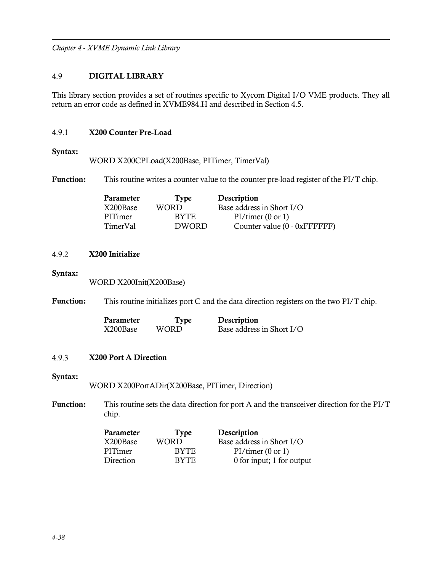## 4.9 DIGITAL LIBRARY

This library section provides a set of routines specific to Xycom Digital I/O VME products. They all return an error code as defined in XVME984.H and described in Section 4.5.

## 4.9.1 X200 Counter Pre-Load

### Syntax:

WORD X200CPLoad(X200Base, PITimer, TimerVal)

Function: This routine writes a counter value to the counter pre-load register of the PI/T chip.

| <b>Parameter</b> | <b>Type</b>  | Description                  |
|------------------|--------------|------------------------------|
| X200Base         | WORD         | Base address in Short I/O    |
| PITimer          | <b>BYTE</b>  | PI/timer(0 or 1)             |
| TimerVal         | <b>DWORD</b> | Counter value (0 - 0xFFFFFF) |

# 4.9.2 X200 Initialize

Syntax:

WORD X200Init(X200Base)

Function: This routine initializes port C and the data direction registers on the two PI/T chip.

| Parameter | Type  | Description               |
|-----------|-------|---------------------------|
| X200Base  | WORD. | Base address in Short I/O |

### 4.9.3 X200 Port A Direction

### Syntax:

WORD X200PortADir(X200Base, PITimer, Direction)

Function: This routine sets the data direction for port A and the transceiver direction for the PI/T chip.

| Parameter | Type        | Description               |
|-----------|-------------|---------------------------|
| X200Base  | WORD        | Base address in Short I/O |
| PITimer   | BYTE.       | PI/timer(0 or 1)          |
| Direction | <b>BYTE</b> | 0 for input; 1 for output |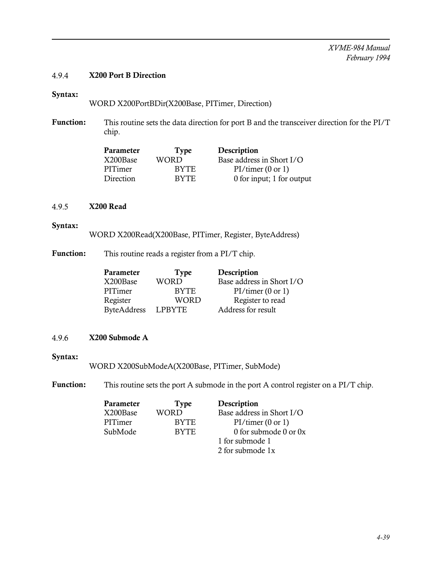*XVME-984 Manual February 1994*

## 4.9.4 X200 Port B Direction

## Syntax:

WORD X200PortBDir(X200Base, PITimer, Direction)

Function: This routine sets the data direction for port B and the transceiver direction for the PI/T chip.

| Type        | Description               |
|-------------|---------------------------|
| WORD        | Base address in Short I/O |
| BYTE.       | PI/timer(0 or 1)          |
| <b>BYTE</b> | 0 for input; 1 for output |
|             |                           |

#### 4.9.5 X200 Read

#### Syntax:

WORD X200Read(X200Base, PITimer, Register, ByteAddress)

Function: This routine reads a register from a PI/T chip.

| Parameter          | <b>Type</b>   | Description               |
|--------------------|---------------|---------------------------|
| X200Base           | WORD          | Base address in Short I/O |
| PITimer            | <b>BYTE</b>   | PI/timer(0 or 1)          |
| Register           | WORD          | Register to read          |
| <b>ByteAddress</b> | <b>LPBYTE</b> | Address for result        |

## 4.9.6 X200 Submode A

#### Syntax:

WORD X200SubModeA(X200Base, PITimer, SubMode)

Function: This routine sets the port A submode in the port A control register on a PI/T chip.

| Parameter | <b>Type</b> | Description               |
|-----------|-------------|---------------------------|
| X200Base  | <b>WORD</b> | Base address in Short I/O |
| PITimer   | <b>BYTE</b> | PI/timer(0 or 1)          |
| SubMode   | <b>BYTE</b> | 0 for submode 0 or 0x     |
|           |             | 1 for submode 1           |
|           |             | 2 for submode 1x          |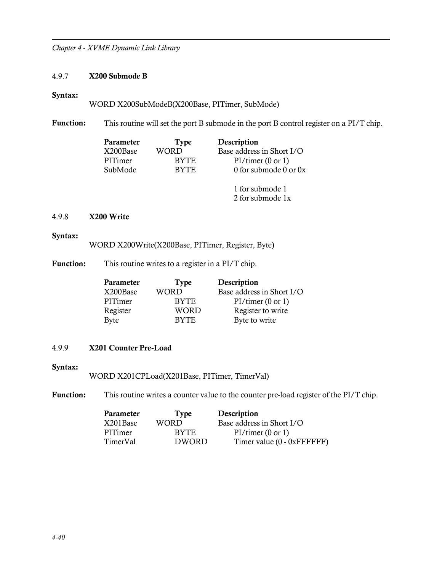## 4.9.7 X200 Submode B

#### Syntax:

WORD X200SubModeB(X200Base, PITimer, SubMode)

Function: This routine will set the port B submode in the port B control register on a PI/T chip.

| Parameter | <b>Type</b> | Description               |
|-----------|-------------|---------------------------|
| X200Base  | WORD        | Base address in Short I/O |
| PITimer   | <b>BYTE</b> | PI/timer(0 or 1)          |
| SubMode   | <b>BYTE</b> | 0 for submode 0 or 0x     |
|           |             | 1 for submode 1           |

2 for submode 1x

## 4.9.8 X200 Write

#### Syntax:

WORD X200Write(X200Base, PITimer, Register, Byte)

Function: This routine writes to a register in a PI/T chip.

| Parameter   | <b>Type</b> | Description               |
|-------------|-------------|---------------------------|
| X200Base    | <b>WORD</b> | Base address in Short I/O |
| PITimer     | <b>BYTE</b> | PI/timer(0 or 1)          |
| Register    | <b>WORD</b> | Register to write         |
| <b>Byte</b> | <b>BYTE</b> | Byte to write             |

## 4.9.9 X201 Counter Pre-Load

## Syntax:

WORD X201CPLoad(X201Base, PITimer, TimerVal)

Function: This routine writes a counter value to the counter pre-load register of the PI/T chip.

| Parameter | Type         | Description                |
|-----------|--------------|----------------------------|
| X201Base  | WORD         | Base address in Short I/O  |
| PITimer   | BYTE.        | PI/timer(0 or 1)           |
| TimerVal  | <b>DWORD</b> | Timer value (0 - 0xFFFFFF) |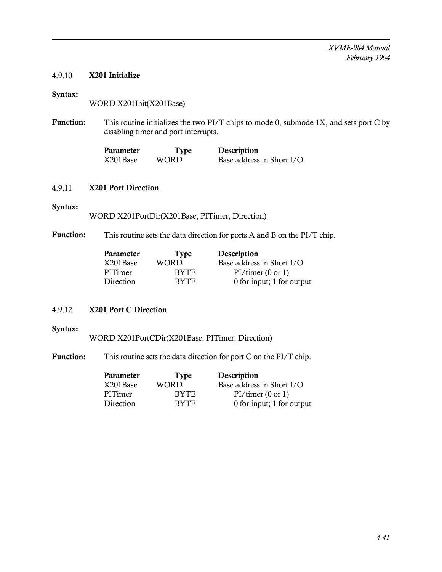## 4.9.10 X201 Initialize

## Syntax:

WORD X201Init(X201Base)

Function: This routine initializes the two PI/T chips to mode 0, submode 1X, and sets port C by disabling timer and port interrupts.

| Parameter | <b>Type</b> | Description               |
|-----------|-------------|---------------------------|
| X201Base  | WORD.       | Base address in Short I/O |

## 4.9.11 X201 Port Direction

## Syntax:

WORD X201PortDir(X201Base, PITimer, Direction)

Function: This routine sets the data direction for ports A and B on the PI/T chip.

| Parameter | <b>Type</b> | Description               |
|-----------|-------------|---------------------------|
| X201Base  | <b>WORD</b> | Base address in Short I/O |
| PITimer   | BYTE.       | PI/timer(0 or 1)          |
| Direction | BYTE.       | 0 for input; 1 for output |

## 4.9.12 X201 Port C Direction

## Syntax:

WORD X201PortCDir(X201Base, PITimer, Direction)

Function: This routine sets the data direction for port C on the PI/T chip.

| Parameter | Type        | Description               |
|-----------|-------------|---------------------------|
| X201Base  | <b>WORD</b> | Base address in Short I/O |
| PITimer   | <b>BYTE</b> | PI/timer(0 or 1)          |
| Direction | <b>BYTE</b> | 0 for input; 1 for output |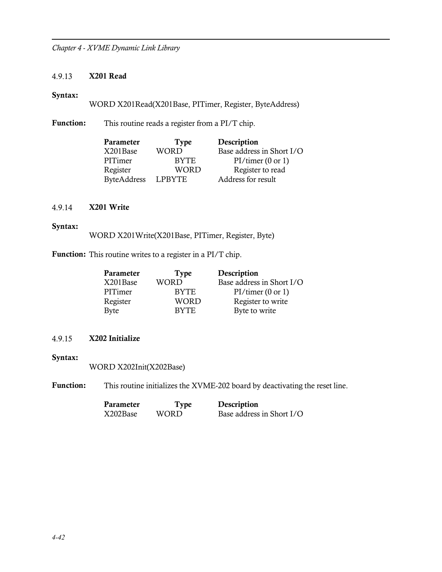## 4.9.13 X201 Read

#### Syntax:

WORD X201Read(X201Base, PITimer, Register, ByteAddress)

Function: This routine reads a register from a PI/T chip.

| Type          | Description               |
|---------------|---------------------------|
| WORD          | Base address in Short I/O |
| <b>BYTE</b>   | PI/timer(0 or 1)          |
| <b>WORD</b>   | Register to read          |
| <b>LPBYTE</b> | Address for result        |
|               |                           |

## 4.9.14 X201 Write

#### Syntax:

WORD X201Write(X201Base, PITimer, Register, Byte)

Function: This routine writes to a register in a PI/T chip.

| Parameter | Type        | Description               |
|-----------|-------------|---------------------------|
| X201Base  | <b>WORD</b> | Base address in Short I/O |
| PITimer   | <b>BYTE</b> | PI/timer(0 or 1)          |
| Register  | <b>WORD</b> | Register to write         |
| Byte      | <b>BYTE</b> | Byte to write             |

## 4.9.15 X202 Initialize

Syntax:

WORD X202Init(X202Base)

Function: This routine initializes the XVME-202 board by deactivating the reset line.

| Parameter | Type  | Description               |
|-----------|-------|---------------------------|
| X202Base  | WORD. | Base address in Short I/O |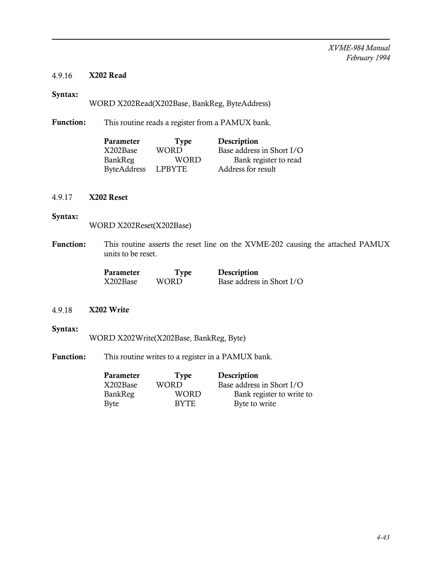## 4.9.16 X202 Read

## Syntax:

WORD X202Read(X202Base, BankReg, ByteAddress)

Function: This routine reads a register from a PAMUX bank.

| Parameter          | <b>Type</b>   | Description               |
|--------------------|---------------|---------------------------|
| X202Base           | WORD          | Base address in Short I/O |
| BankReg            | WORD          | Bank register to read     |
| <b>ByteAddress</b> | <b>LPBYTE</b> | Address for result        |

#### 4.9.17 X202 Reset

#### Syntax:

WORD X202Reset(X202Base)

Function: This routine asserts the reset line on the XVME-202 causing the attached PAMUX units to be reset.

| Parameter | <b>Type</b> | Description               |
|-----------|-------------|---------------------------|
| X202Base  | WORD.       | Base address in Short I/O |

## 4.9.18 X202 Write

## Syntax:

WORD X202Write(X202Base, BankReg, Byte)

Function: This routine writes to a register in a PAMUX bank.

| Parameter   | <b>Type</b> | Description               |
|-------------|-------------|---------------------------|
| X202Base    | WORD        | Base address in Short I/O |
| BankReg     | WORD        | Bank register to write to |
| <b>Byte</b> | BYTE.       | Byte to write             |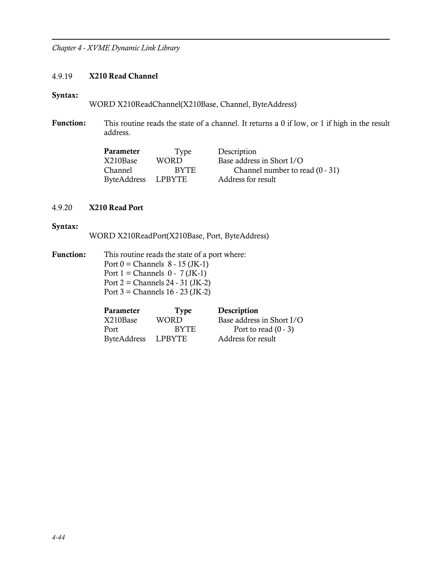#### 4.9.19 X210 Read Channel

#### Syntax:

WORD X210ReadChannel(X210Base, Channel, ByteAddress)

Function: This routine reads the state of a channel. It returns a 0 if low, or 1 if high in the result address.

| Parameter          | Type        | Description                       |
|--------------------|-------------|-----------------------------------|
| X210Base           | WORD.       | Base address in Short I/O         |
| Channel            | <b>BYTE</b> | Channel number to read $(0 - 31)$ |
| ByteAddress LPBYTE |             | Address for result                |

## 4.9.20 X210 Read Port

#### Syntax:

WORD X210ReadPort(X210Base, Port, ByteAddress)

Function: This routine reads the state of a port where: Port  $0 =$  Channels  $8 - 15$  (JK-1) Port  $1 =$  Channels  $0 - 7$  (JK-1) Port 2 = Channels 24 - 31 (JK-2) Port 3 = Channels 16 - 23 (JK-2)

| Parameter          | Type          | Description               |
|--------------------|---------------|---------------------------|
| X210Base           | WORD          | Base address in Short I/O |
| Port               | <b>BYTE</b>   | Port to read $(0 - 3)$    |
| <b>ByteAddress</b> | <b>LPBYTE</b> | Address for result        |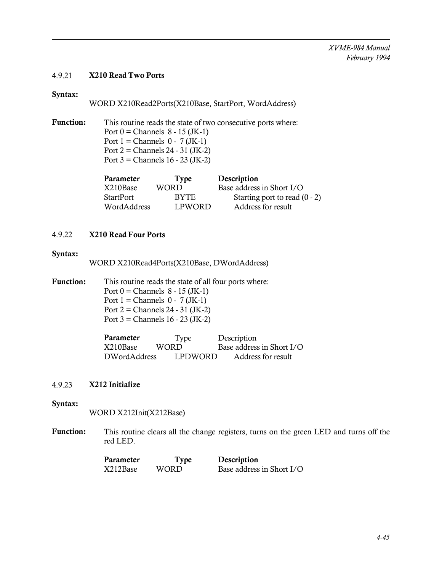## 4.9.21 X210 Read Two Ports

## Syntax:

WORD X210Read2Ports(X210Base, StartPort, WordAddress)

Function: This routine reads the state of two consecutive ports where: Port  $0 =$  Channels  $8 - 15$  (JK-1) Port  $1 =$  Channels  $0 - 7$  (JK-1) Port  $2 =$  Channels  $24 - 31$  (JK-2) Port 3 = Channels 16 - 23 (JK-2)

| Parameter        | <b>Type</b>   | Description                     |
|------------------|---------------|---------------------------------|
| X210Base         | WORD.         | Base address in Short I/O       |
| <b>StartPort</b> | <b>BYTE</b>   | Starting port to read $(0 - 2)$ |
| WordAddress      | <b>LPWORD</b> | Address for result              |

## 4.9.22 X210 Read Four Ports

#### Syntax:

WORD X210Read4Ports(X210Base, DWordAddress)

Function: This routine reads the state of all four ports where: Port  $0 =$  Channels  $8 - 15$  (JK-1) Port  $1 =$  Channels  $0 - 7$  (JK-1) Port 2 = Channels 24 - 31 (JK-2) Port  $3 =$  Channels  $16 - 23$  (JK-2)

| Parameter    | Type    | Description               |
|--------------|---------|---------------------------|
| X210Base     | WORD    | Base address in Short I/O |
| DWordAddress | LPDWORD | Address for result        |

#### 4.9.23 X212 Initialize

#### Syntax:

WORD X212Init(X212Base)

Function: This routine clears all the change registers, turns on the green LED and turns off the red LED.

| Parameter | Type  | Description               |
|-----------|-------|---------------------------|
| X212Base  | WORD. | Base address in Short I/O |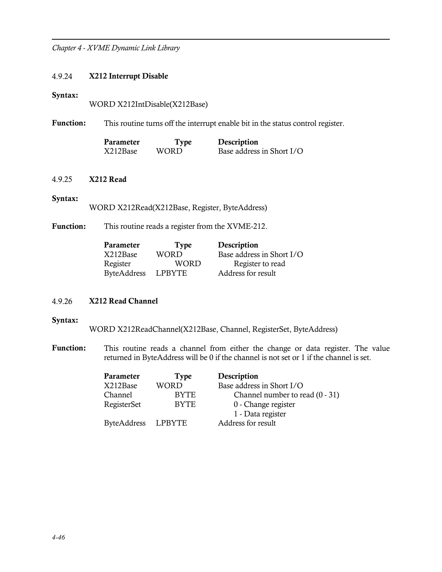#### 4.9.24 X212 Interrupt Disable

#### Syntax:

WORD X212IntDisable(X212Base)

Function: This routine turns off the interrupt enable bit in the status control register.

| Parameter | Type  | Description               |
|-----------|-------|---------------------------|
| X212Base  | WORD. | Base address in Short I/O |

## 4.9.25 X212 Read

#### Syntax:

WORD X212Read(X212Base, Register, ByteAddress)

Function: This routine reads a register from the XVME-212.

| Parameter          | Type   | Description               |
|--------------------|--------|---------------------------|
| X212Base           | WORD.  | Base address in Short I/O |
| Register           | WORD   | Register to read          |
| <b>ByteAddress</b> | LPBYTE | Address for result        |

## 4.9.26 X212 Read Channel

#### Syntax:

WORD X212ReadChannel(X212Base, Channel, RegisterSet, ByteAddress)

Function: This routine reads a channel from either the change or data register. The value returned in ByteAddress will be 0 if the channel is not set or 1 if the channel is set.

| Parameter          | Type        | Description                       |
|--------------------|-------------|-----------------------------------|
| X212Base           | WORD        | Base address in Short I/O         |
| Channel            | <b>BYTE</b> | Channel number to read $(0 - 31)$ |
| RegisterSet        | <b>BYTE</b> | 0 - Change register               |
|                    |             | 1 - Data register                 |
| <b>ByteAddress</b> | LPBYTE      | Address for result                |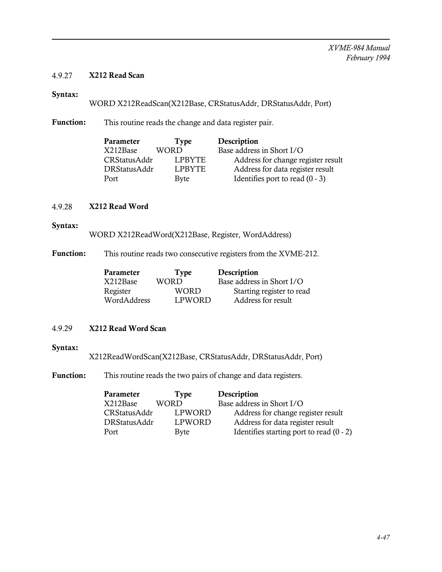## 4.9.27 X212 Read Scan

## Syntax:

WORD X212ReadScan(X212Base, CRStatusAddr, DRStatusAddr, Port)

Function: This routine reads the change and data register pair.

| Parameter    | Type        | Description                        |
|--------------|-------------|------------------------------------|
| X212Base     | <b>WORD</b> | Base address in Short I/O          |
| CRStatusAddr | LPBYTE      | Address for change register result |
| DRStatusAddr | LPBYTE      | Address for data register result   |
| Port         | Byte        | Identifies port to read $(0 - 3)$  |
|              |             |                                    |

## 4.9.28 X212 Read Word

#### Syntax:

WORD X212ReadWord(X212Base, Register, WordAddress)

Function: This routine reads two consecutive registers from the XVME-212.

| Parameter   | <b>Type</b>   | Description               |
|-------------|---------------|---------------------------|
| X212Base    | WORD          | Base address in Short I/O |
| Register    | <b>WORD</b>   | Starting register to read |
| WordAddress | <b>LPWORD</b> | Address for result        |

#### 4.9.29 X212 Read Word Scan

#### Syntax:

X212ReadWordScan(X212Base, CRStatusAddr, DRStatusAddr, Port)

Function: This routine reads the two pairs of change and data registers.

| Parameter    | <b>Type</b> | Description                                |
|--------------|-------------|--------------------------------------------|
| X212Base     | WORD        | Base address in Short I/O                  |
| CRStatusAddr | LPWORD      | Address for change register result         |
| DRStatusAddr | LPWORD      | Address for data register result           |
| Port         | Byte        | Identifies starting port to read $(0 - 2)$ |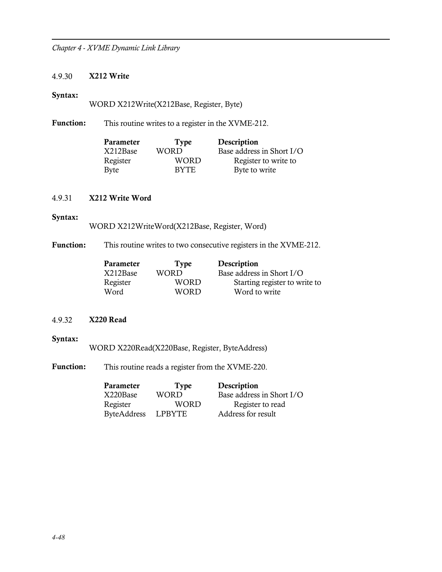## 4.9.30 X212 Write

#### Syntax:

WORD X212Write(X212Base, Register, Byte)

Function: This routine writes to a register in the XVME-212.

| Parameter | <b>Type</b> | Description               |
|-----------|-------------|---------------------------|
| X212Base  | <b>WORD</b> | Base address in Short I/O |
| Register  | WORD        | Register to write to      |
| Byte      | <b>BYTE</b> | Byte to write             |

## 4.9.31 X212 Write Word

#### Syntax:

WORD X212WriteWord(X212Base, Register, Word)

Function: This routine writes to two consecutive registers in the XVME-212.

| <b>Type</b> | Description                   |
|-------------|-------------------------------|
| <b>WORD</b> | Base address in Short I/O     |
| WORD        | Starting register to write to |
| <b>WORD</b> | Word to write                 |
|             |                               |

## 4.9.32 X220 Read

## Syntax:

WORD X220Read(X220Base, Register, ByteAddress)

Function: This routine reads a register from the XVME-220.

| Parameter   | <b>Type</b> | Description               |
|-------------|-------------|---------------------------|
| X220Base    | <b>WORD</b> | Base address in Short I/O |
| Register    | WORD        | Register to read          |
| ByteAddress | LPBYTE      | Address for result        |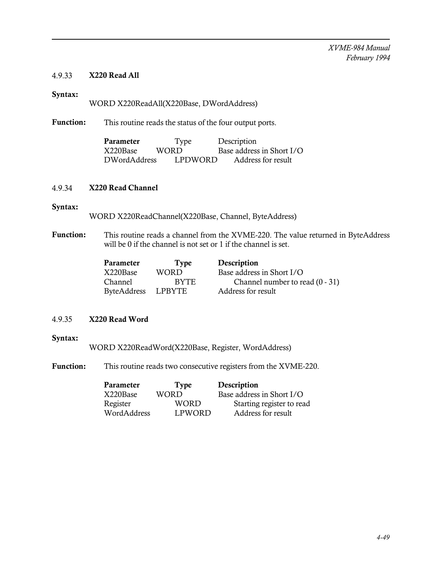## 4.9.33 X220 Read All

## Syntax:

## WORD X220ReadAll(X220Base, DWordAddress)

Function: This routine reads the status of the four output ports.

| Parameter    | Type    | Description               |
|--------------|---------|---------------------------|
| X220Base     | WORD.   | Base address in Short I/O |
| DWordAddress | LPDWORD | Address for result        |

#### 4.9.34 X220 Read Channel

#### Syntax:

WORD X220ReadChannel(X220Base, Channel, ByteAddress)

Function: This routine reads a channel from the XVME-220. The value returned in ByteAddress will be 0 if the channel is not set or 1 if the channel is set.

| Channel number to read $(0 - 31)$ |
|-----------------------------------|
|                                   |
|                                   |

## 4.9.35 X220 Read Word

#### Syntax:

WORD X220ReadWord(X220Base, Register, WordAddress)

Function: This routine reads two consecutive registers from the XVME-220.

| Parameter   | <b>Type</b> | Description               |
|-------------|-------------|---------------------------|
| X220Base    | <b>WORD</b> | Base address in Short I/O |
| Register    | <b>WORD</b> | Starting register to read |
| WordAddress | LPWORD      | Address for result        |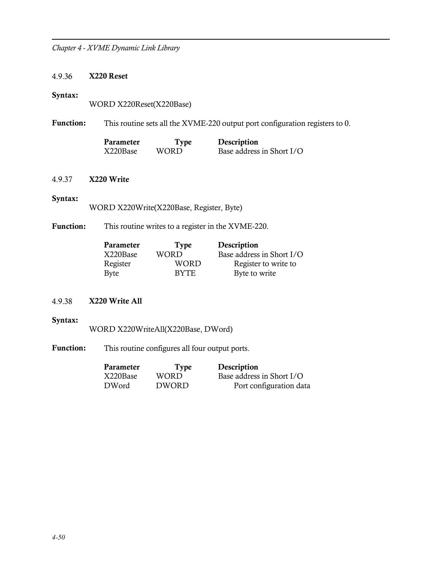## 4.9.36 X220 Reset

#### Syntax:

WORD X220Reset(X220Base)

Function: This routine sets all the XVME-220 output port configuration registers to 0.

| Parameter | Type  | Description               |
|-----------|-------|---------------------------|
| X220Base  | WORD. | Base address in Short I/O |

## 4.9.37 X220 Write

#### Syntax:

WORD X220Write(X220Base, Register, Byte)

Function: This routine writes to a register in the XVME-220.

| Parameter | <b>Type</b> | Description               |
|-----------|-------------|---------------------------|
| X220Base  | <b>WORD</b> | Base address in Short I/O |
| Register  | WORD        | Register to write to      |
| Byte      | <b>BYTE</b> | Byte to write             |

## 4.9.38 X220 Write All

## Syntax:

WORD X220WriteAll(X220Base, DWord)

Function: This routine configures all four output ports.

| Parameter | <b>Type</b>  | Description               |
|-----------|--------------|---------------------------|
| X220Base  | WORD.        | Base address in Short I/O |
| DWord     | <b>DWORD</b> | Port configuration data   |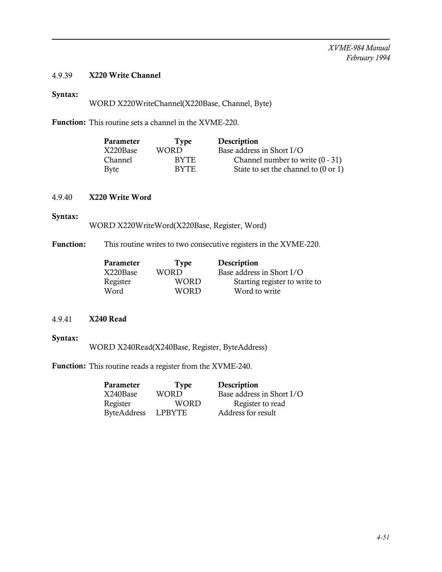## 4.9.39 X220 Write Channel

## Syntax:

WORD X220WriteChannel(X220Base, Channel, Byte)

Function: This routine sets a channel in the XVME-220.

| Parameter      | Type        | Description                          |
|----------------|-------------|--------------------------------------|
| X220Base       | WORD        | Base address in Short I/O            |
| <b>Channel</b> | <b>BYTE</b> | Channel number to write $(0 - 31)$   |
| Byte           | <b>BYTE</b> | State to set the channel to (0 or 1) |

#### 4.9.40 X220 Write Word

### Syntax:

WORD X220WriteWord(X220Base, Register, Word)

Function: This routine writes to two consecutive registers in the XVME-220.

| Type        | Description                   |
|-------------|-------------------------------|
| WORD        | Base address in Short I/O     |
| WORD        | Starting register to write to |
| <b>WORD</b> | Word to write                 |
|             |                               |

## 4.9.41 X240 Read

#### Syntax:

WORD X240Read(X240Base, Register, ByteAddress)

Function: This routine reads a register from the XVME-240.

| Parameter          | Type          | Description               |
|--------------------|---------------|---------------------------|
| X240Base           | <b>WORD</b>   | Base address in Short I/O |
| Register           | <b>WORD</b>   | Register to read          |
| <b>ByteAddress</b> | <b>LPBYTE</b> | Address for result        |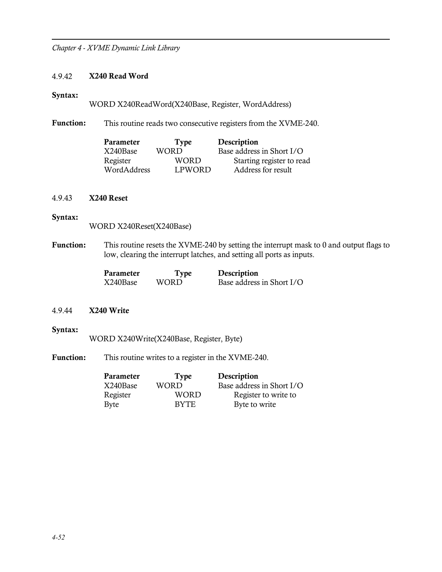#### 4.9.42 X240 Read Word

#### Syntax:

WORD X240ReadWord(X240Base, Register, WordAddress)

Function: This routine reads two consecutive registers from the XVME-240.

| Parameter   | <b>Type</b> | Description               |
|-------------|-------------|---------------------------|
| X240Base    | WORD        | Base address in Short I/O |
| Register    | <b>WORD</b> | Starting register to read |
| WordAddress | LPWORD      | Address for result        |

#### 4.9.43 X240 Reset

## Syntax:

WORD X240Reset(X240Base)

Function: This routine resets the XVME-240 by setting the interrupt mask to 0 and output flags to low, clearing the interrupt latches, and setting all ports as inputs.

| Parameter | Type  | Description               |
|-----------|-------|---------------------------|
| X240Base  | WORD. | Base address in Short I/O |

#### 4.9.44 X240 Write

#### Syntax:

WORD X240Write(X240Base, Register, Byte)

Function: This routine writes to a register in the XVME-240.

| Parameter   | <b>Type</b> | Description               |
|-------------|-------------|---------------------------|
| X240Base    | WORD        | Base address in Short I/O |
| Register    | WORD        | Register to write to      |
| <b>Byte</b> | <b>BYTE</b> | Byte to write             |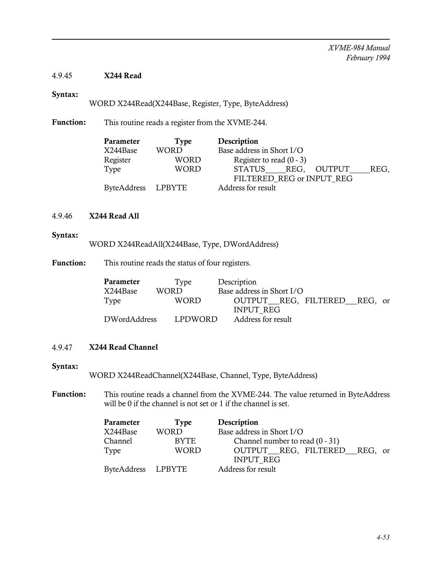## 4.9.45 X244 Read

## Syntax:

WORD X244Read(X244Base, Register, Type, ByteAddress)

Function: This routine reads a register from the XVME-244.

| Parameter          | Type        | Description                   |
|--------------------|-------------|-------------------------------|
| X244Base           | <b>WORD</b> | Base address in Short I/O     |
| Register           | <b>WORD</b> | Register to read $(0 - 3)$    |
| Type               | WORD        | STATUS REG.<br>OUTPUT<br>REG, |
|                    |             | FILTERED REG or INPUT REG     |
| ByteAddress LPBYTE |             | Address for result            |
|                    |             |                               |

## 4.9.46 X244 Read All

#### Syntax:

WORD X244ReadAll(X244Base, Type, DWordAddress)

Function: This routine reads the status of four registers.

| <b>Parameter</b> | Type    | Description                  |
|------------------|---------|------------------------------|
| X244Base         | WORD    | Base address in Short I/O    |
| Type             | WORD    | OUTPUT REG, FILTERED REG, or |
|                  |         | <b>INPUT REG</b>             |
| DWordAddress     | LPDWORD | Address for result           |

## 4.9.47 X244 Read Channel

#### Syntax:

WORD X244ReadChannel(X244Base, Channel, Type, ByteAddress)

Function: This routine reads a channel from the XVME-244. The value returned in ByteAddress will be 0 if the channel is not set or 1 if the channel is set.

| Parameter          | Type        | Description                       |
|--------------------|-------------|-----------------------------------|
| X244Base           | WORD        | Base address in Short I/O         |
| Channel            | <b>BYTE</b> | Channel number to read $(0 - 31)$ |
| Type               | WORD        | OUTPUT REG, FILTERED REG, or      |
|                    |             | <b>INPUT REG</b>                  |
| ByteAddress LPBYTE |             | Address for result                |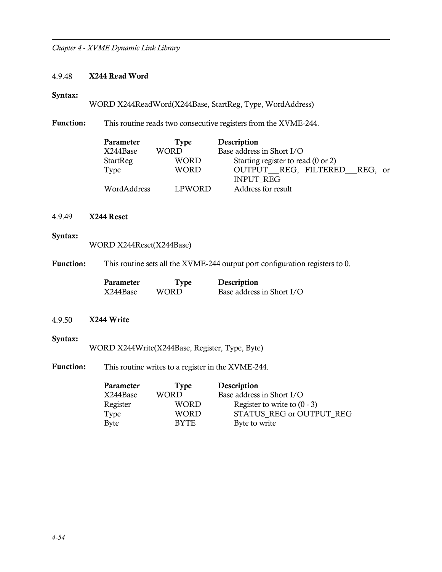#### 4.9.48 X244 Read Word

#### Syntax:

WORD X244ReadWord(X244Base, StartReg, Type, WordAddress)

Function: This routine reads two consecutive registers from the XVME-244.

| Parameter       | Type        | Description                        |
|-----------------|-------------|------------------------------------|
| X244Base        | <b>WORD</b> | Base address in Short I/O          |
| <b>StartReg</b> | <b>WORD</b> | Starting register to read (0 or 2) |
| Type            | <b>WORD</b> | OUTPUT REG, FILTERED REG, or       |
|                 |             | <b>INPUT REG</b>                   |
| WordAddress     | LPWORD      | Address for result                 |

## 4.9.49 X244 Reset

#### Syntax:

WORD X244Reset(X244Base)

Function: This routine sets all the XVME-244 output port configuration registers to 0.

| Parameter | Type  | Description               |
|-----------|-------|---------------------------|
| X244Base  | WORD. | Base address in Short I/O |

#### 4.9.50 X244 Write

#### Syntax:

WORD X244Write(X244Base, Register, Type, Byte)

Function: This routine writes to a register in the XVME-244.

| Type        | Description                    |
|-------------|--------------------------------|
| WORD        | Base address in Short I/O      |
| <b>WORD</b> | Register to write to $(0 - 3)$ |
| <b>WORD</b> | STATUS REG or OUTPUT REG       |
| <b>BYTE</b> | Byte to write                  |
|             |                                |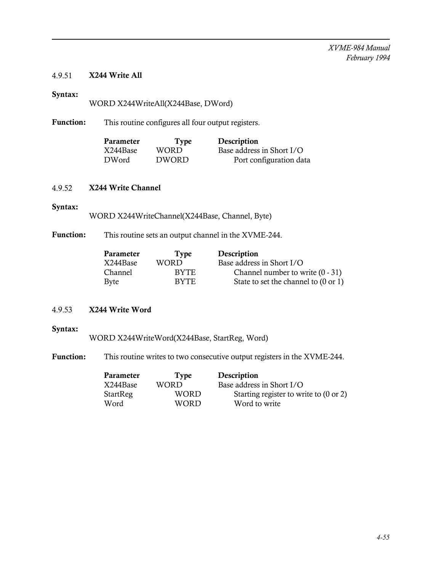## 4.9.51 X244 Write All

## Syntax:

WORD X244WriteAll(X244Base, DWord)

Function: This routine configures all four output registers.

| Parameter | <b>Type</b>  | Description               |
|-----------|--------------|---------------------------|
| X244Base  | WORD.        | Base address in Short I/O |
| DWord     | <b>DWORD</b> | Port configuration data   |

## 4.9.52 X244 Write Channel

## Syntax:

WORD X244WriteChannel(X244Base, Channel, Byte)

## Function: This routine sets an output channel in the XVME-244.

| Parameter      | Type        | Description                          |
|----------------|-------------|--------------------------------------|
| X244Base       | WORD        | Base address in Short I/O            |
| <b>Channel</b> | <b>BYTE</b> | Channel number to write $(0 - 31)$   |
| Byte           | <b>BYTE</b> | State to set the channel to (0 or 1) |

## 4.9.53 X244 Write Word

## Syntax:

WORD X244WriteWord(X244Base, StartReg, Word)

Function: This routine writes to two consecutive output registers in the XVME-244.

| Parameter | Type  | Description                            |
|-----------|-------|----------------------------------------|
| X244Base  | WORD  | Base address in Short I/O              |
| StartReg  | WORD  | Starting register to write to (0 or 2) |
| Word      | WORD. | Word to write                          |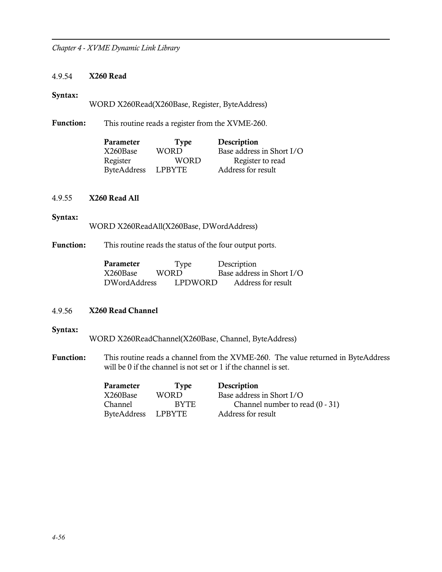## 4.9.54 X260 Read

#### Syntax:

WORD X260Read(X260Base, Register, ByteAddress)

Function: This routine reads a register from the XVME-260.

| Parameter          | <b>Type</b>   | Description               |
|--------------------|---------------|---------------------------|
| X260Base           | <b>WORD</b>   | Base address in Short I/O |
| Register           | WORD          | Register to read          |
| <b>ByteAddress</b> | <b>LPBYTE</b> | Address for result        |

#### 4.9.55 X260 Read All

#### Syntax:

WORD X260ReadAll(X260Base, DWordAddress)

Function: This routine reads the status of the four output ports.

| Parameter    | Type    | Description               |
|--------------|---------|---------------------------|
| X260Base     | WORD.   | Base address in Short I/O |
| DWordAddress | LPDWORD | Address for result        |

## 4.9.56 X260 Read Channel

#### Syntax:

WORD X260ReadChannel(X260Base, Channel, ByteAddress)

Function: This routine reads a channel from the XVME-260. The value returned in ByteAddress will be 0 if the channel is not set or 1 if the channel is set.

| Parameter   | Type   | Description                       |
|-------------|--------|-----------------------------------|
| X260Base    | WORD.  | Base address in Short I/O         |
| Channel     | BYTE.  | Channel number to read $(0 - 31)$ |
| ByteAddress | LPBYTE | Address for result                |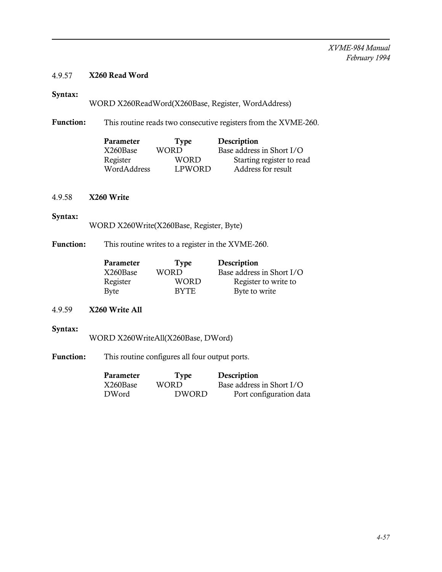## 4.9.57 X260 Read Word

## Syntax:

WORD X260ReadWord(X260Base, Register, WordAddress)

Function: This routine reads two consecutive registers from the XVME-260.

| Parameter   | Type          | Description               |
|-------------|---------------|---------------------------|
| X260Base    | WORD          | Base address in Short I/O |
| Register    | WORD          | Starting register to read |
| WordAddress | <b>LPWORD</b> | Address for result        |

#### 4.9.58 X260 Write

## Syntax:

WORD X260Write(X260Base, Register, Byte)

Function: This routine writes to a register in the XVME-260.

| Parameter | <b>Type</b> | Description               |
|-----------|-------------|---------------------------|
| X260Base  | <b>WORD</b> | Base address in Short I/O |
| Register  | WORD        | Register to write to      |
| Byte      | <b>BYTE</b> | Byte to write             |

## 4.9.59 X260 Write All

## Syntax:

WORD X260WriteAll(X260Base, DWord)

Function: This routine configures all four output ports.

| Parameter | Type         | Description               |
|-----------|--------------|---------------------------|
| X260Base  | WORD.        | Base address in Short I/O |
| DWord     | <b>DWORD</b> | Port configuration data   |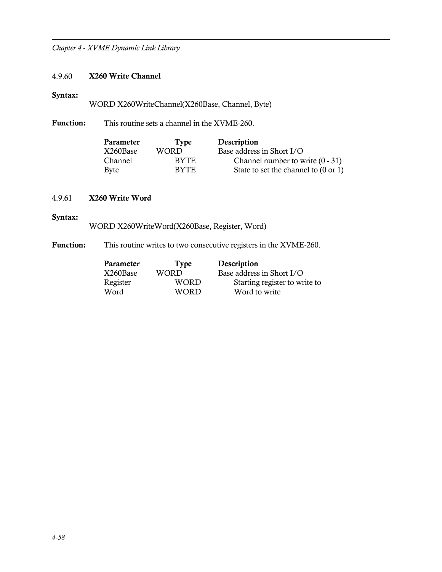## 4.9.60 X260 Write Channel

## Syntax:

WORD X260WriteChannel(X260Base, Channel, Byte)

Function: This routine sets a channel in the XVME-260.

| <b>Parameter</b> | Type        | Description                          |
|------------------|-------------|--------------------------------------|
| X260Base         | WORD        | Base address in Short I/O            |
| <b>Channel</b>   | <b>BYTE</b> | Channel number to write $(0 - 31)$   |
| Byte             | <b>BYTE</b> | State to set the channel to (0 or 1) |

## 4.9.61 X260 Write Word

## Syntax:

WORD X260WriteWord(X260Base, Register, Word)

Function: This routine writes to two consecutive registers in the XVME-260.

| Type        | Description                   |
|-------------|-------------------------------|
| WORD        | Base address in Short I/O     |
| WORD        | Starting register to write to |
| <b>WORD</b> | Word to write                 |
|             |                               |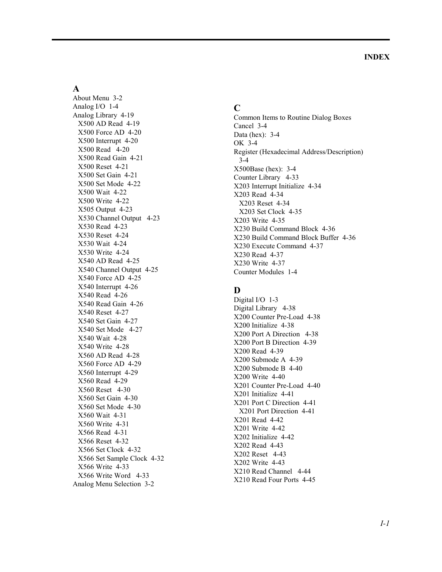#### **A**

About Menu 3-2 Analog I/O 1-4 Analog Library 4-19 X500 AD Read 4-19 X500 Force AD 4-20 X500 Interrupt 4-20 X500 Read 4-20 X500 Read Gain 4-21 X500 Reset 4-21 X500 Set Gain 4-21 X500 Set Mode 4-22 X500 Wait 4-22 X500 Write 4-22 X505 Output 4-23 X530 Channel Output 4-23 X530 Read 4-23 X530 Reset 4-24 X530 Wait 4-24 X530 Write 4-24 X540 AD Read 4-25 X540 Channel Output 4-25 X540 Force AD 4-25 X540 Interrupt 4-26 X540 Read 4-26 X540 Read Gain 4-26 X540 Reset 4-27 X540 Set Gain 4-27 X540 Set Mode 4-27 X540 Wait 4-28 X540 Write 4-28 X560 AD Read 4-28 X560 Force AD 4-29 X560 Interrupt 4-29 X560 Read 4-29 X560 Reset 4-30 X560 Set Gain 4-30 X560 Set Mode 4-30 X560 Wait 4-31 X560 Write 4-31 X566 Read 4-31 X566 Reset 4-32 X566 Set Clock 4-32 X566 Set Sample Clock 4-32 X566 Write 4-33 X566 Write Word 4-33 Analog Menu Selection 3-2

#### **C**

Common Items to Routine Dialog Boxes Cancel 3-4 Data (hex): 3-4 OK 3-4 Register (Hexadecimal Address/Description) 3-4 X500Base (hex): 3-4 Counter Library 4-33 X203 Interrupt Initialize 4-34 X203 Read 4-34 X203 Reset 4-34 X203 Set Clock 4-35 X203 Write 4-35 X230 Build Command Block 4-36 X230 Build Command Block Buffer 4-36 X230 Execute Command 4-37 X230 Read 4-37 X230 Write 4-37 Counter Modules 1-4

## **D**

Digital I/O 1-3 Digital Library 4-38 X200 Counter Pre-Load 4-38 X200 Initialize 4-38 X200 Port A Direction 4-38 X200 Port B Direction 4-39 X200 Read 4-39 X200 Submode A 4-39 X200 Submode B 4-40 X200 Write 4-40 X201 Counter Pre-Load 4-40 X201 Initialize 4-41 X201 Port C Direction 4-41 X201 Port Direction 4-41 X201 Read 4-42 X201 Write 4-42 X202 Initialize 4-42 X202 Read 4-43 X202 Reset 4-43 X202 Write 4-43 X210 Read Channel 4-44 X210 Read Four Ports 4-45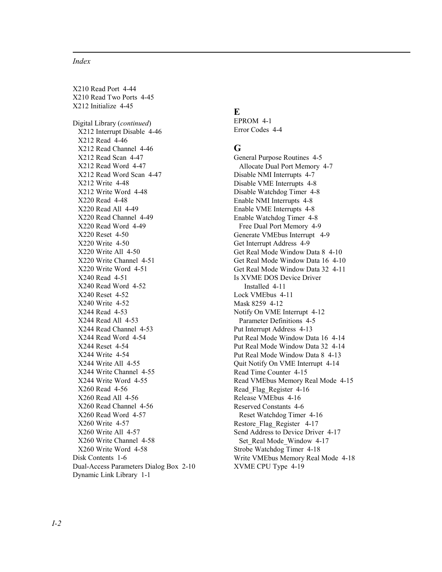#### *Index*

X210 Read Port 4-44 X210 Read Two Ports 4-45 X212 Initialize 4-45 Digital Library (*continued*) X212 Interrupt Disable 4-46 X212 Read 4-46 X212 Read Channel 4-46 X212 Read Scan 4-47 X212 Read Word 4-47 X212 Read Word Scan 4-47 X212 Write 4-48 X212 Write Word 4-48 X220 Read 4-48 X220 Read All 4-49 X220 Read Channel 4-49 X220 Read Word 4-49 X220 Reset 4-50 X220 Write 4-50 X220 Write All 4-50 X220 Write Channel 4-51 X220 Write Word 4-51 X240 Read 4-51 X240 Read Word 4-52 X240 Reset 4-52 X240 Write 4-52 X244 Read 4-53 X244 Read All 4-53 X244 Read Channel 4-53 X244 Read Word 4-54 X244 Reset 4-54 X244 Write 4-54 X244 Write All 4-55 X244 Write Channel 4-55 X244 Write Word 4-55 X260 Read 4-56 X260 Read All 4-56 X260 Read Channel 4-56 X260 Read Word 4-57 X260 Write 4-57 X260 Write All 4-57 X260 Write Channel 4-58 X260 Write Word 4-58 Disk Contents 1-6 Dual-Access Parameters Dialog Box 2-10 Dynamic Link Library 1-1

## **E**

EPROM 4-1 Error Codes 4-4

#### **G**

General Purpose Routines 4-5 Allocate Dual Port Memory 4-7 Disable NMI Interrupts 4-7 Disable VME Interrupts 4-8 Disable Watchdog Timer 4-8 Enable NMI Interrupts 4-8 Enable VME Interrupts 4-8 Enable Watchdog Timer 4-8 Free Dual Port Memory 4-9 Generate VMEbus Interrupt 4-9 Get Interrupt Address 4-9 Get Real Mode Window Data 8 4-10 Get Real Mode Window Data 16 4-10 Get Real Mode Window Data 32 4-11 Is XVME DOS Device Driver Installed 4-11 Lock VMEbus 4-11 Mask 8259 4-12 Notify On VME Interrupt 4-12 Parameter Definitions 4-5 Put Interrupt Address 4-13 Put Real Mode Window Data 16 4-14 Put Real Mode Window Data 32 4-14 Put Real Mode Window Data 8 4-13 Quit Notify On VME Interrupt 4-14 Read Time Counter 4-15 Read VMEbus Memory Real Mode 4-15 Read\_Flag\_Register 4-16 Release VMEbus 4-16 Reserved Constants 4-6 Reset Watchdog Timer 4-16 Restore\_Flag\_Register 4-17 Send Address to Device Driver 4-17 Set Real Mode Window 4-17 Strobe Watchdog Timer 4-18 Write VMEbus Memory Real Mode 4-18 XVME CPU Type 4-19